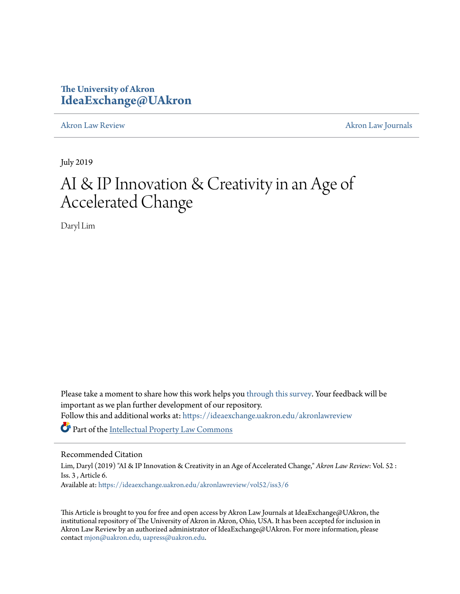# **The University of Akron [IdeaExchange@UAkron](https://ideaexchange.uakron.edu?utm_source=ideaexchange.uakron.edu%2Fakronlawreview%2Fvol52%2Fiss3%2F6&utm_medium=PDF&utm_campaign=PDFCoverPages)**

[Akron Law Review](https://ideaexchange.uakron.edu/akronlawreview?utm_source=ideaexchange.uakron.edu%2Fakronlawreview%2Fvol52%2Fiss3%2F6&utm_medium=PDF&utm_campaign=PDFCoverPages) [Akron Law Journals](https://ideaexchange.uakron.edu/akronlawjournals?utm_source=ideaexchange.uakron.edu%2Fakronlawreview%2Fvol52%2Fiss3%2F6&utm_medium=PDF&utm_campaign=PDFCoverPages)

July 2019

# AI & IP Innovation & Creativity in an Age of Accelerated Change

Daryl Lim

Please take a moment to share how this work helps you [through this survey.](http://survey.az1.qualtrics.com/SE/?SID=SV_eEVH54oiCbOw05f&URL=https://ideaexchange.uakron.edu/akronlawreview/vol52/iss3/6) Your feedback will be important as we plan further development of our repository. Follow this and additional works at: [https://ideaexchange.uakron.edu/akronlawreview](https://ideaexchange.uakron.edu/akronlawreview?utm_source=ideaexchange.uakron.edu%2Fakronlawreview%2Fvol52%2Fiss3%2F6&utm_medium=PDF&utm_campaign=PDFCoverPages) Part of the [Intellectual Property Law Commons](http://network.bepress.com/hgg/discipline/896?utm_source=ideaexchange.uakron.edu%2Fakronlawreview%2Fvol52%2Fiss3%2F6&utm_medium=PDF&utm_campaign=PDFCoverPages)

# Recommended Citation

Lim, Daryl (2019) "AI & IP Innovation & Creativity in an Age of Accelerated Change," *Akron Law Review*: Vol. 52 : Iss. 3 , Article 6. Available at: [https://ideaexchange.uakron.edu/akronlawreview/vol52/iss3/6](https://ideaexchange.uakron.edu/akronlawreview/vol52/iss3/6?utm_source=ideaexchange.uakron.edu%2Fakronlawreview%2Fvol52%2Fiss3%2F6&utm_medium=PDF&utm_campaign=PDFCoverPages)

This Article is brought to you for free and open access by Akron Law Journals at IdeaExchange@UAkron, the institutional repository of The University of Akron in Akron, Ohio, USA. It has been accepted for inclusion in Akron Law Review by an authorized administrator of IdeaExchange@UAkron. For more information, please contact [mjon@uakron.edu, uapress@uakron.edu.](mailto:mjon@uakron.edu,%20uapress@uakron.edu)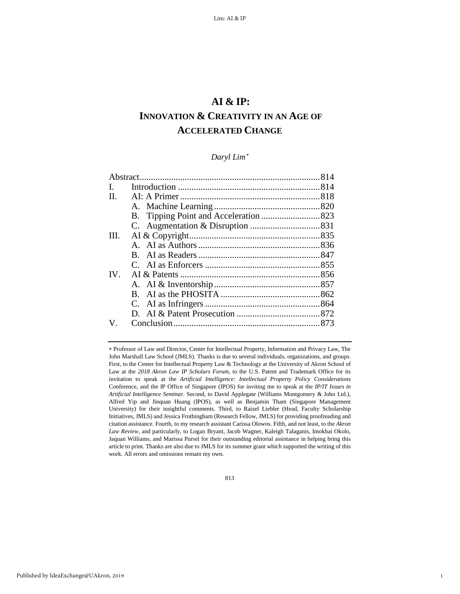# **AI & IP:**

# **INNOVATION & CREATIVITY IN AN AGE OF ACCELERATED CHANGE**

# *Daryl Lim*[∗](#page-1-0)

| L.      |              |  |
|---------|--------------|--|
| $\Pi$ . |              |  |
|         |              |  |
|         |              |  |
|         |              |  |
| HI.     |              |  |
|         |              |  |
|         | $\mathbf{B}$ |  |
|         |              |  |
| IV.     |              |  |
|         |              |  |
|         |              |  |
|         |              |  |
|         |              |  |
| V.      |              |  |
|         |              |  |

<span id="page-1-0"></span>∗ Professor of Law and Director, Center for Intellectual Property, Information and Privacy Law, The John Marshall Law School (JMLS). Thanks is due to several individuals, organizations, and groups. First, to the Center for Intellectual Property Law & Technology at the University of Akron School of Law at the *2018 Akron Law IP Scholars Forum*, to the U.S. Patent and Trademark Office for its invitation to speak at the *Artificial Intelligence: Intellectual Property Policy Considerations* Conference, and the IP Office of Singapore (IPOS) for inviting me to speak at the *IP/IT Issues in Artificial Intelligence Seminar*. Second, to David Applegate (Williams Montgomery & John Ltd.), Alfred Yip and Jinquan Huang (IPOS), as well as Benjamin Tham (Singapore Management University) for their insightful comments. Third, to Raizel Liebler (Head, Faculty Scholarship Initiatives, JMLS) and Jessica Frothingham (Research Fellow, JMLS) for providing proofreading and citation assistance. Fourth, to my research assistant Carissa Olowos. Fifth, and not least, to the *Akron Law Review*, and particularly, to Logan Bryant, Jacob Wagner, Kaleigh Talaganis, Imokhai Okolo, Jaquan Williams, and Marissa Pursel for their outstanding editorial assistance in helping bring this article to print. Thanks are also due to JMLS for its summer grant which supported the writing of this work. All errors and omissions remain my own.

1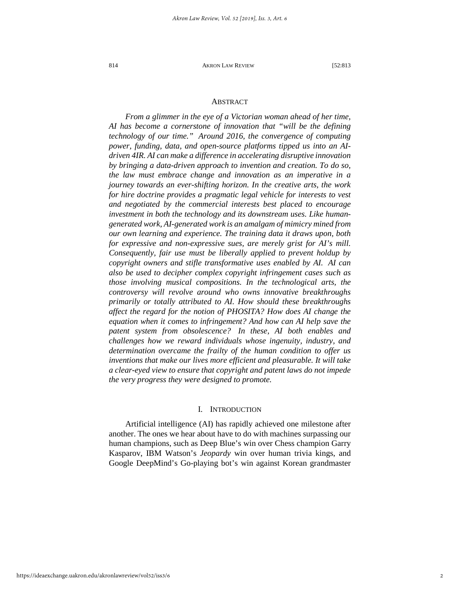# ABSTRACT

*From a glimmer in the eye of a Victorian woman ahead of her time, AI has become a cornerstone of innovation that "will be the defining technology of our time." Around 2016, the convergence of computing power, funding, data, and open-source platforms tipped us into an AIdriven 4IR. AI can make a difference in accelerating disruptive innovation by bringing a data-driven approach to invention and creation. To do so, the law must embrace change and innovation as an imperative in a journey towards an ever-shifting horizon. In the creative arts, the work for hire doctrine provides a pragmatic legal vehicle for interests to vest and negotiated by the commercial interests best placed to encourage investment in both the technology and its downstream uses. Like humangenerated work, AI-generated work is an amalgam of mimicry mined from our own learning and experience. The training data it draws upon, both for expressive and non-expressive sues, are merely grist for AI's mill. Consequently, fair use must be liberally applied to prevent holdup by copyright owners and stifle transformative uses enabled by AI. AI can also be used to decipher complex copyright infringement cases such as those involving musical compositions. In the technological arts, the controversy will revolve around who owns innovative breakthroughs primarily or totally attributed to AI. How should these breakthroughs affect the regard for the notion of PHOSITA? How does AI change the equation when it comes to infringement? And how can AI help save the patent system from obsolescence? In these, AI both enables and challenges how we reward individuals whose ingenuity, industry, and determination overcame the frailty of the human condition to offer us inventions that make our lives more efficient and pleasurable. It will take a clear-eyed view to ensure that copyright and patent laws do not impede the very progress they were designed to promote.*

# I. INTRODUCTION

Artificial intelligence (AI) has rapidly achieved one milestone after another. The ones we hear about have to do with machines surpassing our human champions, such as Deep Blue's win over Chess champion Garry Kasparov, IBM Watson's *Jeopardy* win over human trivia kings, and Google DeepMind's Go-playing bot's win against Korean grandmaster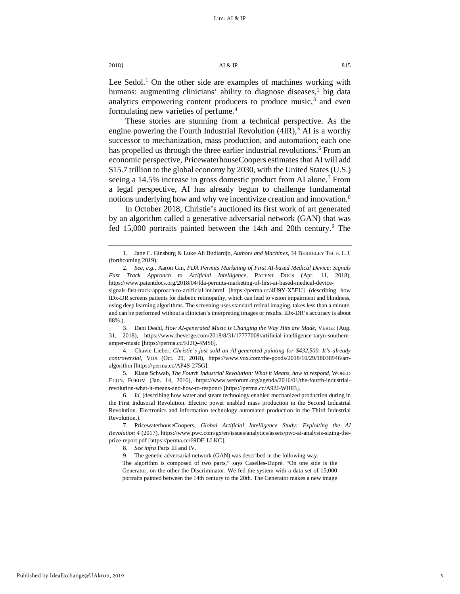Lee Sedol.<sup>[1](#page-3-0)</sup> On the other side are examples of machines working with humans: augmenting clinicians' ability to diagnose diseases, $\frac{2}{3}$  $\frac{2}{3}$  $\frac{2}{3}$  big data analytics empowering content producers to produce music, $3$  and even formulating new varieties of perfume.[4](#page-3-3)

These stories are stunning from a technical perspective. As the engine powering the Fourth Industrial Revolution  $(4IR)$ ,<sup>[5](#page-3-4)</sup> AI is a worthy successor to mechanization, mass production, and automation; each one has propelled us through the three earlier industrial revolutions.<sup>[6](#page-3-5)</sup> From an economic perspective, PricewaterhouseCoopers estimates that AI will add \$15.7 trillion to the global economy by 2030, with the United States (U.S.) seeing a 14.5% increase in gross domestic product from AI alone.<sup>[7](#page-3-6)</sup> From a legal perspective, AI has already begun to challenge fundamental notions underlying how and why we incentivize creation and innovation.<sup>8</sup>

In October 2018, Christie's auctioned its first work of art generated by an algorithm called a generative adversarial network (GAN) that was fed 15,000 portraits painted between the 14th and 20th century.<sup>[9](#page-3-8)</sup> The

<span id="page-3-2"></span>3. Dani Deahl, *How AI-generated Music is Changing the Way Hits are Made*, VERGE (Aug. 31, 2018), https://www.theverge.com/2018/8/31/17777008/artificial-intelligence-taryn-southernamper-music [https://perma.cc/FJ2Q-4MS6].

<span id="page-3-3"></span>4. Chavie Lieber, *Christie's just sold an AI-generated painting for \$432,500. It's already controversial*, VOX (Oct. 29, 2018), https://www.vox.com/the-goods/2018/10/29/18038946/artalgorithm [https://perma.cc/AP4S-275G].

<span id="page-3-4"></span>5. Klaus Schwab, *The Fourth Industrial Revolution: What it Means, how to respond*, WORLD ECON. FORUM (Jan. 14, 2016), https://www.weforum.org/agenda/2016/01/the-fourth-industrialrevolution-what-it-means-and-how-to-respond/ [https://perma.cc/A92J-WH83].

<span id="page-3-5"></span>6. *Id.* (describing how water and steam technology enabled mechanized production during in the First Industrial Revolution. Electric power enabled mass production in the Second Industrial Revolution. Electronics and information technology automated production in the Third Industrial Revolution.).

<span id="page-3-8"></span><span id="page-3-7"></span><span id="page-3-6"></span>7. PricewaterhouseCoopers, *Global Artificial Intelligence Study: Exploiting the AI Revolution 4* (2017), https://www.pwc.com/gx/en/issues/analytics/assets/pwc-ai-analysis-sizing-theprize-report.pdf [https://perma.cc/69DE-LLKC].

8. *See infra* Parts III and IV.

9. The genetic adversarial network (GAN) was described in the following way:

The algorithm is composed of two parts," says Caselles-Dupré. "On one side is the Generator, on the other the Discriminator. We fed the system with a data set of 15,000 portraits painted between the 14th century to the 20th. The Generator makes a new image

<span id="page-3-9"></span>

<span id="page-3-0"></span><sup>1.</sup> Jane C. Ginsburg & Luke Ali Budiardjo, *Authors and Machines*, 34 BERKELEY TECH. L.J. (forthcoming 2019).

<span id="page-3-1"></span><sup>2.</sup> *See, e.g.*, Aaron Gin, *FDA Permits Marketing of First AI-based Medical Device; Signals Fast Track Approach to Artificial Intelligence*, PATENT DOCS (Apr. 11, 2018), https://www.patentdocs.org/2018/04/fda-permits-marketing-of-first-ai-based-medical-device-

signals-fast-track-approach-to-artificial-int.html [https://perma.cc/4U9Y-X5EU] (describing how IDx-DR screens patients for diabetic retinopathy, which can lead to vision impairment and blindness, using deep learning algorithms. The screening uses standard retinal imaging, takes less than a minute, and can be performed without a clinician's interpreting images or results. IDx-DR's accuracy is about 88%.).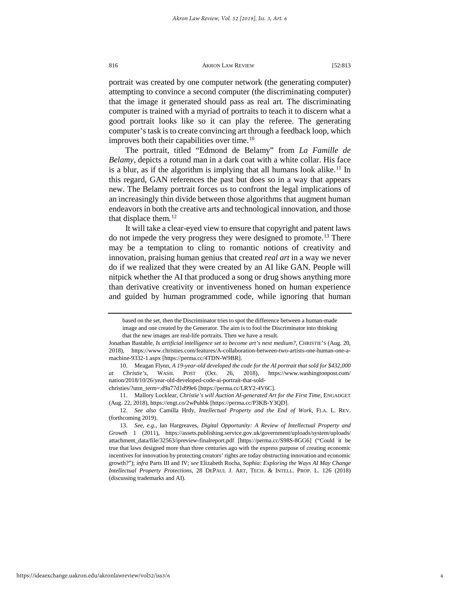portrait was created by one computer network (the generating computer) attempting to convince a second computer (the discriminating computer) that the image it generated should pass as real art. The discriminating computer is trained with a myriad of portraits to teach it to discern what a good portrait looks like so it can play the referee. The generating computer's task is to create convincing art through a feedback loop, which improves both their capabilities over time.<sup>[10](#page-4-0)</sup>

<span id="page-4-4"></span>The portrait, titled "Edmond de Belamy" from *La Famille de Belamy*, depicts a rotund man in a dark coat with a white collar. His face is a blur, as if the algorithm is implying that all humans look alike.<sup>11</sup> In this regard, GAN references the past but does so in a way that appears new. The Belamy portrait forces us to confront the legal implications of an increasingly thin divide between those algorithms that augment human endeavors in both the creative arts and technological innovation, and those that displace them*.* [12](#page-4-2)

It will take a clear-eyed view to ensure that copyright and patent laws do not impede the very progress they were designed to promote.<sup>[13](#page-4-3)</sup> There may be a temptation to cling to romantic notions of creativity and innovation, praising human genius that created *real art* in a way we never do if we realized that they were created by an AI like GAN. People will nitpick whether the AI that produced a song or drug shows anything more than derivative creativity or inventiveness honed on human experience and guided by human programmed code, while ignoring that human

based on the set, then the Discriminator tries to spot the difference between a human-made image and one created by the Generator. The aim is to fool the Discriminator into thinking that the new images are real-life portraits. Then we have a result.

Jonathan Bastable, *Is artificial intelligence set to become art's next medium?*, CHRISTIE'S (Aug. 20, 2018), https://www.christies.com/features/A-collaboration-between-two-artists-one-human-one-amachine-9332-1.aspx [https://perma.cc/4TDN-W9BR].

<span id="page-4-0"></span><sup>10.</sup> Meagan Flynn, *A 19-year-old developed the code for the AI portrait that sold for \$432,000 at Christie's*, WASH. POST (Oct. 26, 2018), https://www.washingtonpost.com/ nation/2018/10/26/year-old-developed-code-ai-portrait-that-soldchristies/?utm\_term=.d9a77d1d99e6 [https://perma.cc/LRY2-4V6C].

<span id="page-4-1"></span><sup>11.</sup> Mallory Locklear, *Christie's will Auction AI-generated Art for the First Time*, ENGADGET (Aug. 22, 2018), https://engt.co/2wPuhbk [https://perma.cc/P3KB-Y3QD].

<span id="page-4-2"></span><sup>12.</sup> *See also* Camilla Hrdy, *Intellectual Property and the End of Work*, FLA. L. REV. (forthcoming 2019).

<span id="page-4-3"></span><sup>13.</sup> *See, e.g.*, Ian Hargreaves, *Digital Opportunity: A Review of Intellectual Property and Growth* 1 (2011), [https://assets.publishing.service.gov.uk/government/uploads/system/uploads/](https://assets.publishing.service.gov.uk/government/uploads/system/uploads/attachment_data/file/32563/ipreview-finalreport.pdf) [attachment\\_data/file/32563/ipreview-finalreport.pdf](https://assets.publishing.service.gov.uk/government/uploads/system/uploads/attachment_data/file/32563/ipreview-finalreport.pdf) [https://perma.cc/S98S-8GG6] ("Could it be true that laws designed more than three centuries ago with the express purpose of creating economic incentives for innovation by protecting creators' rights are today obstructing innovation and economic growth?"); *infra* Part[s III](#page-23-0) an[d IV](#page-44-0); *see* Elizabeth Rocha, *Sophia: Exploring the Ways AI May Change Intellectual Property Protections*, 28 DEPAUL J. ART, TECH. & INTELL. PROP. L. 126 (2018) (discussing trademarks and AI).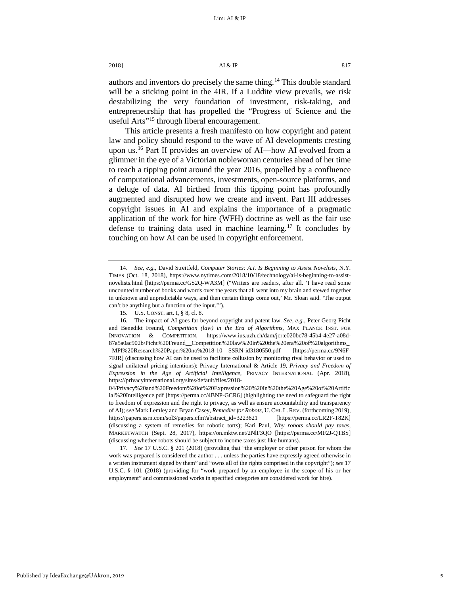authors and inventors do precisely the same thing.[14](#page-5-0) This double standard will be a sticking point in the 4IR. If a Luddite view prevails, we risk destabilizing the very foundation of investment, risk-taking, and entrepreneurship that has propelled the "Progress of Science and the useful Arts<sup>"15</sup> through liberal encouragement.

This article presents a fresh manifesto on how copyright and patent law and policy should respond to the wave of AI developments cresting upon us.<sup>16</sup> Part II provides an overview of AI—how AI evolved from a glimmer in the eye of a Victorian noblewoman centuries ahead of her time to reach a tipping point around the year 2016, propelled by a confluence of computational advancements, investments, open-source platforms, and a deluge of data. AI birthed from this tipping point has profoundly augmented and disrupted how we create and invent. Part III addresses copyright issues in AI and explains the importance of a pragmatic application of the work for hire (WFH) doctrine as well as the fair use defense to training data used in machine learning.[17](#page-5-3) It concludes by touching on how AI can be used in copyright enforcement.

<span id="page-5-0"></span><sup>14.</sup> *See, e.g.,* David Streitfeld, *Computer Stories: A.I. Is Beginning to Assist Novelists*, N.Y. TIMES (Oct. 18, 2018), https://www.nytimes.com/2018/10/18/technology/ai-is-beginning-to-assistnovelists.html [https://perma.cc/GS2Q-WA3M] ("Writers are readers, after all. 'I have read some uncounted number of books and words over the years that all went into my brain and stewed together in unknown and unpredictable ways, and then certain things come out,' Mr. Sloan said. 'The output can't be anything but a function of the input.'").

<sup>15.</sup> U.S. CONST. art. I, § 8, cl. 8.

<span id="page-5-2"></span><span id="page-5-1"></span><sup>16.</sup> The impact of AI goes far beyond copyright and patent law. *See, e.g.*, Peter Georg Picht and Benedikt Freund, *Competition (law) in the Era of Algorithms,* MAX PLANCK INST. FOR INNOVATION & COMPETITION, https://www.ius.uzh.ch/dam/jcr:e020bc78-45b4-4e27-a08d-87a5a0ac902b/Picht%20Freund\_\_Competition%20law%20in%20the%20era%20of%20algorithms\_

\_MPI%20Research%20Paper%20no%2018-10\_\_SSRN-id3180550.pdf [https://perma.cc/9N6F-7FJR] (discussing how AI can be used to facilitate collusion by monitoring rival behavior or used to signal unilateral pricing intentions); Privacy International & Article 19, *Privacy and Freedom of Expression in the Age of Artificial Intelligence*, PRIVACY INTERNATIONAL (Apr. 2018), https://privacyinternational.org/sites/default/files/2018-

<sup>04/</sup>Privacy%20and%20Freedom%20of%20Expression%20%20In%20the%20Age%20of%20Artific ial%20Intelligence.pdf [https://perma.cc/4BNP-GCR6] (highlighting the need to safeguard the right to freedom of expression and the right to privacy, as well as ensure accountability and transparency of AI); s*ee* Mark Lemley and Bryan Casey, *Remedies for Robots*, U. CHI. L. REV. (forthcoming 2019), https://papers.ssrn.com/sol3/papers.cfm?abstract\_id=3223621 [https://perma.cc/LR2F-T82K] (discussing a system of remedies for robotic torts); Kari Paul, *Why robots should pay taxes*, MARKETWATCH (Sept. 28, 2017), https://on.mktw.net/2NlF3QO [https://perma.cc/MF2J-QTBS] (discussing whether robots should be subject to income taxes just like humans).

<span id="page-5-3"></span><sup>17.</sup> *See* 17 U.S.C. § 201 (2018) (providing that "the employer or other person for whom the work was prepared is considered the author . . . unless the parties have expressly agreed otherwise in a written instrument signed by them" and "owns all of the rights comprised in the copyright"); *see* 17 U.S.C. § 101 (2018) (providing for "work prepared by an employee in the scope of his or her employment" and commissioned works in specified categories are considered work for hire).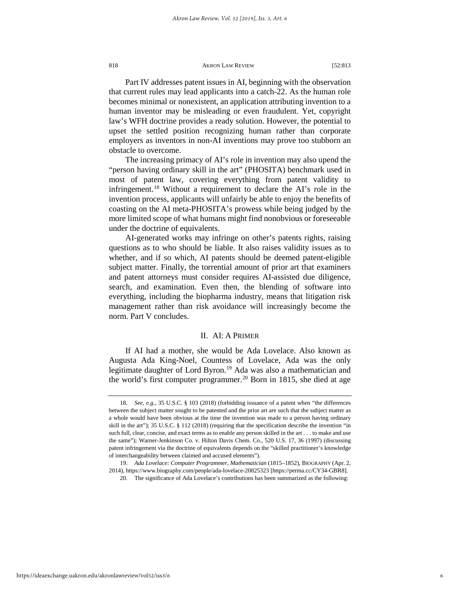Part IV addresses patent issues in AI, beginning with the observation that current rules may lead applicants into a catch-22. As the human role becomes minimal or nonexistent, an application attributing invention to a human inventor may be misleading or even fraudulent. Yet, copyright law's WFH doctrine provides a ready solution. However, the potential to upset the settled position recognizing human rather than corporate employers as inventors in non-AI inventions may prove too stubborn an obstacle to overcome.

The increasing primacy of AI's role in invention may also upend the "person having ordinary skill in the art" (PHOSITA) benchmark used in most of patent law, covering everything from patent validity to infringement.[18](#page-6-0) Without a requirement to declare the AI's role in the invention process, applicants will unfairly be able to enjoy the benefits of coasting on the AI meta-PHOSITA's prowess while being judged by the more limited scope of what humans might find nonobvious or foreseeable under the doctrine of equivalents.

AI-generated works may infringe on other's patents rights, raising questions as to who should be liable. It also raises validity issues as to whether, and if so which, AI patents should be deemed patent-eligible subject matter. Finally, the torrential amount of prior art that examiners and patent attorneys must consider requires AI-assisted due diligence, search, and examination. Even then, the blending of software into everything, including the biopharma industry, means that litigation risk management rather than risk avoidance will increasingly become the norm. Part V concludes.

# II. AI: A PRIMER

If AI had a mother, she would be Ada Lovelace. Also known as Augusta Ada King-Noel, Countess of Lovelace, Ada was the only legitimate daughter of Lord Byron.<sup>[19](#page-6-1)</sup> Ada was also a mathematician and the world's first computer programmer.<sup>[20](#page-6-2)</sup> Born in 1815, she died at age

<span id="page-6-0"></span><sup>18.</sup> *See, e.g.*, 35 U.S.C. § 103 (2018) (forbidding issuance of a patent when "the differences between the subject matter sought to be patented and the prior art are such that the subject matter as a whole would have been obvious at the time the invention was made to a person having ordinary skill in the art"); 35 U.S.C. § 112 (2018) (requiring that the specification describe the invention "in such full, clear, concise, and exact terms as to enable any person skilled in the art . . . to make and use the same"); Warner-Jenkinson Co. v. Hilton Davis Chem. Co., 520 U.S. 17, 36 (1997) (discussing patent infringement via the doctrine of equivalents depends on the "skilled practitioner's knowledge of interchangeability between claimed and accused elements").

<span id="page-6-2"></span><span id="page-6-1"></span><sup>19.</sup> *Ada Lovelace: Computer Programmer, Mathematician* (1815–1852), BIOGRAPHY (Apr. 2, 2014), https://www.biography.com/people/ada-lovelace-20825323 [https://perma.cc/CY34-GBR8].

<sup>20.</sup> The significance of Ada Lovelace's contributions has been summarized as the following: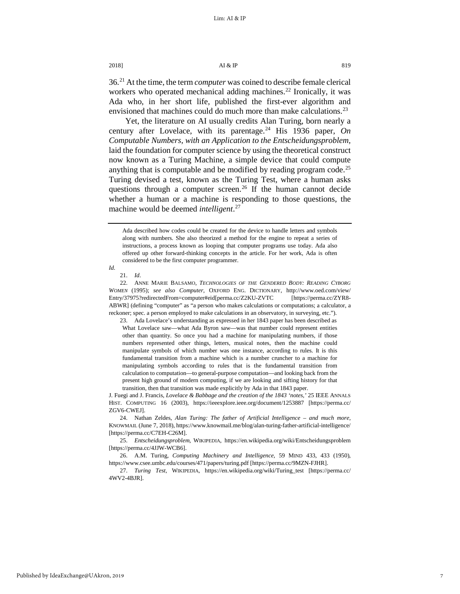36.[21](#page-7-0) At the time, the term *computer* was coined to describe female clerical workers who operated mechanical adding machines.<sup>[22](#page-7-1)</sup> Ironically, it was Ada who, in her short life, published the first-ever algorithm and envisioned that machines could do much more than make calculations.<sup>[23](#page-7-2)</sup>

Yet, the literature on AI usually credits Alan Turing, born nearly a century after Lovelace, with its parentage.<sup>[24](#page-7-3)</sup> His 1936 paper, On *Computable Numbers, with an Application to the Entscheidungsproblem,* laid the foundation for computer science by using the theoretical construct now known as a Turing Machine, a simple device that could compute anything that is computable and be modified by reading program code.<sup>[25](#page-7-4)</sup> Turing devised a test, known as the Turing Test, where a human asks questions through a computer screen.<sup>[26](#page-7-5)</sup> If the human cannot decide whether a human or a machine is responding to those questions, the machine would be deemed *intelligent*. [27](#page-7-6)

23. Ada Lovelace's understanding as expressed in her 1843 paper has been described as What Lovelace saw—what Ada Byron saw—was that number could represent entities other than quantity. So once you had a machine for manipulating numbers, if those numbers represented other things, letters, musical notes, then the machine could manipulate symbols of which number was one instance, according to rules. It is this fundamental transition from a machine which is a number cruncher to a machine for manipulating symbols according to rules that is the fundamental transition from calculation to computation—to general-purpose computation—and looking back from the present high ground of modern computing, if we are looking and sifting history for that transition, then that transition was made explicitly by Ada in that 1843 paper.

J. Fuegi and J. Francis, *Lovelace & Babbage and the creation of the 1843 'notes*,*'* 25 IEEE ANNALS HIST. COMPUTING 16 (2003), https://ieeexplore.ieee.org/document/1253887 [https://perma.cc/ ZGV6-CWEJ].

<span id="page-7-3"></span>24. Nathan Zeldes, *Alan Turing: The father of Artificial Intelligence – and much more*, KNOWMAIL (June 7, 2018), https://www.knowmail.me/blog/alan-turing-father-artificial-intelligence/ [https://perma.cc/C7EH-C26M].

<span id="page-7-4"></span>25. *Entscheidungsproblem*, WIKIPEDIA, https://en.wikipedia.org/wiki/Entscheidungsproblem [https://perma.cc/4JJW-WCB6].

<span id="page-7-5"></span>26. A.M. Turing, *Computing Machinery and Intelligence*, 59 MIND 433, 433 (1950), https://www.csee.umbc.edu/courses/471/papers/turing.pdf [https://perma.cc/9MZN-FJHR].

<span id="page-7-6"></span>27. *Turing Test*, WIKIPEDIA, https://en.wikipedia.org/wiki/Turing\_test [https://perma.cc/ 4WV2-4BJR].

Ada described how codes could be created for the device to handle letters and symbols along with numbers. She also theorized a method for the engine to repeat a series of instructions, a process known as looping that computer programs use today. Ada also offered up other forward-thinking concepts in the article. For her work, Ada is often considered to be the first computer programmer.

<span id="page-7-0"></span>*Id.*

<sup>21.</sup> *Id*.

<span id="page-7-2"></span><span id="page-7-1"></span><sup>22.</sup> ANNE MARIE BALSAMO, *TECHNOLOGIES OF THE GENDERED BODY: READING CYBORG WOMEN* (1995); *see also Computer,* OXFORD ENG. DICTIONARY, http://www.oed.com/view/ Entry/37975?redirectedFrom=computer#eid[perma.cc/Z2KU-ZVTC [https://perma.cc/ZYR8- ABWR] (defining "computer" as "a person who makes calculations or computations; a calculator, a reckoner; spec. a person employed to make calculations in an observatory, in surveying, etc.").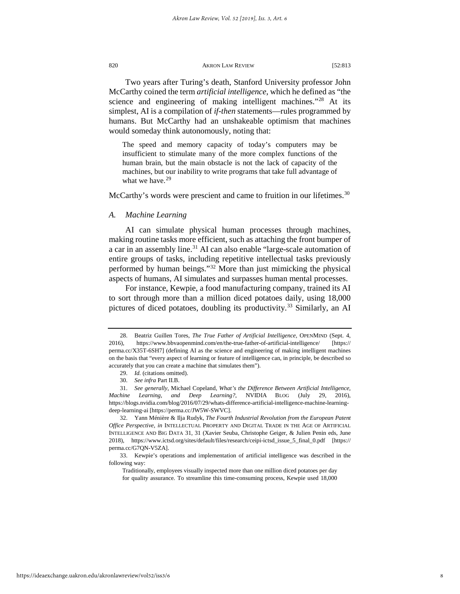Two years after Turing's death, Stanford University professor John McCarthy coined the term *artificial intelligence*, which he defined as "the science and engineering of making intelligent machines."<sup>[28](#page-8-0)</sup> At its simplest, AI is a compilation of *if-then* statements—rules programmed by humans. But McCarthy had an unshakeable optimism that machines would someday think autonomously, noting that:

The speed and memory capacity of today's computers may be insufficient to stimulate many of the more complex functions of the human brain, but the main obstacle is not the lack of capacity of the machines, but our inability to write programs that take full advantage of what we have. $29$ 

McCarthy's words were prescient and came to fruition in our lifetimes.<sup>[30](#page-8-2)</sup>

# *A. Machine Learning*

AI can simulate physical human processes through machines, making routine tasks more efficient, such as attaching the front bumper of a car in an assembly line.<sup>31</sup> AI can also enable "large-scale automation of entire groups of tasks, including repetitive intellectual tasks previously performed by human beings."[32](#page-8-4) More than just mimicking the physical aspects of humans, AI simulates and surpasses human mental processes.

<span id="page-8-6"></span>For instance, Kewpie, a food manufacturing company, trained its AI to sort through more than a million diced potatoes daily, using 18,000 pictures of diced potatoes, doubling its productivity.<sup>[33](#page-8-5)</sup> Similarly, an AI

<span id="page-8-4"></span>32. Yann Ménière & Ilja Rudyk, *The Fourth Industrial Revolution from the European Patent Office Perspective*, *in* INTELLECTUAL PROPERTY AND DIGITAL TRADE IN THE AGE OF ARTIFICIAL INTELLIGENCE AND BIG DATA 31, 31 (Xavier Seuba, Christophe Geiger, & Julien Penin eds, June 2018), https://www.ictsd.org/sites/default/files/research/ceipi-ictsd\_issue\_5\_final\_0.pdf [https:// perma.cc/G7QN-V5ZA].

Traditionally, employees visually inspected more than one million diced potatoes per day for quality assurance. To streamline this time-consuming process, Kewpie used 18,000

<span id="page-8-0"></span><sup>28.</sup> Beatriz Guillen Tores, *The True Father of Artificial Intelligence,* OPENMIND (Sept. 4, 2016), https://www.bbvaopenmind.com/en/the-true-father-of-artificial-intelligence/ [https:// perma.cc/X35T-6SH7] (defining AI as the science and engineering of making intelligent machines on the basis that "every aspect of learning or feature of intelligence can, in principle, be described so accurately that you can create a machine that simulates them").

<sup>29.</sup> *Id.* (citations omitted).

<sup>30.</sup> *See infra* Part II.B.

<span id="page-8-3"></span><span id="page-8-2"></span><span id="page-8-1"></span><sup>31.</sup> *See generally*, Michael Copeland, *What's the Difference Between Artificial Intelligence, Machine Learning, and Deep Learning?*, NVIDIA BLOG (July 29, 2016), https://blogs.nvidia.com/blog/2016/07/29/whats-difference-artificial-intelligence-machine-learningdeep-learning-ai [https://perma.cc/JW5W-SWVC].

<span id="page-8-5"></span><sup>33.</sup> Kewpie's operations and implementation of artificial intelligence was described in the following way: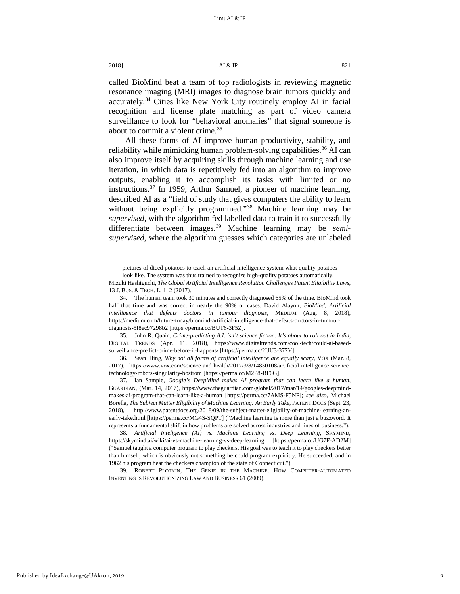called BioMind beat a team of top radiologists in reviewing magnetic resonance imaging (MRI) images to diagnose brain tumors quickly and accurately.[34](#page-9-0) Cities like New York City routinely employ AI in facial recognition and license plate matching as part of video camera surveillance to look for "behavioral anomalies" that signal someone is about to commit a violent crime.<sup>[35](#page-9-1)</sup>

<span id="page-9-7"></span>All these forms of AI improve human productivity, stability, and reliability while mimicking human problem-solving capabilities.<sup>[36](#page-9-2)</sup> AI can also improve itself by acquiring skills through machine learning and use iteration, in which data is repetitively fed into an algorithm to improve outputs, enabling it to accomplish its tasks with limited or no instructions.[37](#page-9-3) In 1959, Arthur Samuel, a pioneer of machine learning, described AI as a "field of study that gives computers the ability to learn without being explicitly programmed."<sup>[38](#page-9-4)</sup> Machine learning may be *supervised*, with the algorithm fed labelled data to train it to successfully differentiate between images.[39](#page-9-5) Machine learning may be *semisupervised*, where the algorithm guesses which categories are unlabeled

<span id="page-9-6"></span>pictures of diced potatoes to teach an artificial intelligence system what quality potatoes

look like. The system was thus trained to recognize high-quality potatoes automatically.

Mizuki Hashiguchi, *The Global Artificial Intelligence Revolution Challenges Patent Eligibility Laws*, 13 J. BUS. & TECH. L. 1, 2 (2017).

<span id="page-9-0"></span><sup>34.</sup> The human team took 30 minutes and correctly diagnosed 65% of the time. BioMind took half that time and was correct in nearly the 90% of cases. David Alayon, *BioMind, Artificial intelligence that defeats doctors in tumour diagnosis*, MEDIUM (Aug. 8, 2018), https://medium.com/future-today/biomind-artificial-intelligence-that-defeats-doctors-in-tumourdiagnosis-5f8ec97298b2 [https://perma.cc/BUT6-3F5Z].

<span id="page-9-1"></span><sup>35.</sup> John R. Quain, *Crime-predicting A.I. isn't science fiction. It's about to roll out in India*, DIGITAL TRENDS (Apr. 11, 2018), https://www.digitaltrends.com/cool-tech/could-ai-basedsurveillance-predict-crime-before-it-happens/ [https://perma.cc/2UU3-377Y].

<span id="page-9-2"></span><sup>36.</sup> Sean Illing, *Why not all forms of artificial intelligence are equally scary*, VOX (Mar. 8, 2017), https://www.vox.com/science-and-health/2017/3/8/14830108/artificial-intelligence-sciencetechnology-robots-singularity-bostrom [https://perma.cc/M2P8-BF6G].

<span id="page-9-3"></span><sup>37.</sup> Ian Sample, *Google's DeepMind makes AI program that can learn like a human*, GUARDIAN, (Mar. 14, 2017), https://www.theguardian.com/global/2017/mar/14/googles-deepmindmakes-ai-program-that-can-learn-like-a-human [https://perma.cc/7AMS-F5NP]; *see also*, Michael Borella, The Subject Matter Eligibility of Machine Learning: An Early Take, PATENT DOCS (Sept. 23, 2018), http://www.patentdocs.org/2018/09/the-subject-matter-eligibility-of-machine-learning-anearly-take.html [https://perma.cc/MG4S-SQPT] ("Machine learning is more than just a buzzword. It represents a fundamental shift in how problems are solved across industries and lines of business.").

<span id="page-9-4"></span><sup>38.</sup> *Artificial Inteligence (AI) vs. Machine Learning vs. Deep Learning*, SKYMIND, https://skymind.ai/wiki/ai-vs-machine-learning-vs-deep-learning [https://perma.cc/UG7F-AD2M] ("Samuel taught a computer program to play checkers. His goal was to teach it to play checkers better than himself, which is obviously not something he could program explicitly. He succeeded, and in 1962 his program beat the checkers champion of the state of Connecticut.").

<span id="page-9-5"></span><sup>39.</sup> ROBERT PLOTKIN, THE GENIE IN THE MACHINE: HOW COMPUTER-AUTOMATED INVENTING IS REVOLUTIONIZING LAW AND BUSINESS 61 (2009).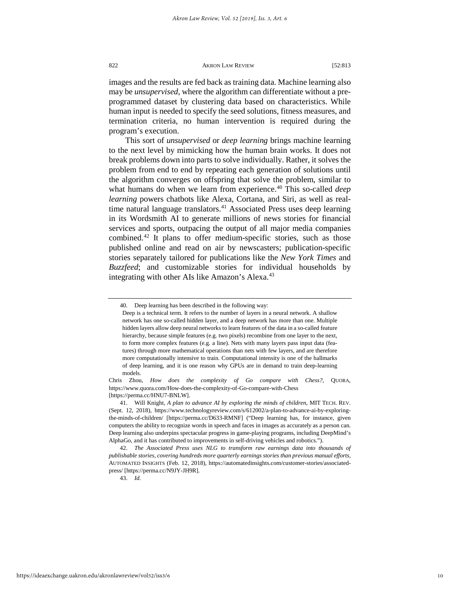images and the results are fed back as training data. Machine learning also may be *unsupervised*, where the algorithm can differentiate without a preprogrammed dataset by clustering data based on characteristics. While human input is needed to specify the seed solutions, fitness measures, and termination criteria, no human intervention is required during the program's execution.

<span id="page-10-4"></span>This sort of *unsupervised* or *deep learning* brings machine learning to the next level by mimicking how the human brain works. It does not break problems down into parts to solve individually. Rather, it solves the problem from end to end by repeating each generation of solutions until the algorithm converges on offspring that solve the problem, similar to what humans do when we learn from experience.<sup>[40](#page-10-0)</sup> This so-called *deep learning* powers chatbots like Alexa, Cortana, and Siri, as well as real-time natural language translators.<sup>[41](#page-10-1)</sup> Associated Press uses deep learning in its Wordsmith AI to generate millions of news stories for financial services and sports, outpacing the output of all major media companies combined.[42](#page-10-2) It plans to offer medium-specific stories, such as those published online and read on air by newscasters; publication-specific stories separately tailored for publications like the *New York Times* and *Buzzfeed*; and customizable stories for individual households by integrating with other AIs like Amazon's Alexa.<sup>[43](#page-10-3)</sup>

43. *Id.*

<span id="page-10-0"></span><sup>40.</sup> Deep learning has been described in the following way:

Deep is a technical term. It refers to the number of layers in a neural network. A shallow network has one so-called hidden layer, and a deep network has more than one. Multiple hidden layers allow deep neural networks to learn features of the data in a so-called feature hierarchy, because simple features (e.g. two pixels) recombine from one layer to the next, to form more complex features (e.g. a line). Nets with many layers pass input data (features) through more mathematical operations than nets with few layers, and are therefore more computationally intensive to train. Computational intensity is one of the hallmarks of deep learning, and it is one reason why GPUs are in demand to train deep-learning models.

Chris Zhou, *How does the complexity of Go compare with Chess?,* QUORA, https://www.quora.com/How-does-the-complexity-of-Go-compare-with-Chess [https://perma.cc/HNU7-BNLW].

<span id="page-10-1"></span><sup>41.</sup> Will Knight, *A plan to advance AI by exploring the minds of children*, MIT TECH. REV. (Sept. 12, 2018), https://www.technologyreview.com/s/612002/a-plan-to-advance-ai-by-exploringthe-minds-of-children/ [https://perma.cc/D633-RMNF] ("Deep learning has, for instance, given computers the ability to recognize words in speech and faces in images as accurately as a person can. Deep learning also underpins spectacular progress in game-playing programs, including DeepMind's AlphaGo, and it has contributed to improvements in self-driving vehicles and robotics.").

<span id="page-10-3"></span><span id="page-10-2"></span><sup>42.</sup> *The Associated Press uses NLG to transform raw earnings data into thousands of publishable stories, covering hundreds more quarterly earnings stories than previous manual efforts*, AUTOMATED INSIGHTS (Feb. 12, 2018), https://automatedinsights.com/customer-stories/associatedpress/ [https://perma.cc/N9JY-JH9R].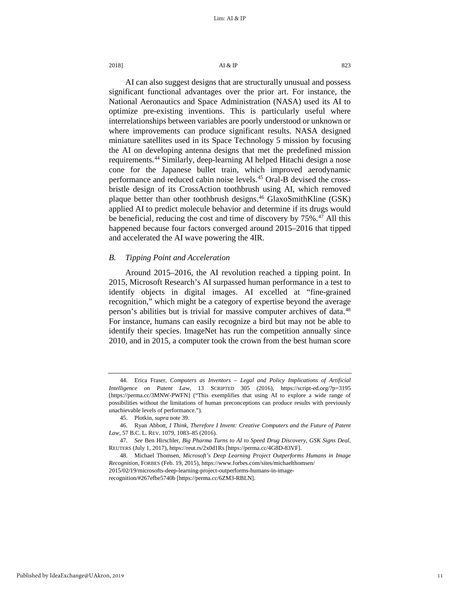<span id="page-11-5"></span>AI can also suggest designs that are structurally unusual and possess significant functional advantages over the prior art. For instance, the National Aeronautics and Space Administration (NASA) used its AI to optimize pre-existing inventions. This is particularly useful where interrelationships between variables are poorly understood or unknown or where improvements can produce significant results. NASA designed miniature satellites used in its Space Technology 5 mission by focusing the AI on developing antenna designs that met the predefined mission requirements.<sup>[44](#page-11-0)</sup> Similarly, deep-learning AI helped Hitachi design a nose cone for the Japanese bullet train, which improved aerodynamic performance and reduced cabin noise levels.[45](#page-11-1) Oral-B devised the crossbristle design of its CrossAction toothbrush using AI, which removed plaque better than other toothbrush designs.[46](#page-11-2) GlaxoSmithKline (GSK) applied AI to predict molecule behavior and determine if its drugs would be beneficial, reducing the cost and time of discovery by 75%.<sup>[47](#page-11-3)</sup> All this happened because four factors converged around 2015–2016 that tipped and accelerated the AI wave powering the 4IR.

# <span id="page-11-6"></span>*B. Tipping Point and Acceleration*

Around 2015–2016, the AI revolution reached a tipping point. In 2015, Microsoft Research's AI surpassed human performance in a test to identify objects in digital images. AI excelled at "fine-grained recognition," which might be a category of expertise beyond the average person's abilities but is trivial for massive computer archives of data.<sup>[48](#page-11-4)</sup> For instance, humans can easily recognize a bird but may not be able to identify their species. ImageNet has run the competition annually since 2010, and in 2015, a computer took the crown from the best human score

<span id="page-11-0"></span><sup>44.</sup> Erica Fraser, *Computers as Inventors – Legal and Policy Implications of Artificial Intelligence on Patent Law*, 13 SCRIPTED 305 (2016), https://script-ed.org/?p=3195 [https://perma.cc/3MNW-PWFN] ("This exemplifies that using AI to explore a wide range of possibilities without the limitations of human preconceptions can produce results with previously unachievable levels of performance.").

<sup>45.</sup> Plotkin, *supra* not[e 39.](#page-9-6)

<span id="page-11-2"></span><span id="page-11-1"></span><sup>46.</sup> Ryan Abbott, *I Think, Therefore I Invent: Creative Computers and the Future of Patent Law*, 57 B.C. L. REV. 1079, 1083–85 (2016).

<span id="page-11-3"></span><sup>47.</sup> *See* Ben Hirschler, *Big Pharma Turns to AI to Speed Drug Discovery, GSK Signs Deal*, REUTERS (July 1, 2017), https://reut.rs/2x0d1Rs [https://perma.cc/4G8D-83VF].

<span id="page-11-4"></span><sup>48.</sup> Michael Thomsen, *Microsoft's Deep Learning Project Outperforms Humans in Image Recognition*, FORBES (Feb. 19, 2015), https://www.forbes.com/sites/michaelthomsen/ 2015/02/19/microsofts-deep-learning-project-outperforms-humans-in-imagerecognition/#267efbe5740b [https://perma.cc/6ZM3-RBLN].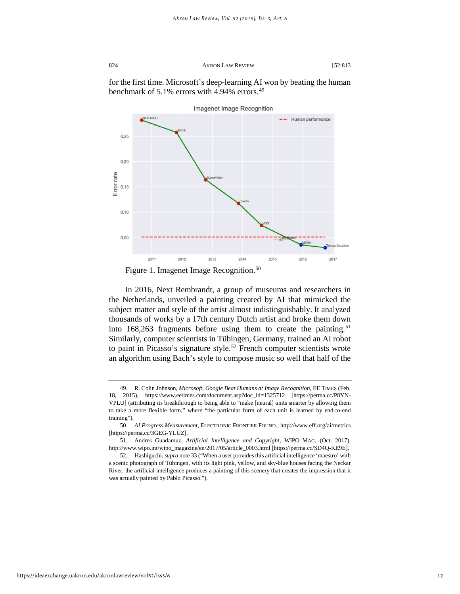for the first time. Microsoft's deep-learning AI won by beating the human benchmark of 5.1% errors with 4.94% errors. $49$ 



<span id="page-12-4"></span>In 2016, Next Rembrandt, a group of museums and researchers in the Netherlands, unveiled a painting created by AI that mimicked the subject matter and style of the artist almost indistinguishably. It analyzed thousands of works by a 17th century Dutch artist and broke them down into  $168,263$  fragments before using them to create the painting.<sup>[51](#page-12-2)</sup> Similarly, computer scientists in Tübingen, Germany, trained an AI robot to paint in Picasso's signature style.<sup>[52](#page-12-3)</sup> French computer scientists wrote an algorithm using Bach's style to compose music so well that half of the

<span id="page-12-0"></span><sup>49.</sup> R. Colin Johnson, *Microsoft, Google Beat Humans at Image Recognition*, EE TIMES (Feb. 18, 2015), https://www.eetimes.com/document.asp?doc\_id=1325712 [\[https://perma.cc/P8YN-](https://perma.cc/P8YN-VPLU)[VPLU\]](https://perma.cc/P8YN-VPLU) (attributing its breakthrough to being able to "make [neural] units smarter by allowing them to take a more flexible form," where "the particular form of each unit is learned by end-to-end training").

<span id="page-12-1"></span><sup>50.</sup> *AI Progress Measurement*, ELECTRONIC FRONTIER FOUND., <http://www.eff.org/ai/metrics> [\[https://perma.cc/3GEG-YLUZ\]](https://perma.cc/3GEG-YLUZ).

<span id="page-12-2"></span><sup>51.</sup> Andres Guadamuz, *Artificial Intelligence and Copyright*, WIPO MAG. (Oct. 2017), http://www.wipo.int/wipo\_magazine/en/2017/05/article\_0003.html [https://perma.cc/SD4Q-KE9E].

<span id="page-12-3"></span><sup>52.</sup> Hashiguchi, *supra* not[e 33 \(](#page-8-6)"When a user provides this artificial intelligence 'maestro' with a scenic photograph of Tübingen, with its light pink, yellow, and sky-blue houses facing the Neckar River, the artificial intelligence produces a painting of this scenery that creates the impression that it was actually painted by Pablo Picasso.").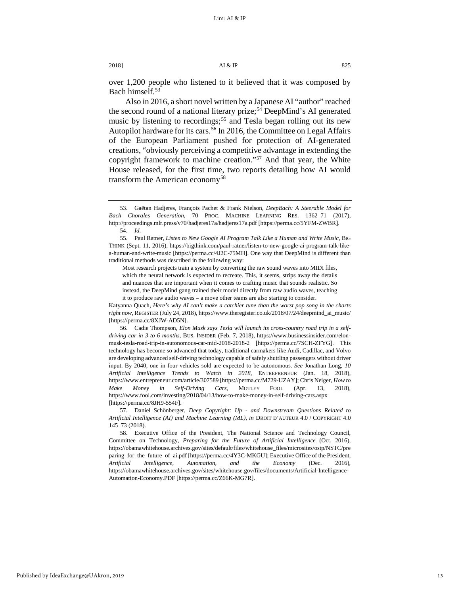over 1,200 people who listened to it believed that it was composed by Bach himself.<sup>[53](#page-13-0)</sup>

<span id="page-13-6"></span>Also in 2016, a short novel written by a Japanese AI "author" reached the second round of a national literary prize;<sup>[54](#page-13-1)</sup> DeepMind's AI generated music by listening to recordings;<sup>[55](#page-13-2)</sup> and Tesla began rolling out its new Autopilot hardware for its cars.<sup>[56](#page-13-3)</sup> In 2016, the Committee on Legal Affairs of the European Parliament pushed for protection of AI-generated creations, "obviously perceiving a competitive advantage in extending the copyright framework to machine creation."[57](#page-13-4) And that year, the White House released, for the first time, two reports detailing how AI would transform the American economy<sup>[58](#page-13-5)</sup>

Most research projects train a system by converting the raw sound waves into MIDI files, which the neural network is expected to recreate. This, it seems, strips away the details and nuances that are important when it comes to crafting music that sounds realistic. So instead, the DeepMind gang trained their model directly from raw audio waves, teaching it to produce raw audio waves – a move other teams are also starting to consider.

Katyanna Quach, *Here's why AI can't make a catchier tune than the worst pop song in the charts right now*, REGISTER (July 24, 2018), https://www.theregister.co.uk/2018/07/24/deepmind\_ai\_music/ [https://perma.cc/8XJW-AD5N].

<span id="page-13-7"></span><span id="page-13-0"></span><sup>53.</sup> Gaëtan Hadjeres, François Pachet & Frank Nielson, *DeepBach: A Steerable Model for Bach Chorales Generation*, 70 PROC. MACHINE LEARNING RES. 1362–71 (2017), http://proceedings.mlr.press/v70/hadjeres17a/hadjeres17a.pdf [https://perma.cc/5YFM-ZWBR]. 54. *Id.*

<span id="page-13-2"></span><span id="page-13-1"></span><sup>55.</sup> Paul Ratner, *Listen to New Google AI Program Talk Like a Human and Write Music*, BIG THINK (Sept. 11, 2016), https://bigthink.com/paul-ratner/listen-to-new-google-ai-program-talk-likea-human-and-write-music [https://perma.cc/4J2C-75MH]. One way that DeepMind is different than traditional methods was described in the following way:

<span id="page-13-3"></span><sup>56.</sup> Cadie Thompson, *Elon Musk says Tesla will launch its cross-country road trip in a selfdriving car in 3 to 6 months*, BUS. INSIDER (Feb. 7, 2018), https://www.businessinsider.com/elonmusk-tesla-road-trip-in-autonomous-car-mid-2018-2018-2 [https://perma.cc/7SCH-ZFYG]. This technology has become so advanced that today, traditional carmakers like Audi, Cadillac, and Volvo are developing advanced self-driving technology capable of safely shuttling passengers without driver input. By 2040, one in four vehicles sold are expected to be autonomous. *See* Jonathan Long, *10 Artificial Intelligence Trends to Watch in 2018*, ENTREPRENEUR (Jan. 18, 2018), https://www.entrepreneur.com/article/307589 [https://perma.cc/M729-UZAY]; Chris Neiger, *How to Make Money in Self-Driving Cars*, MOTLEY FOOL (Apr. 13, https://www.fool.com/investing/2018/04/13/how-to-make-money-in-self-driving-cars.aspx [https://perma.cc/8JH9-554F].

<span id="page-13-4"></span><sup>57.</sup> Daniel Schönberger, *Deep Copyright: Up - and Downstream Questions Related to Artificial Intelligence (AI) and Machine Learning (ML)*, *in* DROIT D'AUTEUR 4.0 / COPYRIGHT 4.0 145–73 (2018).

<span id="page-13-5"></span><sup>58.</sup> Executive Office of the President, The National Science and Technology Council, Committee on Technology, *Preparing for the Future of Artificial Intelligence* (Oct. 2016), https://obamawhitehouse.archives.gov/sites/default/files/whitehouse\_files/microsites/ostp/NSTC/pre paring for the future of ai.pdf [https://perma.cc/4Y3C-MKGU]; Executive Office of the President, *Artificial Intelligence, Automation, and the Economy* (Dec. 2016), https://obamawhitehouse.archives.gov/sites/whitehouse.gov/files/documents/Artificial-Intelligence-Automation-Economy.PDF [https://perma.cc/Z66K-MG7R].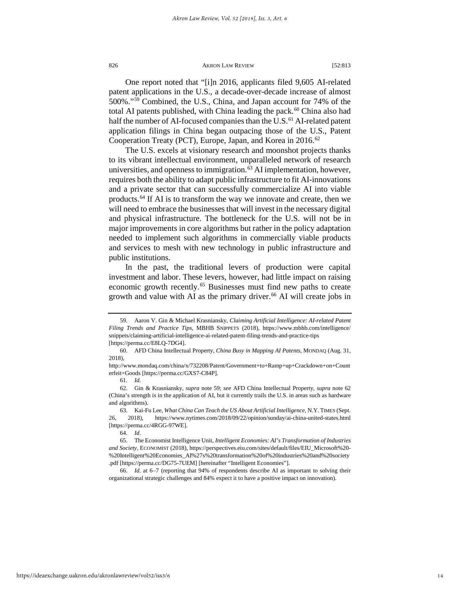<span id="page-14-0"></span>One report noted that "[i]n 2016, applicants filed 9,605 AI-related patent applications in the U.S., a decade-over-decade increase of almost 500%."[59](#page-14-1) Combined, the U.S., China, and Japan account for 74% of the total AI patents published, with China leading the pack.<sup>60</sup> China also had half the number of AI-focused companies than the U.S.<sup>[61](#page-14-3)</sup> AI-related patent application filings in China began outpacing those of the U.S., Patent Cooperation Treaty (PCT), Europe, Japan, and Korea in 2016.<sup>[62](#page-14-4)</sup>

The U.S. excels at visionary research and moonshot projects thanks to its vibrant intellectual environment, unparalleled network of research universities, and openness to immigration.<sup>63</sup> AI implementation, however, requires both the ability to adapt public infrastructure to fit AI-innovations and a private sector that can successfully commercialize AI into viable products.[64](#page-14-6) If AI is to transform the way we innovate and create, then we will need to embrace the businesses that will invest in the necessary digital and physical infrastructure. The bottleneck for the U.S. will not be in major improvements in core algorithms but rather in the policy adaptation needed to implement such algorithms in commercially viable products and services to mesh with new technology in public infrastructure and public institutions.

<span id="page-14-9"></span>In the past, the traditional levers of production were capital investment and labor. These levers, however, had little impact on raising economic growth recently.<sup>[65](#page-14-7)</sup> Businesses must find new paths to create growth and value with AI as the primary driver.<sup>[66](#page-14-8)</sup> AI will create jobs in

64. *Id*.

<span id="page-14-8"></span>66. *Id.* at 6−7 (reporting that 94% of respondents describe AI as important to solving their organizational strategic challenges and 84% expect it to have a positive impact on innovation).

<span id="page-14-1"></span><sup>59.</sup> Aaron V. Gin & Michael Krasniansky, *Claiming Artificial Intelligence: AI-related Patent Filing Trends and Practice Tips,* MBHB SNIPPETS (2018), https://www.mbhb.com/intelligence/ snippets/claiming-artificial-intelligence-ai-related-patent-filing-trends-and-practice-tips [https://perma.cc/E8LQ-7DG4].

<span id="page-14-2"></span><sup>60.</sup> AFD China Intellectual Property, *China Busy in Mapping AI Patents*, MONDAQ (Aug. 31, 2018),

<span id="page-14-3"></span>http://www.mondaq.com/china/x/732208/Patent/Government+to+Ramp+up+Crackdown+on+Count erfeit+Goods [https://perma.cc/GXS7-C84P].

<sup>61.</sup> *Id.*

<span id="page-14-4"></span><sup>62.</sup> Gin & Krasniansky, *supra* not[e 59;](#page-14-0) *see* AFD China Intellectual Property, *supra* note 62 (China's strength is in the application of AI, but it currently trails the U.S. in areas such as hardware and algorithms).

<span id="page-14-5"></span><sup>63.</sup> Kai-Fu Lee, *What China Can Teach the US About Artificial Intelligence*, N.Y. TIMES (Sept. 26, 2018), https://www.nytimes.com/2018/09/22/opinion/sunday/ai-china-united-states.html [https://perma.cc/4RGG-97WE].

<span id="page-14-7"></span><span id="page-14-6"></span><sup>65.</sup> The Economist Intelligence Unit, *Intelligent Economies: AI's Transformation of Industries and Society*, ECONOMIST (2018), https://perspectives.eiu.com/sites/default/files/EIU\_Microsoft%20- %20Intelligent%20Economies\_AI%27s%20transformation%20of%20industries%20and%20society .pdf [https://perma.cc/DG75-7UEM] [hereinafter "Intelligent Economies"].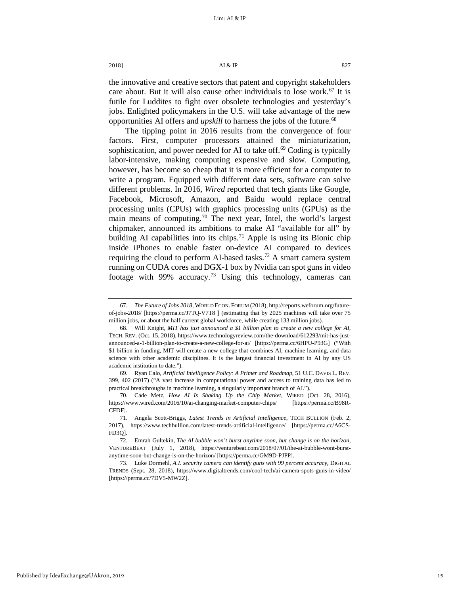the innovative and creative sectors that patent and copyright stakeholders care about. But it will also cause other individuals to lose work.<sup>[67](#page-15-0)</sup> It is futile for Luddites to fight over obsolete technologies and yesterday's jobs. Enlighted policymakers in the U.S. will take advantage of the new opportunities AI offers and *upskill* to harness the jobs of the future.<sup>[68](#page-15-1)</sup>

The tipping point in 2016 results from the convergence of four factors. First, computer processors attained the miniaturization, sophistication, and power needed for AI to take off.<sup>[69](#page-15-2)</sup> Coding is typically labor-intensive, making computing expensive and slow. Computing, however, has become so cheap that it is more efficient for a computer to write a program. Equipped with different data sets, software can solve different problems. In 2016, *Wired* reported that tech giants like Google, Facebook, Microsoft, Amazon, and Baidu would replace central processing units (CPUs) with graphics processing units (GPUs) as the main means of computing.<sup>[70](#page-15-3)</sup> The next year, Intel, the world's largest chipmaker, announced its ambitions to make AI "available for all" by building AI capabilities into its chips.<sup>[71](#page-15-4)</sup> Apple is using its Bionic chip inside iPhones to enable faster on-device AI compared to devices requiring the cloud to perform AI-based tasks.<sup>[72](#page-15-5)</sup> A smart camera system running on CUDA cores and DGX-1 box by Nvidia can spot guns in video footage with  $99\%$  accuracy.<sup>[73](#page-15-6)</sup> Using this technology, cameras can

<span id="page-15-7"></span><span id="page-15-0"></span><sup>67.</sup> *The Future of Jobs 2018,* WORLD ECON. FORUM (2018), http://reports.weforum.org/futureof-jobs-2018/ [https://perma.cc/J7TQ-V7T8 ] (estimating that by 2025 machines will take over 75 million jobs, or about the half current global workforce, while creating 133 million jobs).

<span id="page-15-1"></span><sup>68.</sup> Will Knight, *MIT has just announced a \$1 billion plan to create a new college for AI*, TECH. REV. (Oct. 15, 2018), https://www.technologyreview.com/the-download/612293/mit-has-justannounced-a-1-billion-plan-to-create-a-new-college-for-ai/ [https://perma.cc/6HPU-P93G] ("With \$1 billion in funding, MIT will create a new college that combines AI, machine learning, and data science with other academic disciplines. It is the largest financial investment in AI by any US academic institution to date.").

<span id="page-15-2"></span><sup>69.</sup> Ryan Calo, *Artificial Intelligence Policy: A Primer and Roadmap*, 51 U.C. DAVIS L. REV. 399, 402 (2017) ("A vast increase in computational power and access to training data has led to practical breakthroughs in machine learning, a singularly important branch of AI.").

<span id="page-15-3"></span><sup>70.</sup> Cade Metz, *How AI Is Shaking Up the Chip Market*, WIRED (Oct. 28, 2016), https://www.wired.com/2016/10/ai-changing-market-computer-chips/ [https://perma.cc/B98R-CFDF].

<span id="page-15-4"></span><sup>71.</sup> Angela Scott-Briggs, *Latest Trends in Artificial Intelligence*, TECH BULLION (Feb. 2, 2017), https://www.techbullion.com/latest-trends-artificial-intelligence/ [https://perma.cc/A6CS-FD3Q].

<span id="page-15-5"></span><sup>72.</sup> Emrah Gultekin, *The AI bubble won't burst anytime soon, but change is on the horizon*, VENTUREBEAT (July 1, 2018), https://venturebeat.com/2018/07/01/the-ai-bubble-wont-burstanytime-soon-but-change-is-on-the-horizon/ [https://perma.cc/GM9D-PJPP].

<span id="page-15-6"></span><sup>73.</sup> Luke Dormehl, *A.I. security camera can identify guns with 99 percent accuracy*, DIGITAL TRENDS (Sept. 28, 2018), https://www.digitaltrends.com/cool-tech/ai-camera-spots-guns-in-video/ [https://perma.cc/7DV5-MW2Z].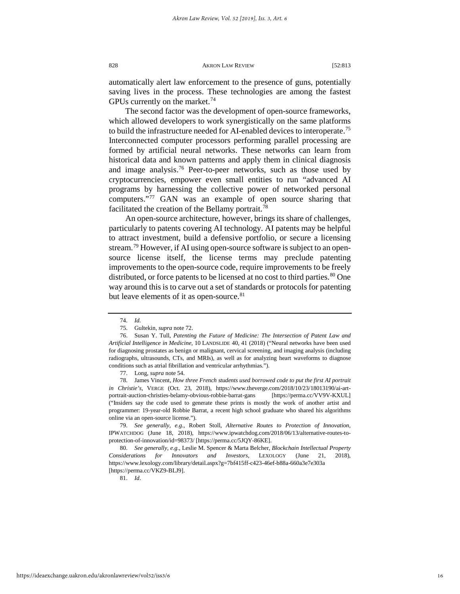automatically alert law enforcement to the presence of guns, potentially saving lives in the process. These technologies are among the fastest GPUs currently on the market.<sup>[74](#page-16-0)</sup>

The second factor was the development of open-source frameworks, which allowed developers to work synergistically on the same platforms to build the infrastructure needed for AI-enabled devices to interoperate.<sup>[75](#page-16-1)</sup> Interconnected computer processors performing parallel processing are formed by artificial neural networks. These networks can learn from historical data and known patterns and apply them in clinical diagnosis and image analysis.[76](#page-16-2) Peer-to-peer networks, such as those used by cryptocurrencies, empower even small entities to run "advanced AI programs by harnessing the collective power of networked personal computers."[77](#page-16-3) GAN was an example of open source sharing that facilitated the creation of the Bellamy portrait.<sup>[78](#page-16-4)</sup>

<span id="page-16-8"></span>An open-source architecture, however, brings its share of challenges, particularly to patents covering AI technology. AI patents may be helpful to attract investment, build a defensive portfolio, or secure a licensing stream.<sup>[79](#page-16-5)</sup> However, if AI using open-source software is subject to an opensource license itself, the license terms may preclude patenting improvements to the open-source code, require improvements to be freely distributed, or force patents to be licensed at no cost to third parties.<sup>[80](#page-16-6)</sup> One way around this is to carve out a set of standards or protocols for patenting but leave elements of it as open-source.<sup>[81](#page-16-7)</sup>

81. *Id*.

<sup>74.</sup> *Id.*

<sup>75.</sup> Gultekin, *supra* not[e 72.](#page-15-7)

<span id="page-16-2"></span><span id="page-16-1"></span><span id="page-16-0"></span><sup>76.</sup> Susan Y. Tull, *Patenting the Future of Medicine: The Intersection of Patent Law and Artificial Intelligence in Medicine*, 10 LANDSLIDE 40, 41 (2018) ("Neural networks have been used for diagnosing prostates as benign or malignant, cervical screening, and imaging analysis (including radiographs, ultrasounds, CTs, and MRIs), as well as for analyzing heart waveforms to diagnose conditions such as atrial fibrillation and ventricular arrhythmias.").

<sup>77.</sup> Long, *supra* note 54.

<span id="page-16-4"></span><span id="page-16-3"></span><sup>78.</sup> James Vincent, *How three French students used borrowed code to put the first AI portrait in Christie's*, VERGE (Oct. 23, 2018), https://www.theverge.com/2018/10/23/18013190/ai-artportrait-auction-christies-belamy-obvious-robbie-barrat-gans [https://perma.cc/VV9V-KXUL] ("Insiders say the code used to generate these prints is mostly the work of another artist and programmer: 19-year-old Robbie Barrat, a recent high school graduate who shared his algorithms online via an open-source license.").

<span id="page-16-5"></span><sup>79.</sup> *See generally, e.g.*, Robert Stoll, *Alternative Routes to Protection of Innovation*, IPWATCHDOG (June 18, 2018), https://www.ipwatchdog.com/2018/06/13/alternative-routes-toprotection-of-innovation/id=98373/ [https://perma.cc/5JQY-86KE].

<span id="page-16-7"></span><span id="page-16-6"></span><sup>80.</sup> *See generally, e.g.*, Leslie M. Spencer & Marta Belcher, *Blockchain Intellectual Property Considerations for Innovators and Investors*, LEXOLOGY (June 21, 2018), https://www.lexology.com/library/detail.aspx?g=7bf415ff-c423-46ef-b88a-660a3e7e303a [https://perma.cc/VKZ9-BLJ9].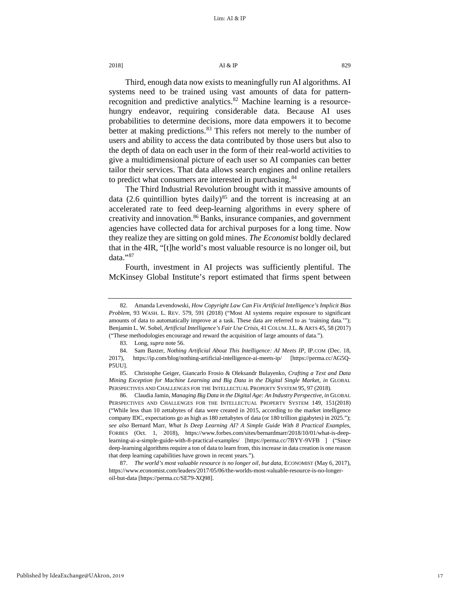2018]  $\overline{A1} \& \overline{IP}$  829

Third, enough data now exists to meaningfully run AI algorithms. AI systems need to be trained using vast amounts of data for patternrecognition and predictive analytics. $82$  Machine learning is a resourcehungry endeavor, requiring considerable data. Because AI uses probabilities to determine decisions, more data empowers it to become better at making predictions.<sup>[83](#page-17-1)</sup> This refers not merely to the number of users and ability to access the data contributed by those users but also to the depth of data on each user in the form of their real-world activities to give a multidimensional picture of each user so AI companies can better tailor their services. That data allows search engines and online retailers to predict what consumers are interested in purchasing.<sup>[84](#page-17-2)</sup>

The Third Industrial Revolution brought with it massive amounts of data (2.6 quintillion bytes daily)<sup>[85](#page-17-3)</sup> and the torrent is increasing at an accelerated rate to feed deep-learning algorithms in every sphere of creativity and innovation.<sup>86</sup> Banks, insurance companies, and government agencies have collected data for archival purposes for a long time. Now they realize they are sitting on gold mines. *The Economist* boldly declared that in the 4IR, "[t]he world's most valuable resource is no longer oil, but data."[87](#page-17-5)

Fourth, investment in AI projects was sufficiently plentiful. The McKinsey Global Institute's report estimated that firms spent between

83. Long, *supra* not[e 56.](#page-13-6) 

<span id="page-17-5"></span>87. *The world's most valuable resource is no longer oil, but data*, ECONOMIST (May 6, 2017), https://www.economist.com/leaders/2017/05/06/the-worlds-most-valuable-resource-is-no-longeroil-but-data [https://perma.cc/SE79-XQ98].

<span id="page-17-6"></span>

<span id="page-17-0"></span><sup>82.</sup> Amanda Levendowski, *How Copyright Law Can Fix Artificial Intelligence's Implicit Bias Problem*, 93 WASH. L. REV. 579, 591 (2018) ("Most AI systems require exposure to significant amounts of data to automatically improve at a task. These data are referred to as 'training data.'"); Benjamin L. W. Sobel, *Artificial Intelligence's Fair Use Crisis*, 41 COLUM.J.L. &ARTS 45, 58 (2017) ("These methodologies encourage and reward the acquisition of large amounts of data.").

<span id="page-17-2"></span><span id="page-17-1"></span><sup>84.</sup> Sam Baxter, *Nothing Artificial About This Intelligence: AI Meets IP, IP.COM (Dec. 18,* 2017), https://ip.com/blog/nothing-artificial-intelligence-ai-meets-ip/ [https://perma.cc/AG5Q-P5UU].

<span id="page-17-3"></span><sup>85.</sup> Christophe Geiger, Giancarlo Frosio & Oleksandr Bulayenko, *Crafting a Text and Data Mining Exception for Machine Learning and Big Data in the Digital Single Market*, *in* GLOBAL PERSPECTIVES AND CHALLENGES FOR THE INTELLECTUAL PROPERTY SYSTEM 95, 97 (2018).

<span id="page-17-4"></span><sup>86.</sup> Claudia Jamin, *Managing Big Data in the Digital Age: An Industry Perspective*, *in* GLOBAL PERSPECTIVES AND CHALLENGES FOR THE INTELLECTUAL PROPERTY SYSTEM 149, 151(2018) ("While less than 10 zettabytes of data were created in 2015, according to the market intelligence company IDC, expectations go as high as 180 zettabytes of data (or 180 trillion gigabytes) in 2025."); *see also* Bernard Marr, *What Is Deep Learning AI? A Simple Guide With 8 Practical Examples*, FORBES (Oct. 1, 2018), https://www.forbes.com/sites/bernardmarr/2018/10/01/what-is-deeplearning-ai-a-simple-guide-with-8-practical-examples/ [https://perma.cc/7BYY-9VFB ] ("Since deep-learning algorithms require a ton of data to learn from, this increase in data creation is one reason that deep learning capabilities have grown in recent years.").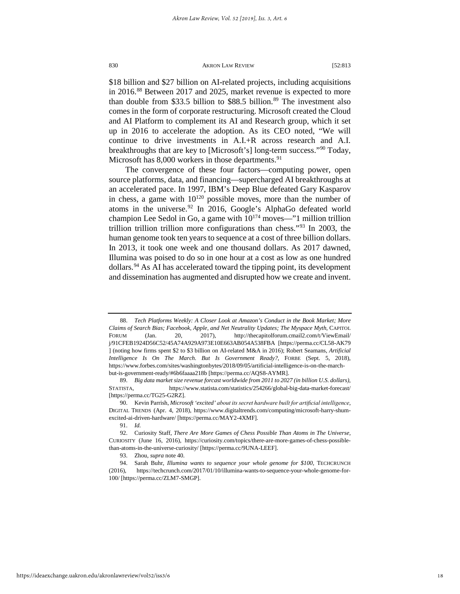\$18 billion and \$27 billion on AI-related projects, including acquisitions in 2016.<sup>[88](#page-18-0)</sup> Between 2017 and 2025, market revenue is expected to more than double from \$33.5 billion to \$88.5 billion. $89$  The investment also comes in the form of corporate restructuring. Microsoft created the Cloud and AI Platform to complement its AI and Research group, which it set up in 2016 to accelerate the adoption. As its CEO noted, "We will continue to drive investments in A.I.+R across research and A.I. breakthroughs that are key to [Microsoft's] long-term success."[90](#page-18-2) Today, Microsoft has  $8,000$  workers in those departments.<sup>91</sup>

The convergence of these four factors—computing power, open source platforms, data, and financing—supercharged AI breakthroughs at an accelerated pace. In 1997, IBM's Deep Blue defeated Gary Kasparov in chess, a game with  $10^{120}$  possible moves, more than the number of atoms in the universe.<sup>[92](#page-18-4)</sup> In 2016, Google's AlphaGo defeated world champion Lee Sedol in Go, a game with  $10^{174}$  moves—"1 million trillion trillion trillion trillion more configurations than chess."[93](#page-18-5) In 2003, the human genome took ten years to sequence at a cost of three billion dollars. In 2013, it took one week and one thousand dollars. As 2017 dawned, Illumina was poised to do so in one hour at a cost as low as one hundred dollars.[94](#page-18-6) As AI has accelerated toward the tipping point, its development and dissemination has augmented and disrupted how we create and invent.

<span id="page-18-0"></span><sup>88.</sup> *Tech Platforms Weekly: A Closer Look at Amazon's Conduct in the Book Market; More Claims of Search Bias; Facebook, Apple, and Net Neutrality Updates; The Myspace Myth*, CAPITOL FORUM (Jan. 20, 2017), http://thecapitolforum.cmail2.com/t/ViewEmail/ j/91CFEB1924D56C52/45A74A929A973E10E663AB054A538FBA [https://perma.cc/CL58-AK79 ] (noting how firms spent \$2 to \$3 billion on AI-related M&A in 2016); Robert Seamans, *Artificial Intelligence Is On The March. But Is Government Ready?*, FORBE (Sept. 5, 2018), https://www.forbes.com/sites/washingtonbytes/2018/09/05/artificial-intelligence-is-on-the-marchbut-is-government-ready/#6b6faaaa218b [\[https://perma.cc/AQS8-AYMR\]](https://perma.cc/AQS8-AYMR).

<span id="page-18-1"></span><sup>89.</sup> *Big data market size revenue forcast worldwide from 2011 to 2027 (in billion U.S. dollars)*, STATISTA, https://www.statista.com/statistics/254266/global-big-data-market-forecast/ [https://perma.cc/TG25-G2RZ].

<span id="page-18-2"></span><sup>90.</sup> Kevin Parrish, *Microsoft 'excited' about its secret hardware built for artificial intelligence*, DIGITAL TRENDS (Apr. 4, 2018), https://www.digitaltrends.com/computing/microsoft-harry-shumexcited-ai-driven-hardware/ [https://perma.cc/MAY2-4XMF].

<sup>91.</sup> *Id.*

<span id="page-18-4"></span><span id="page-18-3"></span><sup>92.</sup> Curiosity Staff, *There Are More Games of Chess Possible Than Atoms in The Universe,* CURIOSITY (June 16, 2016), https://curiosity.com/topics/there-are-more-games-of-chess-possiblethan-atoms-in-the-universe-curiosity/ [https://perma.cc/9UNA-LEEF].

<sup>93.</sup> Zhou, *supra* not[e 40.](#page-10-4) 

<span id="page-18-6"></span><span id="page-18-5"></span><sup>94.</sup> Sarah Buhr, *Illumina wants to sequence your whole genome for \$100*, TECHCRUNCH (2016), https://techcrunch.com/2017/01/10/illumina-wants-to-sequence-your-whole-genome-for-100/ [https://perma.cc/ZLM7-SMGP].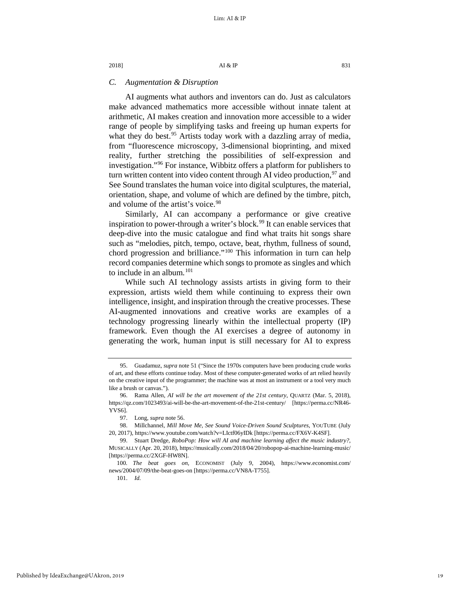# *C. Augmentation & Disruption*

AI augments what authors and inventors can do. Just as calculators make advanced mathematics more accessible without innate talent at arithmetic, AI makes creation and innovation more accessible to a wider range of people by simplifying tasks and freeing up human experts for what they do best.<sup>[95](#page-19-0)</sup> Artists today work with a dazzling array of media, from "fluorescence microscopy, 3-dimensional bioprinting, and mixed reality, further stretching the possibilities of self-expression and investigation."[96](#page-19-1) For instance, Wibbitz offers a platform for publishers to turn written content into video content through AI video production,  $97$  and See Sound translates the human voice into digital sculptures, the material, orientation, shape, and volume of which are defined by the timbre, pitch, and volume of the artist's voice.<sup>[98](#page-19-3)</sup>

<span id="page-19-8"></span><span id="page-19-7"></span>Similarly, AI can accompany a performance or give creative inspiration to power-through a writer's block.<sup>[99](#page-19-4)</sup> It can enable services that deep-dive into the music catalogue and find what traits hit songs share such as "melodies, pitch, tempo, octave, beat, rhythm, fullness of sound, chord progression and brilliance."<sup>[100](#page-19-5)</sup> This information in turn can help record companies determine which songs to promote as singles and which to include in an album. $101$ 

While such AI technology assists artists in giving form to their expression, artists wield them while continuing to express their own intelligence, insight, and inspiration through the creative processes. These AI-augmented innovations and creative works are examples of a technology progressing linearly within the intellectual property (IP) framework. Even though the AI exercises a degree of autonomy in generating the work, human input is still necessary for AI to express

101. *Id.*

<span id="page-19-0"></span><sup>95.</sup> Guadamuz, *supra* note [51](#page-12-4) ("Since the 1970s computers have been producing crude works of art, and these efforts continue today. Most of these computer-generated works of art relied heavily on the creative input of the programmer; the machine was at most an instrument or a tool very much like a brush or canvas.").

<span id="page-19-1"></span><sup>96.</sup> Rama Allen, *AI will be the art movement of the 21st century*, QUARTZ (Mar. 5, 2018), https://qz.com/1023493/ai-will-be-the-art-movement-of-the-21st-century/ [https://perma.cc/NR46- YVS6].

<sup>97.</sup> Long, *supra* not[e 56.](#page-13-6) 

<span id="page-19-3"></span><span id="page-19-2"></span><sup>98.</sup> Millchannel, *Mill Move Me, See Sound Voice-Driven Sound Sculptures*, YOUTUBE (July 20, 2017), https://www.youtube.com/watch?v=LIctf06yIDk [https://perma.cc/FX6V-K4SF].

<span id="page-19-4"></span><sup>99.</sup> Stuart Dredge, *RoboPop: How will AI and machine learning affect the music industry?*, MUSICALLY (Apr. 20, 2018), https://musically.com/2018/04/20/robopop-ai-machine-learning-music/ [https://perma.cc/2XGF-HW8N].

<span id="page-19-6"></span><span id="page-19-5"></span><sup>100</sup>*. The beat goes on,* ECONOMIST (July 9, 2004), https://www.economist.com/ news/2004/07/09/the-beat-goes-on [https://perma.cc/VN8A-T755].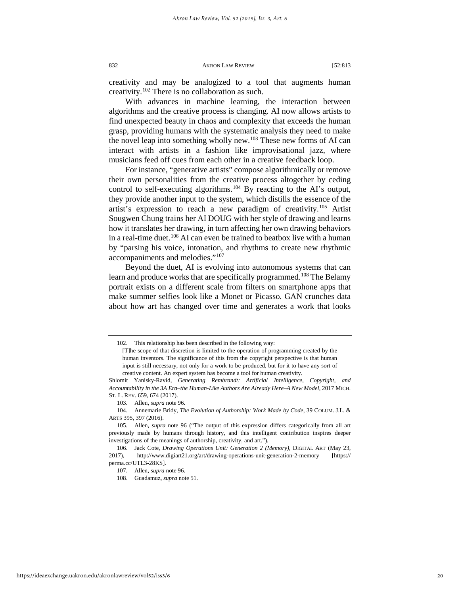<span id="page-20-8"></span>creativity and may be analogized to a tool that augments human creativity.[102](#page-20-0) There is no collaboration as such.

With advances in machine learning, the interaction between algorithms and the creative process is changing. AI now allows artists to find unexpected beauty in chaos and complexity that exceeds the human grasp, providing humans with the systematic analysis they need to make the novel leap into something wholly new.<sup>[103](#page-20-1)</sup> These new forms of AI can interact with artists in a fashion like improvisational jazz, where musicians feed off cues from each other in a creative feedback loop.

<span id="page-20-7"></span>For instance, "generative artists" compose algorithmically or remove their own personalities from the creative process altogether by ceding control to self-executing algorithms.<sup>[104](#page-20-2)</sup> By reacting to the AI's output, they provide another input to the system, which distills the essence of the artist's expression to reach a new paradigm of creativity.<sup>[105](#page-20-3)</sup> Artist Sougwen Chung trains her AI DOUG with her style of drawing and learns how it translates her drawing, in turn affecting her own drawing behaviors in a real-time duet.<sup>106</sup> AI can even be trained to beatbox live with a human by "parsing his voice, intonation, and rhythms to create new rhythmic accompaniments and melodies."[107](#page-20-5)

Beyond the duet, AI is evolving into autonomous systems that can learn and produce works that are specifically programmed.<sup>[108](#page-20-6)</sup> The Belamy portrait exists on a different scale from filters on smartphone apps that make summer selfies look like a Monet or Picasso. GAN crunches data about how art has changed over time and generates a work that looks

<sup>102.</sup> This relationship has been described in the following way:

<sup>[</sup>T]he scope of that discretion is limited to the operation of programming created by the human inventors. The significance of this from the copyright perspective is that human input is still necessary, not only for a work to be produced, but for it to have any sort of creative content. An expert system has become a tool for human creativity.

<span id="page-20-0"></span>Shlomit Yanisky-Ravid, *Generating Rembrandt: Artificial Intelligence, Copyright, and Accountability in the 3A Era–the Human-Like Authors Are Already Here–A New Model*, 2017 MICH. ST. L. REV. 659, 674 (2017).

<sup>103.</sup> Allen, *supra* note [96.](#page-19-7) 

<span id="page-20-2"></span><span id="page-20-1"></span><sup>104.</sup> Annemarie Bridy, *The Evolution of Authorship: Work Made by Code*, 39 COLUM. J.L. & ARTS 395, 397 (2016).

<span id="page-20-3"></span><sup>105.</sup> Allen, *supra* note [96](#page-19-7) ("The output of this expression differs categorically from all art previously made by humans through history, and this intelligent contribution inspires deeper investigations of the meanings of authorship, creativity, and art.").

<span id="page-20-6"></span><span id="page-20-5"></span><span id="page-20-4"></span><sup>106.</sup> Jack Cote, *Drawing Operations Unit: Generation 2 (Memory)*, DIGITAL ART (May 23, 2017), http://www.digiart21.org/art/drawing-operations-unit-generation-2-memory [https:// perma.cc/UTL3-28KS].

<sup>107.</sup> Allen, *supra* note [96.](#page-19-7) 

<sup>108.</sup> Guadamuz, *supra* not[e 51.](#page-12-4)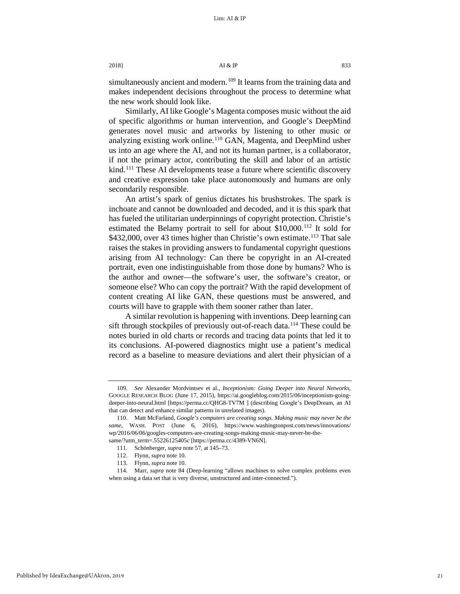simultaneously ancient and modern.<sup>[109](#page-21-0)</sup> It learns from the training data and makes independent decisions throughout the process to determine what the new work should look like.

Similarly, AI like Google's Magenta composes music without the aid of specific algorithms or human intervention, and Google's DeepMind generates novel music and artworks by listening to other music or analyzing existing work online.[110](#page-21-1) GAN, Magenta, and DeepMind usher us into an age where the AI, and not its human partner, is a collaborator, if not the primary actor, contributing the skill and labor of an artistic kind.<sup>[111](#page-21-2)</sup> These AI developments tease a future where scientific discovery and creative expression take place autonomously and humans are only secondarily responsible.

An artist's spark of genius dictates his brushstrokes. The spark is inchoate and cannot be downloaded and decoded, and it is this spark that has fueled the utilitarian underpinnings of copyright protection. Christie's estimated the Belamy portrait to sell for about \$10,000.<sup>[112](#page-21-3)</sup> It sold for \$432,000, over 43 times higher than Christie's own estimate.<sup>[113](#page-21-4)</sup> That sale raises the stakes in providing answers to fundamental copyright questions arising from AI technology: Can there be copyright in an AI-created portrait, even one indistinguishable from those done by humans? Who is the author and owner—the software's user, the software's creator, or someone else? Who can copy the portrait? With the rapid development of content creating AI like GAN, these questions must be answered, and courts will have to grapple with them sooner rather than later.

A similar revolution is happening with inventions. Deep learning can sift through stockpiles of previously out-of-reach data.<sup>[114](#page-21-5)</sup> These could be notes buried in old charts or records and tracing data points that led it to its conclusions. AI-powered diagnostics might use a patient's medical record as a baseline to measure deviations and alert their physician of a

<span id="page-21-0"></span><sup>109.</sup> *See* Alexander Mordvintsev et al., *Inceptionism: Going Deeper into Neural Networks*, GOOGLE RESEARCH BLOG (June 17, 2015), https://ai.googleblog.com/2015/06/inceptionism-goingdeeper-into-neural.html [https://perma.cc/QHG8-TV7M ] (describing Google's DeepDream, an AI that can detect and enhance similar patterns in unrelated images).

<span id="page-21-1"></span><sup>110.</sup> Matt McFarland, *Google's computers are creating songs. Making music may never be the same*, WASH. POST (June 6, 2016), https://www.washingtonpost.com/news/innovations/ wp/2016/06/06/googles-computers-are-creating-songs-making-music-may-never-be-thesame/?utm\_term=.55226125405c [https://perma.cc/4389-VN6N].

<sup>111.</sup> Schönberger, *supra* not[e 57,](#page-13-7) at 145–73.

<sup>112.</sup> Flynn, *supra* not[e 10.](#page-4-4) 

<sup>113.</sup> Flynn, *supra* not[e 10.](#page-4-4) 

<span id="page-21-5"></span><span id="page-21-4"></span><span id="page-21-3"></span><span id="page-21-2"></span><sup>114.</sup> Marr, *supra* note [84](#page-17-6) (Deep-learning "allows machines to solve complex problems even when using a data set that is very diverse, unstructured and inter-connected.").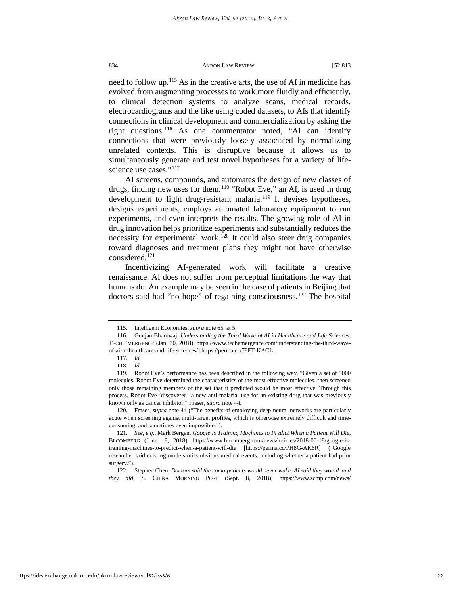need to follow up.<sup>[115](#page-22-0)</sup> As in the creative arts, the use of AI in medicine has evolved from augmenting processes to work more fluidly and efficiently, to clinical detection systems to analyze scans, medical records, electrocardiograms and the like using coded datasets, to AIs that identify connections in clinical development and commercialization by asking the right questions.<sup>[116](#page-22-1)</sup> As one commentator noted, "AI can identify connections that were previously loosely associated by normalizing unrelated contexts. This is disruptive because it allows us to simultaneously generate and test novel hypotheses for a variety of life-science use cases."<sup>[117](#page-22-2)</sup>

AI screens, compounds, and automates the design of new classes of drugs, finding new uses for them.<sup>[118](#page-22-3)</sup> "Robot Eve," an AI, is used in drug development to fight drug-resistant malaria.<sup>119</sup> It devises hypotheses, designs experiments, employs automated laboratory equipment to run experiments, and even interprets the results. The growing role of AI in drug innovation helps prioritize experiments and substantially reduces the necessity for experimental work.<sup>[120](#page-22-5)</sup> It could also steer drug companies toward diagnoses and treatment plans they might not have otherwise considered.[121](#page-22-6)

Incentivizing AI-generated work will facilitate a creative renaissance. AI does not suffer from perceptual limitations the way that humans do. An example may be seen in the case of patients in Beijing that doctors said had "no hope" of regaining consciousness.<sup>[122](#page-22-7)</sup> The hospital

<span id="page-22-5"></span>120. Fraser, *supra* not[e 44](#page-11-5) ("The benefits of employing deep neural networks are particularly acute when screening against multi-target profiles, which is otherwise extremely difficult and timeconsuming, and sometimes even impossible.").

<sup>115.</sup> Intelligent Economies, *supra* not[e 65,](#page-14-9) at 5.

<span id="page-22-1"></span><span id="page-22-0"></span><sup>116.</sup> Gunjan Bhardwaj, *Understanding the Third Wave of AI in Healthcare and Life Sciences,*  TECH EMERGENCE (Jan. 30, 2018), https://www.techemergence.com/understanding-the-third-waveof-ai-in-healthcare-and-life-sciences/ [https://perma.cc/78FT-KACL].

<sup>117.</sup> *Id.*

<sup>118.</sup> *Id.*

<span id="page-22-4"></span><span id="page-22-3"></span><span id="page-22-2"></span><sup>119.</sup> Robot Eve's performance has been described in the following way, "Given a set of 5000 molecules, Robot Eve determined the characteristics of the most effective molecules, then screened only those remaining members of the set that it predicted would be most effective. Through this process, Robot Eve 'discovered' a new anti-malarial use for an existing drug that was previously known only as cancer inhibitor." Fraser, *supra* not[e 44.](#page-11-5) 

<span id="page-22-6"></span><sup>121.</sup> *See, e.g.*, Mark Bergen, *Google Is Training Machines to Predict When a Patient Will Die*, BLOOMBERG (June 18, 2018), https://www.bloomberg.com/news/articles/2018-06-18/google-istraining-machines-to-predict-when-a-patient-will-die [https://perma.cc/PH8G-AK6R] ("Google researcher said existing models miss obvious medical events, including whether a patient had prior surgery.").

<span id="page-22-7"></span><sup>122.</sup> Stephen Chen, *Doctors said the coma patients would never wake. AI said they would–and they did*, S. CHINA MORNING POST (Sept. 8, 2018), https://www.scmp.com/news/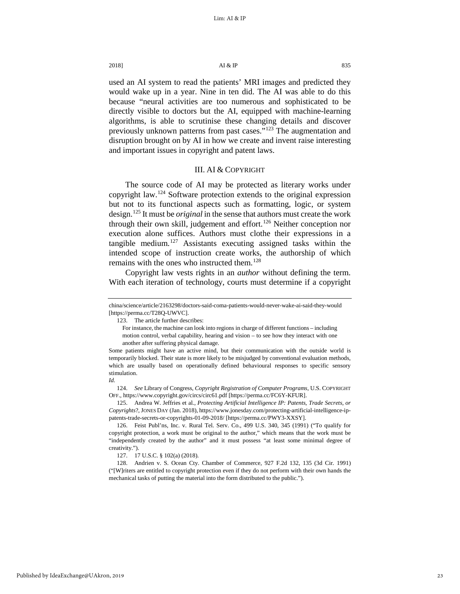2018]  $\overline{A1} \& \overline{IP}$  835

used an AI system to read the patients' MRI images and predicted they would wake up in a year. Nine in ten did. The AI was able to do this because "neural activities are too numerous and sophisticated to be directly visible to doctors but the AI, equipped with machine-learning algorithms, is able to scrutinise these changing details and discover previously unknown patterns from past cases."[123](#page-23-1) The augmentation and disruption brought on by AI in how we create and invent raise interesting and important issues in copyright and patent laws.

# III. AI & COPYRIGHT

<span id="page-23-0"></span>The source code of AI may be protected as literary works under copyright law.[124](#page-23-2) Software protection extends to the original expression but not to its functional aspects such as formatting, logic, or system design.[125](#page-23-3) It must be *original* in the sense that authors must create the work through their own skill, judgement and effort.<sup>[126](#page-23-4)</sup> Neither conception nor execution alone suffices. Authors must clothe their expressions in a tangible medium.<sup>[127](#page-23-5)</sup> Assistants executing assigned tasks within the intended scope of instruction create works, the authorship of which remains with the ones who instructed them.<sup>[128](#page-23-6)</sup>

Copyright law vests rights in an *author* without defining the term. With each iteration of technology, courts must determine if a copyright

123. The article further describes:

For instance, the machine can look into regions in charge of different functions – including motion control, verbal capability, hearing and vision – to see how they interact with one another after suffering physical damage.

<span id="page-23-1"></span>china/science/article/2163298/doctors-said-coma-patients-would-never-wake-ai-said-they-would [https://perma.cc/T28Q-UWVC].

Some patients might have an active mind, but their communication with the outside world is temporarily blocked. Their state is more likely to be misjudged by conventional evaluation methods, which are usually based on operationally defined behavioural responses to specific sensory stimulation. *Id.*

<span id="page-23-2"></span><sup>124.</sup> *See* Library of Congress, *Copyright Registration of Computer Programs*, U.S. COPYRIGHT OFF., https://www.copyright.gov/circs/circ61.pdf [https://perma.cc/FC6Y-KFUR].

<span id="page-23-3"></span><sup>125.</sup> Andrea W. Jeffries et al., *Protecting Artificial Intelligence IP: Patents, Trade Secrets, or Copyrights*?, JONES DAY (Jan. 2018), https://www.jonesday.com/protecting-artificial-intelligence-ippatents-trade-secrets-or-copyrights-01-09-2018/ [https://perma.cc/PWY3-XXSY].

<span id="page-23-4"></span><sup>126.</sup> Feist Publ'ns, Inc. v. Rural Tel. Serv. Co., 499 U.S. 340, 345 (1991) ("To qualify for copyright protection, a work must be original to the author," which means that the work must be "independently created by the author" and it must possess "at least some minimal degree of creativity.").

<sup>127. 17</sup> U.S.C. § 102(a) (2018).

<span id="page-23-6"></span><span id="page-23-5"></span><sup>128.</sup> Andrien v. S. Ocean Cty. Chamber of Commerce, 927 F.2d 132, 135 (3d Cir. 1991) ("[W]riters are entitled to copyright protection even if they do not perform with their own hands the mechanical tasks of putting the material into the form distributed to the public.").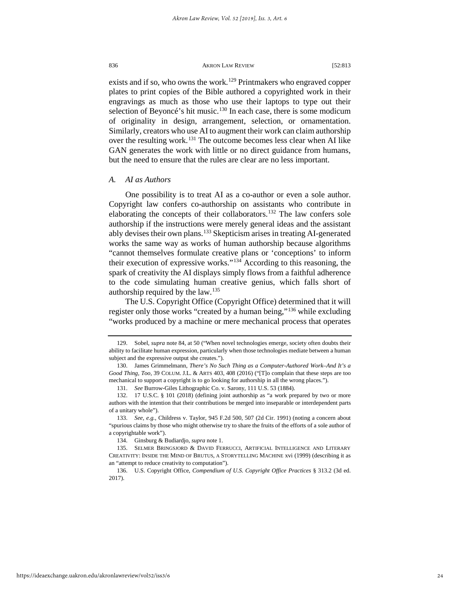<span id="page-24-8"></span>exists and if so, who owns the work.<sup>[129](#page-24-0)</sup> Printmakers who engraved copper plates to print copies of the Bible authored a copyrighted work in their engravings as much as those who use their laptops to type out their selection of Beyoncé's hit music.<sup>[130](#page-24-1)</sup> In each case, there is some modicum of originality in design, arrangement, selection, or ornamentation. Similarly, creators who use AI to augment their work can claim authorship over the resulting work.<sup>[131](#page-24-2)</sup> The outcome becomes less clear when AI like GAN generates the work with little or no direct guidance from humans, but the need to ensure that the rules are clear are no less important.

# *A. AI as Authors*

One possibility is to treat AI as a co-author or even a sole author. Copyright law confers co-authorship on assistants who contribute in elaborating the concepts of their collaborators.<sup>[132](#page-24-3)</sup> The law confers sole authorship if the instructions were merely general ideas and the assistant ably devises their own plans.<sup>[133](#page-24-4)</sup> Skepticism arises in treating AI-generated works the same way as works of human authorship because algorithms "cannot themselves formulate creative plans or 'conceptions' to inform their execution of expressive works."[134](#page-24-5) According to this reasoning, the spark of creativity the AI displays simply flows from a faithful adherence to the code simulating human creative genius, which falls short of authorship required by the law. $135$ 

The U.S. Copyright Office (Copyright Office) determined that it will register only those works "created by a human being,"[136](#page-24-7) while excluding "works produced by a machine or mere mechanical process that operates

<span id="page-24-0"></span><sup>129.</sup> Sobel, *supra* note 84, at 50 ("When novel technologies emerge, society often doubts their ability to facilitate human expression, particularly when those technologies mediate between a human subject and the expressive output she creates.").

<span id="page-24-1"></span><sup>130.</sup> James Grimmelmann, *There's No Such Thing as a Computer-Authored Work–And It's a Good Thing, Too,* 39 COLUM. J.L. & ARTS 403, 408 (2016) ("[T]o complain that these steps are too mechanical to support a copyright is to go looking for authorship in all the wrong places.").

<sup>131.</sup> *See* Burrow-Giles Lithographic Co. v. Sarony, 111 U.S. 53 (1884).

<span id="page-24-3"></span><span id="page-24-2"></span><sup>132. 17</sup> U.S.C. § 101 (2018) (defining joint authorship as "a work prepared by two or more authors with the intention that their contributions be merged into inseparable or interdependent parts of a unitary whole").

<span id="page-24-4"></span><sup>133.</sup> *See, e.g.*, Childress v. Taylor, 945 F.2d 500, 507 (2d Cir. 1991) (noting a concern about "spurious claims by those who might otherwise try to share the fruits of the efforts of a sole author of a copyrightable work").

<sup>134.</sup> Ginsburg & Budiardjo, *supra* not[e 1.](#page-3-9)

<span id="page-24-6"></span><span id="page-24-5"></span><sup>135.</sup> SELMER BRINGSJORD & DAVID FERRUCCI, ARTIFICIAL INTELLIGENCE AND LITERARY CREATIVITY: INSIDE THE MIND OF BRUTUS, A STORYTELLING MACHINE xvi (1999) (describing it as an "attempt to reduce creativity to computation").

<span id="page-24-7"></span><sup>136.</sup> U.S. Copyright Office, *Compendium of U.S. Copyright Office Practices* § 313.2 (3d ed. 2017).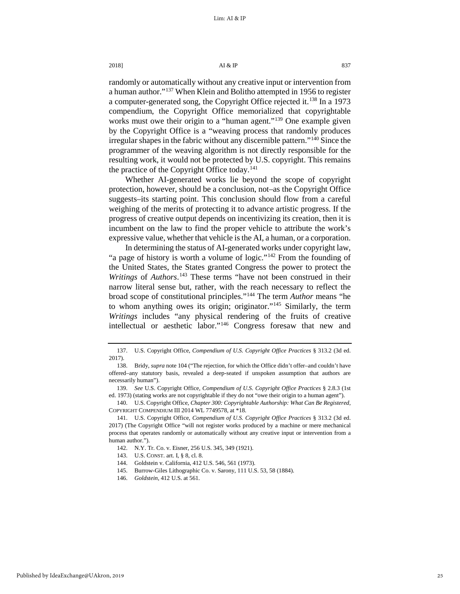# 2018]  $\overline{A1} \& \overline{IP}$  837

randomly or automatically without any creative input or intervention from a human author."[137](#page-25-0) When Klein and Bolitho attempted in 1956 to register a computer-generated song, the Copyright Office rejected it.<sup>[138](#page-25-1)</sup> In a 1973 compendium, the Copyright Office memorialized that copyrightable works must owe their origin to a "human agent."<sup>[139](#page-25-2)</sup> One example given by the Copyright Office is a "weaving process that randomly produces irregular shapes in the fabric without any discernible pattern."[140](#page-25-3) Since the programmer of the weaving algorithm is not directly responsible for the resulting work, it would not be protected by U.S. copyright. This remains the practice of the Copyright Office today.<sup>[141](#page-25-4)</sup>

Whether AI-generated works lie beyond the scope of copyright protection, however, should be a conclusion, not–as the Copyright Office suggests–its starting point. This conclusion should flow from a careful weighing of the merits of protecting it to advance artistic progress. If the progress of creative output depends on incentivizing its creation, then it is incumbent on the law to find the proper vehicle to attribute the work's expressive value, whether that vehicle is the AI, a human, or a corporation.

In determining the status of AI-generated works under copyright law, "a page of history is worth a volume of logic."<sup>[142](#page-25-5)</sup> From the founding of the United States, the States granted Congress the power to protect the *Writings* of *Authors*. [143](#page-25-6) These terms "have not been construed in their narrow literal sense but, rather, with the reach necessary to reflect the broad scope of constitutional principles."[144](#page-25-7) The term *Author* means "he to whom anything owes its origin; originator."[145](#page-25-8) Similarly, the term *Writings* includes "any physical rendering of the fruits of creative intellectual or aesthetic labor."[146](#page-25-9) Congress foresaw that new and

<span id="page-25-3"></span>140. U.S. Copyright Office, *Chapter 300: Copyrightable Authorship: What Can Be Registered*, COPYRIGHT COMPENDIUM III 2014 WL 7749578, at \*18.

- 143. U.S. CONST. art. I, § 8, cl. 8.
- 144. Goldstein v. California, 412 U.S. 546, 561 (1973).
- <span id="page-25-9"></span><span id="page-25-8"></span><span id="page-25-7"></span>145. Burrow-Giles Lithographic Co. v. Sarony, 111 U.S. 53, 58 (1884).
- 146. *Goldstein*, 412 U.S. at 561.

<span id="page-25-0"></span><sup>137.</sup> U.S. Copyright Office, *Compendium of U.S. Copyright Office Practices* § 313.2 (3d ed. 2017).

<span id="page-25-1"></span><sup>138.</sup> Bridy, *supra* not[e 104 \(](#page-20-7)"The rejection, for which the Office didn't offer–and couldn't have offered–any statutory basis, revealed a deep-seated if unspoken assumption that authors are necessarily human").

<span id="page-25-2"></span><sup>139.</sup> *See* U.S. Copyright Office, *Compendium of U.S. Copyright Office Practices* § 2.8.3 (1st ed. 1973) (stating works are not copyrightable if they do not "owe their origin to a human agent").

<span id="page-25-6"></span><span id="page-25-5"></span><span id="page-25-4"></span><sup>141.</sup> U.S. Copyright Office, *Compendium of U.S. Copyright Office Practices* § 313.2 (3d ed. 2017) (The Copyright Office "will not register works produced by a machine or mere mechanical process that operates randomly or automatically without any creative input or intervention from a human author.").

<sup>142.</sup> N.Y. Tr. Co. v. Eisner, 256 U.S. 345, 349 (1921).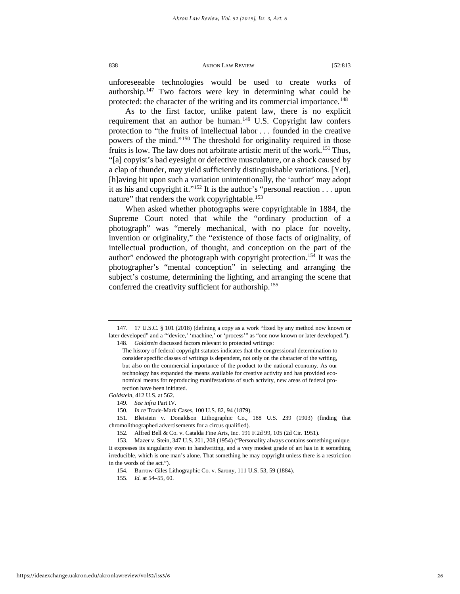unforeseeable technologies would be used to create works of authorship.[147](#page-26-0) Two factors were key in determining what could be protected: the character of the writing and its commercial importance.<sup>[148](#page-26-1)</sup>

As to the first factor, unlike patent law, there is no explicit requirement that an author be human. $149$  U.S. Copyright law confers protection to "the fruits of intellectual labor . . . founded in the creative powers of the mind."[150](#page-26-3) The threshold for originality required in those fruits is low. The law does not arbitrate artistic merit of the work.<sup>[151](#page-26-4)</sup> Thus, "[a] copyist's bad eyesight or defective musculature, or a shock caused by a clap of thunder, may yield sufficiently distinguishable variations. [Yet], [h]aving hit upon such a variation unintentionally, the 'author' may adopt it as his and copyright it."<sup>152</sup> It is the author's "personal reaction  $\dots$  upon nature" that renders the work copyrightable.<sup>[153](#page-26-6)</sup>

When asked whether photographs were copyrightable in 1884, the Supreme Court noted that while the "ordinary production of a photograph" was "merely mechanical, with no place for novelty, invention or originality," the "existence of those facts of originality, of intellectual production, of thought, and conception on the part of the author" endowed the photograph with copyright protection.[154](#page-26-7) It was the photographer's "mental conception" in selecting and arranging the subject's costume, determining the lighting, and arranging the scene that conferred the creativity sufficient for authorship.[155](#page-26-8)

<span id="page-26-2"></span>*Goldstein*, 412 U.S. at 562.

<span id="page-26-1"></span><span id="page-26-0"></span><sup>147. 17</sup> U.S.C. § 101 (2018) (defining a copy as a work "fixed by any method now known or later developed" and a "'device,' 'machine,' or 'process'" as "one now known or later developed."). 148. *Goldstein* discussed factors relevant to protected writings:

The history of federal copyright statutes indicates that the congressional determination to consider specific classes of writings is dependent, not only on the character of the writing, but also on the commercial importance of the product to the national economy. As our technology has expanded the means available for creative activity and has provided economical means for reproducing manifestations of such activity, new areas of federal protection have been initiated.

<sup>149.</sup> *See infra* Part IV.

<sup>150.</sup> *In re* Trade-Mark Cases, 100 U.S. 82, 94 (1879).

<span id="page-26-4"></span><span id="page-26-3"></span><sup>151.</sup> Bleistein v. Donaldson Lithographic Co., 188 U.S. 239 (1903) (finding that chromolithographed advertisements for a circus qualified).

<sup>152.</sup> Alfred Bell & Co. v. Catalda Fine Arts, Inc. 191 F.2d 99, 105 (2d Cir. 1951).

<span id="page-26-8"></span><span id="page-26-7"></span><span id="page-26-6"></span><span id="page-26-5"></span><sup>153.</sup> Mazer v. Stein, 347 U.S. 201, 208 (1954) ("Personality always contains something unique. It expresses its singularity even in handwriting, and a very modest grade of art has in it something irreducible, which is one man's alone. That something he may copyright unless there is a restriction in the words of the act.").

<sup>154.</sup> Burrow-Giles Lithographic Co. v. Sarony, 111 U.S. 53, 59 (1884).

<sup>155.</sup> *Id.* at 54–55, 60.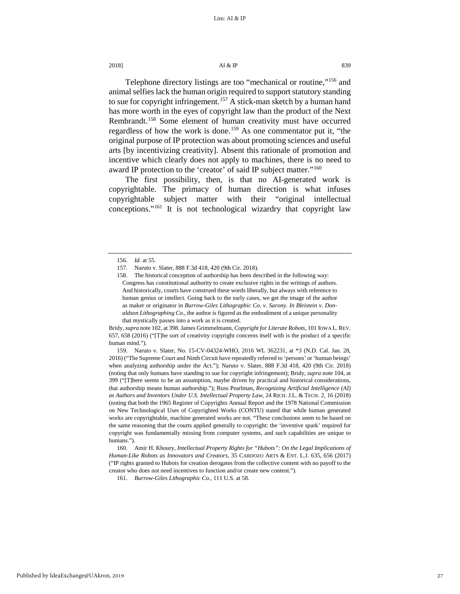# 2018]  $\overline{A1} \& \overline{IP}$  839

<span id="page-27-7"></span><span id="page-27-6"></span>

Telephone directory listings are too "mechanical or routine,"[156](#page-27-0) and animal selfies lack the human origin required to support statutory standing to sue for copyright infringement.<sup>[157](#page-27-1)</sup> A stick-man sketch by a human hand has more worth in the eyes of copyright law than the product of the Next Rembrandt.[158](#page-27-2) Some element of human creativity must have occurred regardless of how the work is done.<sup>[159](#page-27-3)</sup> As one commentator put it, "the original purpose of IP protection was about promoting sciences and useful arts [by incentivizing creativity]. Absent this rationale of promotion and incentive which clearly does not apply to machines, there is no need to award IP protection to the 'creator' of said IP subject matter."[160](#page-27-4)

The first possibility, then, is that no AI-generated work is copyrightable. The primacy of human direction is what infuses copyrightable subject matter with their "original intellectual conceptions."<sup>[161](#page-27-5)</sup> It is not technological wizardry that copyright law

Bridy, *supra* note 102, at 398. James Grimmelmann, *Copyright for Literate Robots*, 101 IOWA L. REV. 657, 658 (2016) ("[T]he sort of creativity copyright concerns itself with is the product of a specific human mind.").

<span id="page-27-3"></span>159. Naruto v. Slater, No. 15-CV-04324-WHO, 2016 WL 362231, at \*3 (N.D. Cal. Jan. 28, 2016) ("The Supreme Court and Ninth Circuit have repeatedly referred to 'persons' or 'human beings' when analyzing authorship under the Act."); Naruto v. Slater, 888 F.3d 418, 420 (9th Cir. 2018) (noting that only humans have standing to sue for copyright infringement); Bridy, *supra* not[e 104,](#page-20-7) at 399 ("[T]here seems to be an assumption, maybe driven by practical and historical considerations, that authorship means human authorship."); Russ Pearlman, *Recognizing Artificial Intelligence (AI) as Authors and Inventors Under U.S. Intellectual Property Law*, 24 RICH. J.L. & TECH. 2, 16 (2018) (noting that both the 1965 Register of Copyrights Annual Report and the 1978 National Commission on New Technological Uses of Copyrighted Works (CONTU) stated that while human generated works are copyrightable, machine generated works are not. "These conclusions seem to be based on the same reasoning that the courts applied generally to copyright: the 'inventive spark' required for copyright was fundamentally missing from computer systems, and such capabilities are unique to humans.").

<span id="page-27-5"></span><span id="page-27-4"></span>160. Amir H. Khoury, *Intellectual Property Rights for "Hubots": On the Legal Implications of Human-Like Robots as Innovators and Creators*, 35 CARDOZO ARTS & ENT. L.J. 635, 656 (2017) ("IP rights granted to Hubots for creation derogates from the collective content with no payoff to the creator who does not need incentives to function and/or create new content.").

161. *Burrow-Giles Lithographic Co.*, 111 U.S. at 58.

<span id="page-27-1"></span><span id="page-27-0"></span><sup>156.</sup> *Id.* at 55.

<sup>157.</sup> Naruto v. Slater, 888 F.3d 418, 420 (9th Cir. 2018).

<span id="page-27-2"></span><sup>158.</sup> The historical conception of authorship has been described in the following way: Congress has constitutional authority to create exclusive rights in the writings of authors. And historically, courts have construed these words liberally, but always with reference to human genius or intellect. Going back to the early cases, we get the image of the author as maker or originator in *Burrow-Giles Lithographic Co. v. Sarony. In Bleistein v. Donaldson Lithographing Co*., the author is figured as the embodiment of a unique personality that mystically passes into a work as it is created.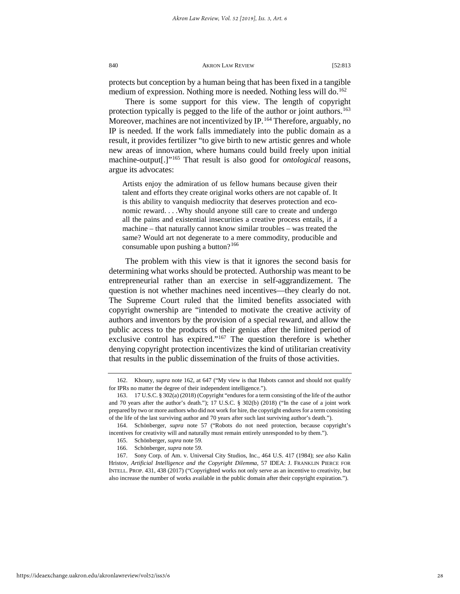protects but conception by a human being that has been fixed in a tangible medium of expression. Nothing more is needed. Nothing less will do.<sup>[162](#page-28-1)</sup>

<span id="page-28-0"></span>There is some support for this view. The length of copyright protection typically is pegged to the life of the author or joint authors.<sup>163</sup> Moreover, machines are not incentivized by IP.<sup>[164](#page-28-3)</sup> Therefore, arguably, no IP is needed. If the work falls immediately into the public domain as a result, it provides fertilizer "to give birth to new artistic genres and whole new areas of innovation, where humans could build freely upon initial machine-output[.]["165](#page-28-4) That result is also good for *ontological* reasons, argue its advocates:

Artists enjoy the admiration of us fellow humans because given their talent and efforts they create original works others are not capable of. It is this ability to vanquish mediocrity that deserves protection and economic reward. . . .Why should anyone still care to create and undergo all the pains and existential insecurities a creative process entails, if a machine – that naturally cannot know similar troubles – was treated the same? Would art not degenerate to a mere commodity, producible and consumable upon pushing a button? $166$ 

The problem with this view is that it ignores the second basis for determining what works should be protected. Authorship was meant to be entrepreneurial rather than an exercise in self-aggrandizement. The question is not whether machines need incentives—they clearly do not. The Supreme Court ruled that the limited benefits associated with copyright ownership are "intended to motivate the creative activity of authors and inventors by the provision of a special reward, and allow the public access to the products of their genius after the limited period of exclusive control has expired." $167$  The question therefore is whether denying copyright protection incentivizes the kind of utilitarian creativity that results in the public dissemination of the fruits of those activities.

<span id="page-28-1"></span><sup>162.</sup> Khoury, *supra* note [162,](#page-28-0) at 647 ("My view is that Hubots cannot and should not qualify for IPRs no matter the degree of their independent intelligence.").

<span id="page-28-2"></span><sup>163. 17</sup> U.S.C. § 302(a) (2018) (Copyright "endures for a term consisting of the life of the author and 70 years after the author's death."); 17 U.S.C. § 302(b) (2018) ("In the case of a joint work prepared by two or more authors who did not work for hire, the copyright endures for a term consisting of the life of the last surviving author and 70 years after such last surviving author's death.").

<span id="page-28-3"></span><sup>164.</sup> Schönberger, *supra* note [57](#page-13-7) ("Robots do not need protection, because copyright's incentives for creativity will and naturally must remain entirely unresponded to by them.").

<sup>165.</sup> Schönberger, *supra* note 59.

<sup>166.</sup> Schönberger, *supra* note 59.

<span id="page-28-6"></span><span id="page-28-5"></span><span id="page-28-4"></span><sup>167.</sup> Sony Corp. of Am. v. Universal City Studios, Inc., 464 U.S. 417 (1984); *see also* Kalin Hristov, *Artificial Intelligence and the Copyright Dilemma*, 57 IDEA: J. FRANKLIN PIERCE FOR INTELL. PROP. 431, 438 (2017) ("Copyrighted works not only serve as an incentive to creativity, but also increase the number of works available in the public domain after their copyright expiration.").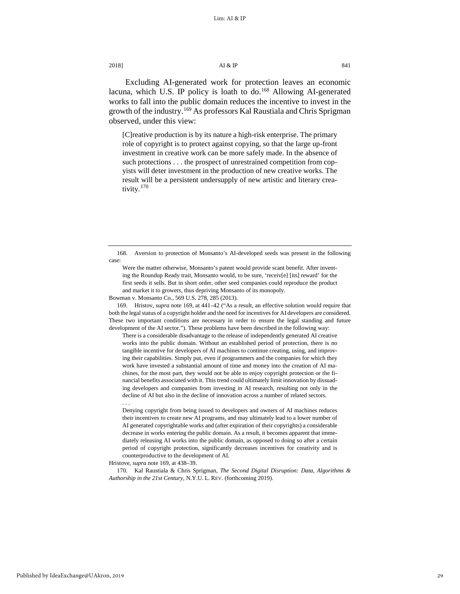Excluding AI-generated work for protection leaves an economic lacuna, which U.S. IP policy is loath to do.<sup>[168](#page-29-0)</sup> Allowing AI-generated works to fall into the public domain reduces the incentive to invest in the growth of the industry.<sup>[169](#page-29-1)</sup> As professors Kal Raustiala and Chris Sprigman observed, under this view:

<span id="page-29-3"></span>[C]reative production is by its nature a high-risk enterprise. The primary role of copyright is to protect against copying, so that the large up-front investment in creative work can be more safely made. In the absence of such protections . . . the prospect of unrestrained competition from copyists will deter investment in the production of new creative works. The result will be a persistent undersupply of new artistic and literary crea-tivity.<sup>[170](#page-29-2)</sup>

Bowman v. Monsanto Co*.*, 569 U.S. 278, 285 (2013).

<span id="page-29-1"></span>169. Hristov, *supra* note 169, at 441–42 ("As a result, an effective solution would require that both the legal status of a copyright holder and the need for incentives for AI developers are considered. These two important conditions are necessary in order to ensure the legal standing and future development of the AI sector."). These problems have been described in the following way:

There is a considerable disadvantage to the release of independently generated AI creative works into the public domain. Without an established period of protection, there is no tangible incentive for developers of AI machines to continue creating, using, and improving their capabilities. Simply put, even if programmers and the companies for which they work have invested a substantial amount of time and money into the creation of AI machines, for the most part, they would not be able to enjoy copyright protection or the financial benefits associated with it. This trend could ultimately limit innovation by dissuading developers and companies from investing in AI research, resulting not only in the decline of AI but also in the decline of innovation across a number of related sectors. . . .

Denying copyright from being issued to developers and owners of AI machines reduces their incentives to create new AI programs, and may ultimately lead to a lower number of AI generated copyrightable works and (after expiration of their copyrights) a considerable decrease in works entering the public domain. As a result, it becomes apparent that immediately releasing AI works into the public domain, as opposed to doing so after a certain period of copyright protection, significantly decreases incentives for creativity and is counterproductive to the development of AI.

Hristove, *supra* note 169, at 438–39.

<span id="page-29-2"></span>170. Kal Raustiala & Chris Sprigman, *The Second Digital Disruption: Data, Algorithms & Authorship in the 21st Century*, N.Y.U. L. REV. (forthcoming 2019).

<span id="page-29-0"></span><sup>168.</sup> Aversion to protection of Monsanto's AI-developed seeds was present in the following case:

Were the matter otherwise, Monsanto's patent would provide scant benefit. After inventing the Roundup Ready trait, Monsanto would, to be sure, 'receiv[e] [its] reward' for the first seeds it sells. But in short order, other seed companies could reproduce the product and market it to growers, thus depriving Monsanto of its monopoly.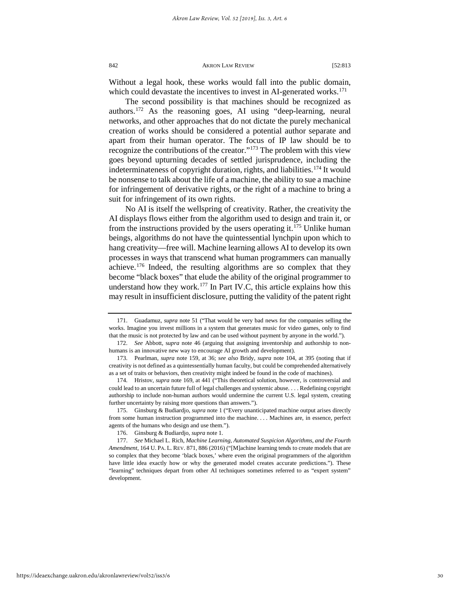Without a legal hook, these works would fall into the public domain, which could devastate the incentives to invest in AI-generated works.<sup>[171](#page-30-0)</sup>

The second possibility is that machines should be recognized as authors.[172](#page-30-1) As the reasoning goes, AI using "deep-learning, neural networks, and other approaches that do not dictate the purely mechanical creation of works should be considered a potential author separate and apart from their human operator. The focus of IP law should be to recognize the contributions of the creator."[173](#page-30-2) The problem with this view goes beyond upturning decades of settled jurisprudence, including the indeterminateness of copyright duration, rights, and liabilities.<sup>[174](#page-30-3)</sup> It would be nonsense to talk about the life of a machine, the ability to sue a machine for infringement of derivative rights, or the right of a machine to bring a suit for infringement of its own rights.

No AI is itself the wellspring of creativity. Rather, the creativity the AI displays flows either from the algorithm used to design and train it, or from the instructions provided by the users operating it.<sup>[175](#page-30-4)</sup> Unlike human beings, algorithms do not have the quintessential lynchpin upon which to hang creativity—free will. Machine learning allows AI to develop its own processes in ways that transcend what human programmers can manually achieve.[176](#page-30-5) Indeed, the resulting algorithms are so complex that they become "black boxes" that elude the ability of the original programmer to understand how they work.[177](#page-30-6) In Part IV.C, this article explains how this may result in insufficient disclosure, putting the validity of the patent right

<span id="page-30-4"></span>175. Ginsburg & Budiardjo, *supra* not[e 1 \(](#page-3-9)"Every unanticipated machine output arises directly from some human instruction programmed into the machine. . . . Machines are, in essence, perfect agents of the humans who design and use them.").

<span id="page-30-0"></span><sup>171.</sup> Guadamuz, *supra* note [51](#page-12-4) ("That would be very bad news for the companies selling the works. Imagine you invest millions in a system that generates music for video games, only to find that the music is not protected by law and can be used without payment by anyone in the world.").

<span id="page-30-1"></span><sup>172.</sup> *See* Abbott, s*upra* note [46](#page-11-6) (arguing that assigning inventorship and authorship to nonhumans is an innovative new way to encourage AI growth and development).

<span id="page-30-2"></span><sup>173.</sup> Pearlman, *supra* note [159,](#page-27-6) at 36; *see also* Bridy, *supra* note [104,](#page-20-7) at 395 (noting that if creativity is not defined as a quintessentially human faculty, but could be comprehended alternatively as a set of traits or behaviors, then creativity might indeed be found in the code of machines).

<span id="page-30-3"></span><sup>174.</sup> Hristov, *supra* note [169,](#page-29-3) at 441 ("This theoretical solution, however, is controversial and could lead to an uncertain future full of legal challenges and systemic abuse. . . . Redefining copyright authorship to include non-human authors would undermine the current U.S. legal system, creating further uncertainty by raising more questions than answers.").

<sup>176.</sup> Ginsburg & Budiardjo, *supra* not[e 1.](#page-3-9)

<span id="page-30-6"></span><span id="page-30-5"></span><sup>177.</sup> *See* Michael L. Rich, *Machine Learning, Automated Suspicion Algorithms, and the Fourth Amendment*, 164 U. PA. L. REV. 871, 886 (2016) ("[M]achine learning tends to create models that are so complex that they become 'black boxes,' where even the original programmers of the algorithm have little idea exactly how or why the generated model creates accurate predictions."). These "learning" techniques depart from other AI techniques sometimes referred to as "expert system" development.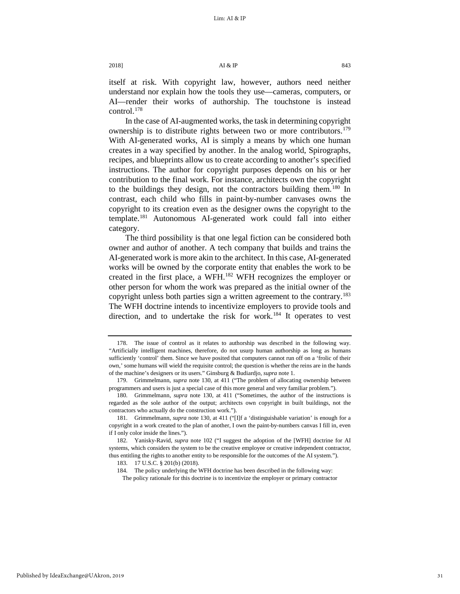itself at risk. With copyright law, however, authors need neither understand nor explain how the tools they use—cameras, computers, or AI—render their works of authorship. The touchstone is instead control[.178](#page-31-0)

In the case of AI-augmented works, the task in determining copyright ownership is to distribute rights between two or more contributors.<sup>179</sup> With AI-generated works, AI is simply a means by which one human creates in a way specified by another. In the analog world, Spirographs, recipes, and blueprints allow us to create according to another's specified instructions. The author for copyright purposes depends on his or her contribution to the final work. For instance, architects own the copyright to the buildings they design, not the contractors building them.<sup>[180](#page-31-2)</sup> In contrast, each child who fills in paint-by-number canvases owns the copyright to its creation even as the designer owns the copyright to the template.[181](#page-31-3) Autonomous AI-generated work could fall into either category.

The third possibility is that one legal fiction can be considered both owner and author of another. A tech company that builds and trains the AI-generated work is more akin to the architect. In this case, AI-generated works will be owned by the corporate entity that enables the work to be created in the first place, a WFH.[182](#page-31-4) WFH recognizes the employer or other person for whom the work was prepared as the initial owner of the copyright unless both parties sign a written agreement to the contrary.<sup>183</sup> The WFH doctrine intends to incentivize employers to provide tools and direction, and to undertake the risk for work.<sup>[184](#page-31-6)</sup> It operates to vest

<span id="page-31-0"></span><sup>178.</sup> The issue of control as it relates to authorship was described in the following way. "Artificially intelligent machines, therefore, do not usurp human authorship as long as humans sufficiently 'control' them. Since we have posited that computers cannot run off on a 'frolic of their own,' some humans will wield the requisite control; the question is whether the reins are in the hands of the machine's designers or its users." Ginsburg & Budiardjo, *supra* not[e 1.](#page-3-9) 

<span id="page-31-1"></span><sup>179.</sup> Grimmelmann, *supra* note [130,](#page-24-8) at 411 ("The problem of allocating ownership between programmers and users is just a special case of this more general and very familiar problem.").

<span id="page-31-2"></span><sup>180.</sup> Grimmelmann, *supra* note [130,](#page-24-8) at 411 ("Sometimes, the author of the instructions is regarded as the sole author of the output; architects own copyright in built buildings, not the contractors who actually do the construction work.").

<span id="page-31-3"></span><sup>181.</sup> Grimmelmann, *supra* note [130,](#page-24-8) at 411 ("[I]f a 'distinguishable variation' is enough for a copyright in a work created to the plan of another, I own the paint-by-numbers canvas I fill in, even if I only color inside the lines.").

<span id="page-31-6"></span><span id="page-31-5"></span><span id="page-31-4"></span><sup>182.</sup> Yanisky-Ravid, *supra* note [102](#page-20-8) ("I suggest the adoption of the [WFH] doctrine for AI systems, which considers the system to be the creative employee or creative independent contractor, thus entitling the rights to another entity to be responsible for the outcomes of the AI system.").

<sup>183. 17</sup> U.S.C. § 201(b) (2018).

<sup>184.</sup> The policy underlying the WFH doctrine has been described in the following way:

The policy rationale for this doctrine is to incentivize the employer or primary contractor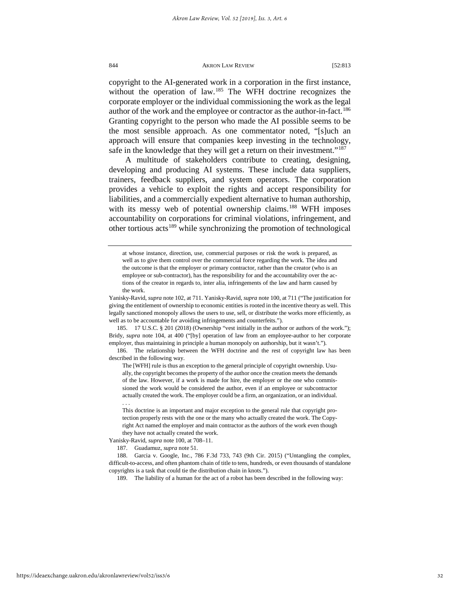copyright to the AI-generated work in a corporation in the first instance, without the operation of law.<sup>[185](#page-32-0)</sup> The WFH doctrine recognizes the corporate employer or the individual commissioning the work as the legal author of the work and the employee or contractor as the author-in-fact.<sup>186</sup> Granting copyright to the person who made the AI possible seems to be the most sensible approach. As one commentator noted, "[s]uch an approach will ensure that companies keep investing in the technology, safe in the knowledge that they will get a return on their investment."<sup>[187](#page-32-2)</sup>

A multitude of stakeholders contribute to creating, designing, developing and producing AI systems. These include data suppliers, trainers, feedback suppliers, and system operators. The corporation provides a vehicle to exploit the rights and accept responsibility for liabilities, and a commercially expedient alternative to human authorship, with its messy web of potential ownership claims.<sup>[188](#page-32-3)</sup> WFH imposes accountability on corporations for criminal violations, infringement, and other tortious acts<sup>[189](#page-32-4)</sup> while synchronizing the promotion of technological

. . .

at whose instance, direction, use, commercial purposes or risk the work is prepared, as well as to give them control over the commercial force regarding the work. The idea and the outcome is that the employer or primary contractor, rather than the creator (who is an employee or sub-contractor), has the responsibility for and the accountability over the actions of the creator in regards to, inter alia, infringements of the law and harm caused by the work.

Yanisky-Ravid, *supra* not[e 102,](#page-20-8) at 711. Yanisky-Ravid, *supra* note 100, at 711 ("The justification for giving the entitlement of ownership to economic entities is rooted in the incentive theory as well. This legally sanctioned monopoly allows the users to use, sell, or distribute the works more efficiently, as well as to be accountable for avoiding infringements and counterfeits.").

<span id="page-32-0"></span><sup>185. 17</sup> U.S.C. § 201 (2018) (Ownership "vest initially in the author or authors of the work."); Bridy, *supra* note [104,](#page-20-7) at 400 ("[by] operation of law from an employee-author to her corporate employer, thus maintaining in principle a human monopoly on authorship, but it wasn't.").

<span id="page-32-1"></span><sup>186.</sup> The relationship between the WFH doctrine and the rest of copyright law has been described in the following way.

The [WFH] rule is thus an exception to the general principle of copyright ownership. Usually, the copyright becomes the property of the author once the creation meets the demands of the law. However, if a work is made for hire, the employer or the one who commissioned the work would be considered the author, even if an employee or subcontractor actually created the work. The employer could be a firm, an organization, or an individual.

This doctrine is an important and major exception to the general rule that copyright protection properly rests with the one or the many who actually created the work. The Copyright Act named the employer and main contractor as the authors of the work even though they have not actually created the work.

<span id="page-32-2"></span>Yanisky-Ravid, *supra* note 100, at 708–11.

<sup>187.</sup> Guadamuz, *supra* not[e 51.](#page-12-4) 

<span id="page-32-4"></span><span id="page-32-3"></span><sup>188.</sup> Garcia v. Google, Inc*.*, 786 F.3d 733, 743 (9th Cir. 2015) ("Untangling the complex, difficult-to-access, and often phantom chain of title to tens, hundreds, or even thousands of standalone copyrights is a task that could tie the distribution chain in knots.").

<sup>189.</sup> The liability of a human for the act of a robot has been described in the following way: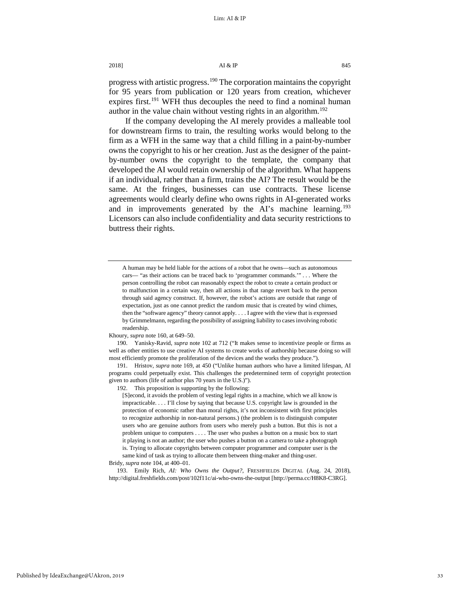progress with artistic progress.<sup>[190](#page-33-0)</sup> The corporation maintains the copyright for 95 years from publication or 120 years from creation, whichever expires first.<sup>191</sup> WFH thus decouples the need to find a nominal human author in the value chain without vesting rights in an algorithm.<sup>[192](#page-33-2)</sup>

If the company developing the AI merely provides a malleable tool for downstream firms to train, the resulting works would belong to the firm as a WFH in the same way that a child filling in a paint-by-number owns the copyright to his or her creation. Just as the designer of the paintby-number owns the copyright to the template, the company that developed the AI would retain ownership of the algorithm. What happens if an individual, rather than a firm, trains the AI? The result would be the same. At the fringes, businesses can use contracts. These license agreements would clearly define who owns rights in AI-generated works and in improvements generated by the AI's machine learning.<sup>[193](#page-33-3)</sup> Licensors can also include confidentiality and data security restrictions to buttress their rights.

Khoury, *supra* not[e 160,](#page-27-7) at 649–50.

<span id="page-33-2"></span><span id="page-33-1"></span>191. Hristov, *supra* not[e 169,](#page-29-3) at 450 ("Unlike human authors who have a limited lifespan, AI programs could perpetually exist. This challenges the predetermined term of copyright protection given to authors (life of author plus 70 years in the U.S.)").

192. This proposition is supporting by the following:

[S]econd, it avoids the problem of vesting legal rights in a machine, which we all know is impracticable. . . . I'll close by saying that because U.S. copyright law is grounded in the protection of economic rather than moral rights, it's not inconsistent with first principles to recognize authorship in non-natural persons.) (the problem is to distinguish computer users who are genuine authors from users who merely push a button. But this is not a problem unique to computers . . . . The user who pushes a button on a music box to start it playing is not an author; the user who pushes a button on a camera to take a photograph is. Trying to allocate copyrights between computer programmer and computer user is the same kind of task as trying to allocate them between thing-maker and thing-user.

Bridy, *supra* not[e 104,](#page-20-7) at 400–01.

<span id="page-33-3"></span>193. Emily Rich, *AI: Who Owns the Output?*, FRESHFIELDS DIGITAL (Aug. 24, 2018), http://digital.freshfields.com/post/102f11c/ai-who-owns-the-output [http://perma.cc/H8K8-C3RG].

A human may be held liable for the actions of a robot that he owns—such as autonomous cars— "as their actions can be traced back to 'programmer commands.'" . . . Where the person controlling the robot can reasonably expect the robot to create a certain product or to malfunction in a certain way, then all actions in that range revert back to the person through said agency construct. If, however, the robot's actions are outside that range of expectation, just as one cannot predict the random music that is created by wind chimes, then the "software agency" theory cannot apply. . . . I agree with the view that is expressed by Grimmelmann, regarding the possibility of assigning liability to cases involving robotic readership.

<span id="page-33-0"></span><sup>190.</sup> Yanisky-Ravid, *supra* not[e 102](#page-20-8) at 712 ("It makes sense to incentivize people or firms as well as other entities to use creative AI systems to create works of authorship because doing so will most efficiently promote the proliferation of the devices and the works they produce.").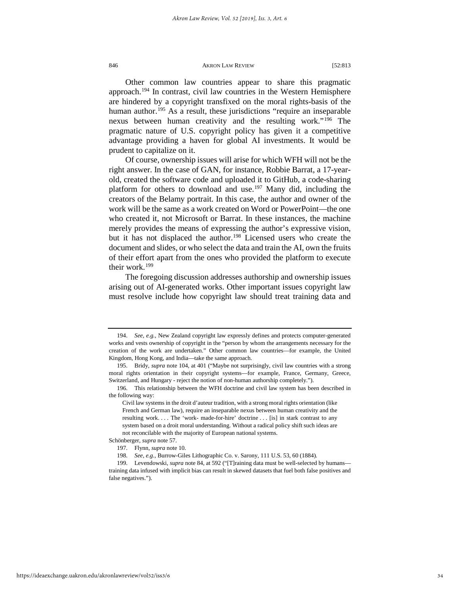Other common law countries appear to share this pragmatic approach.[194](#page-34-0) In contrast, civil law countries in the Western Hemisphere are hindered by a copyright transfixed on the moral rights-basis of the human author.<sup>[195](#page-34-1)</sup> As a result, these jurisdictions "require an inseparable nexus between human creativity and the resulting work."[196](#page-34-2) The pragmatic nature of U.S. copyright policy has given it a competitive advantage providing a haven for global AI investments. It would be prudent to capitalize on it.

Of course, ownership issues will arise for which WFH will not be the right answer. In the case of GAN, for instance, Robbie Barrat, a 17-yearold, created the software code and uploaded it to GitHub, a code-sharing platform for others to download and use.<sup>[197](#page-34-3)</sup> Many did, including the creators of the Belamy portrait. In this case, the author and owner of the work will be the same as a work created on Word or PowerPoint—the one who created it, not Microsoft or Barrat. In these instances, the machine merely provides the means of expressing the author's expressive vision, but it has not displaced the author.<sup>198</sup> Licensed users who create the document and slides, or who select the data and train the AI, own the fruits of their effort apart from the ones who provided the platform to execute their work.<sup>[199](#page-34-5)</sup>

The foregoing discussion addresses authorship and ownership issues arising out of AI-generated works. Other important issues copyright law must resolve include how copyright law should treat training data and

<span id="page-34-0"></span><sup>194.</sup> *See, e.g.,* New Zealand copyright law expressly defines and protects computer-generated works and vests ownership of copyright in the "person by whom the arrangements necessary for the creation of the work are undertaken." Other common law countries—for example, the United Kingdom, Hong Kong, and India—take the same approach.

<span id="page-34-1"></span><sup>195.</sup> Bridy, *supra* not[e 104,](#page-20-7) at 401 ("Maybe not surprisingly, civil law countries with a strong moral rights orientation in their copyright systems—for example, France, Germany, Greece, Switzerland, and Hungary - reject the notion of non-human authorship completely.").

<span id="page-34-2"></span><sup>196.</sup> This relationship between the WFH doctrine and civil law system has been described in the following way:

Civil law systems in the droit d'auteur tradition, with a strong moral rights orientation (like French and German law), require an inseparable nexus between human creativity and the resulting work. . . . The 'work- made-for-hire' doctrine . . . [is] in stark contrast to any system based on a droit moral understanding. Without a radical policy shift such ideas are not reconcilable with the majority of European national systems.

<span id="page-34-3"></span>Schönberger, *supra* not[e 57.](#page-13-7) 

<sup>197.</sup> Flynn, *supra* not[e 10.](#page-4-4) 

<sup>198.</sup> *See, e.g.*, Burrow-Giles Lithographic Co. v. Sarony, 111 U.S. 53, 60 (1884).

<span id="page-34-5"></span><span id="page-34-4"></span><sup>199.</sup> Levendowski, *supra* note 84, at 592 ("[T]raining data must be well-selected by humans training data infused with implicit bias can result in skewed datasets that fuel both false positives and false negatives.").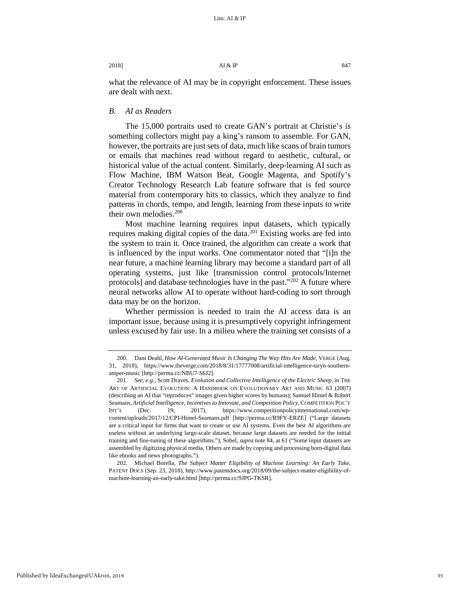what the relevance of AI may be in copyright enforcement. These issues are dealt with next.

# *B. AI as Readers*

The 15,000 portraits used to create GAN's portrait at Christie's is something collectors might pay a king's ransom to assemble. For GAN, however, the portraits are just sets of data, much like scans of brain tumors or emails that machines read without regard to aesthetic, cultural, or historical value of the actual content. Similarly, deep-learning AI such as Flow Machine, IBM Watson Beat, Google Magenta, and Spotify's Creator Technology Research Lab feature software that is fed source material from contemporary hits to classics, which they analyze to find patterns in chords, tempo, and length, learning from these inputs to write their own melodies. $200$ 

Most machine learning requires input datasets, which typically requires making digital copies of the data.<sup>[201](#page-35-1)</sup> Existing works are fed into the system to train it. Once trained, the algorithm can create a work that is influenced by the input works. One commentator noted that "[i]n the near future, a machine learning library may become a standard part of all operating systems, just like [transmission control protocols/Internet protocols] and database technologies have in the past."<sup>[202](#page-35-2)</sup> A future where neural networks allow AI to operate without hard-coding to sort through data may be on the horizon.

Whether permission is needed to train the AI access data is an important issue, because using it is presumptively copyright infringement unless excused by fair use. In a milieu where the training set consists of a

<span id="page-35-0"></span><sup>200.</sup> Dani Deahl, *How AI-Generated Music Is Changing The Way Hits Are Made*, VERGE (Aug. 31, 2018), https://www.theverge.com/2018/8/31/17777008/artificial-intelligence-taryn-southernamper-music [http://perma.cc/NBU7-S6J2].

<span id="page-35-1"></span><sup>201.</sup> *See, e.g.*, Scott Draves, *Evolution and Collective Intelligence of the Electric Sheep*, *in* THE ART OF ARTIFICIAL EVOLUTION: A HANDBOOK ON EVOLUTIONARY ART AND MUSIC 63 (2007) (describing an AI that "reproduces" images given higher scores by humans); Samuel Himel & Robert Seamans, *Artificial Intelligence, Incentives to Innovate, and Competition Policy*, COMPETITION POL'Y INT'L (Dec. 19, 2017), https://www.competitionpolicyinternational.com/wpcontent/uploads/2017/12/CPI-Himel-Seamans.pdf [http://perma.cc/R9FY-ERZE] ("Large datasets are a critical input for firms that want to create or use AI systems. Even the best AI algorithms are useless without an underlying large-scale dataset, because large datasets are needed for the initial training and fine-tuning of these algorithms."); Sobel, *supra* note 84, at 61 ("Some input datasets are assembled by digitizing physical media. Others are made by copying and processing born-digital data like ebooks and news photographs.").

<span id="page-35-2"></span><sup>202.</sup> Michael Borella, *The Subject Matter Eligibility of Machine Learning: An Early Take*, PATENT DOCS (Sep. 23, 2018), http://www.patentdocs.org/2018/09/the-subject-matter-eligibility-ofmachine-learning-an-early-take.html [http://perma.cc/9JPG-TKSR].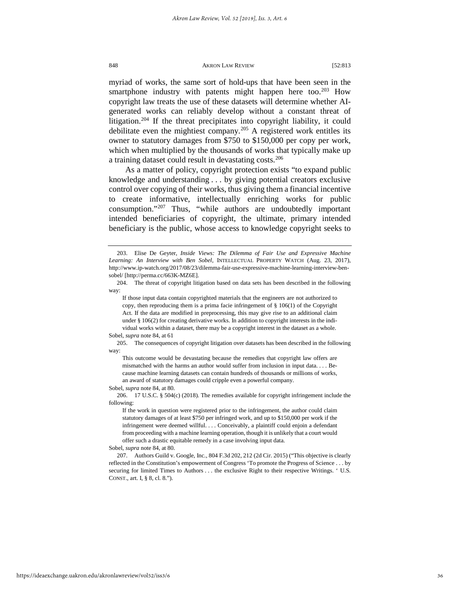myriad of works, the same sort of hold-ups that have been seen in the smartphone industry with patents might happen here too.<sup>[203](#page-36-0)</sup> How copyright law treats the use of these datasets will determine whether AIgenerated works can reliably develop without a constant threat of litigation.[204](#page-36-1) If the threat precipitates into copyright liability, it could debilitate even the mightiest company.[205](#page-36-2) A registered work entitles its owner to statutory damages from \$750 to \$150,000 per copy per work, which when multiplied by the thousands of works that typically make up a training dataset could result in devastating costs.<sup>[206](#page-36-3)</sup>

As a matter of policy, copyright protection exists "to expand public knowledge and understanding . . . by giving potential creators exclusive control over copying of their works, thus giving them a financial incentive to create informative, intellectually enriching works for public consumption."[207](#page-36-4) Thus, "while authors are undoubtedly important intended beneficiaries of copyright, the ultimate, primary intended beneficiary is the public, whose access to knowledge copyright seeks to

This outcome would be devastating because the remedies that copyright law offers are mismatched with the harms an author would suffer from inclusion in input data. . . . Because machine learning datasets can contain hundreds of thousands or millions of works, an award of statutory damages could cripple even a powerful company.

Sobel, *supra* note 84, at 80.

<span id="page-36-5"></span>

<span id="page-36-0"></span><sup>203.</sup> Elise De Geyter, *Inside Views: The Dilemma of Fair Use and Expressive Machine Learning: An Interview with Ben Sobel*, INTELLECTUAL PROPERTY WATCH (Aug. 23, 2017), http://www.ip-watch.org/2017/08/23/dilemma-fair-use-expressive-machine-learning-interview-bensobel/ [http://perma.cc/663K-MZ6E].

<span id="page-36-1"></span><sup>204.</sup> The threat of copyright litigation based on data sets has been described in the following way:

If those input data contain copyrighted materials that the engineers are not authorized to copy, then reproducing them is a prima facie infringement of § 106(1) of the Copyright Act. If the data are modified in preprocessing, this may give rise to an additional claim under § 106(2) for creating derivative works. In addition to copyright interests in the individual works within a dataset, there may be a copyright interest in the dataset as a whole. Sobel, *supra* note 84, at 61

<span id="page-36-2"></span><sup>205.</sup> The consequences of copyright litigation over datasets has been described in the following way:

<span id="page-36-3"></span><sup>206. 17</sup> U.S.C. § 504(c) (2018). The remedies available for copyright infringement include the following:

If the work in question were registered prior to the infringement, the author could claim statutory damages of at least \$750 per infringed work, and up to \$150,000 per work if the infringement were deemed willful. . . . Conceivably, a plaintiff could enjoin a defendant from proceeding with a machine learning operation, though it is unlikely that a court would offer such a drastic equitable remedy in a case involving input data.

Sobel, *supra* note 84, at 80.

<span id="page-36-4"></span><sup>207.</sup> Authors Guild v. Google, Inc*.*, 804 F.3d 202, 212 (2d Cir. 2015) ("This objective is clearly reflected in the Constitution's empowerment of Congress 'To promote the Progress of Science . . . by securing for limited Times to Authors . . . the exclusive Right to their respective Writings. 'U.S. CONST., art. I, § 8, cl. 8.").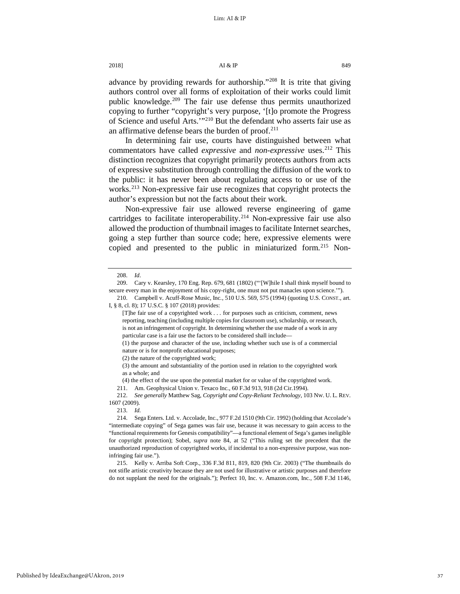# 2018]  $\overline{A1} \& \overline{IP}$  849

advance by providing rewards for authorship."[208](#page-37-0) It is trite that giving authors control over all forms of exploitation of their works could limit public knowledge.<sup>[209](#page-37-1)</sup> The fair use defense thus permits unauthorized copying to further "copyright's very purpose, '[t]o promote the Progress of Science and useful Arts.'["210](#page-37-2) But the defendant who asserts fair use as an affirmative defense bears the burden of proof.<sup>211</sup>

In determining fair use, courts have distinguished between what commentators have called *expressive* and *non-expressive* uses.<sup>[212](#page-37-4)</sup> This distinction recognizes that copyright primarily protects authors from acts of expressive substitution through controlling the diffusion of the work to the public: it has never been about regulating access to or use of the works.<sup>[213](#page-37-5)</sup> Non-expressive fair use recognizes that copyright protects the author's expression but not the facts about their work.

Non-expressive fair use allowed reverse engineering of game cartridges to facilitate interoperability.<sup>[214](#page-37-6)</sup> Non-expressive fair use also allowed the production of thumbnail images to facilitate Internet searches, going a step further than source code; here, expressive elements were copied and presented to the public in miniaturized form.<sup>[215](#page-37-7)</sup> Non-

211. Am. Geophysical Union v. Texaco Inc., 60 F.3d 913, 918 (2d Cir.1994).

<span id="page-37-4"></span><span id="page-37-3"></span>212. *See generally* Matthew Sag, *Copyright and Copy-Reliant Technology*, 103 NW. U. L. REV. 1607 (2009).

<sup>208.</sup> *Id*.

<span id="page-37-1"></span><span id="page-37-0"></span><sup>209.</sup> Cary v. Kearsley, 170 Eng. Rep. 679, 681 (1802) ("'[W]hile I shall think myself bound to secure every man in the enjoyment of his copy-right, one must not put manacles upon science.'").

<span id="page-37-2"></span><sup>210.</sup> Campbell v. Acuff-Rose Music, Inc*.*, 510 U.S. 569, 575 (1994) (quoting U.S. CONST., art. I, § 8, cl. 8); 17 U.S.C. § 107 (2018) provides:

<sup>[</sup>T]he fair use of a copyrighted work . . . for purposes such as criticism, comment, news reporting, teaching (including multiple copies for classroom use), scholarship, or research, is not an infringement of copyright. In determining whether the use made of a work in any particular case is a fair use the factors to be considered shall include—

<sup>(1)</sup> the purpose and character of the use, including whether such use is of a commercial nature or is for nonprofit educational purposes;

<sup>(2)</sup> the nature of the copyrighted work;

<sup>(3)</sup> the amount and substantiality of the portion used in relation to the copyrighted work as a whole; and

<sup>(4)</sup> the effect of the use upon the potential market for or value of the copyrighted work.

<sup>213.</sup> *Id.*

<span id="page-37-6"></span><span id="page-37-5"></span><sup>214.</sup> Sega Enters. Ltd. v. Accolade, Inc., 977 F.2d 1510 (9th Cir. 1992) (holding that Accolade's "intermediate copying" of Sega games was fair use, because it was necessary to gain access to the "functional requirements for Genesis compatibility"—a functional element of Sega's games ineligible for copyright protection); Sobel, *supra* note 84, at 52 ("This ruling set the precedent that the unauthorized reproduction of copyrighted works, if incidental to a non-expressive purpose, was noninfringing fair use.").

<span id="page-37-7"></span><sup>215.</sup> Kelly v. Arriba Soft Corp., 336 F.3d 811, 819, 820 (9th Cir. 2003) ("The thumbnails do not stifle artistic creativity because they are not used for illustrative or artistic purposes and therefore do not supplant the need for the originals."); Perfect 10, Inc. v. Amazon.com, Inc*.*, 508 F.3d 1146,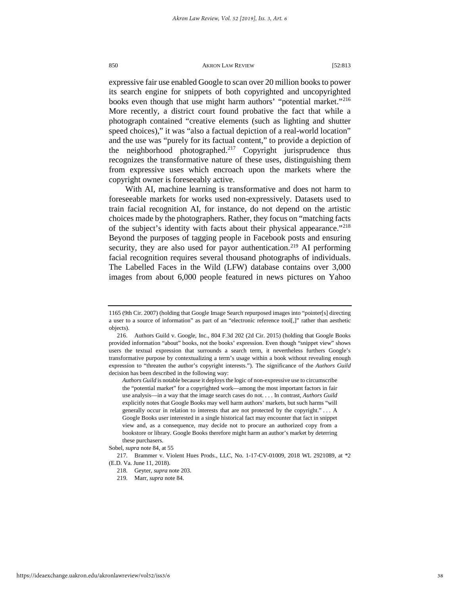expressive fair use enabled Google to scan over 20 million books to power its search engine for snippets of both copyrighted and uncopyrighted books even though that use might harm authors' "potential market."<sup>216</sup> More recently, a district court found probative the fact that while a photograph contained "creative elements (such as lighting and shutter speed choices)," it was "also a factual depiction of a real-world location" and the use was "purely for its factual content," to provide a depiction of the neighborhood photographed.<sup>[217](#page-38-1)</sup> Copyright jurisprudence thus recognizes the transformative nature of these uses, distinguishing them from expressive uses which encroach upon the markets where the copyright owner is foreseeably active.

With AI, machine learning is transformative and does not harm to foreseeable markets for works used non-expressively. Datasets used to train facial recognition AI, for instance, do not depend on the artistic choices made by the photographers. Rather, they focus on "matching facts of the subject's identity with facts about their physical appearance.["218](#page-38-2) Beyond the purposes of tagging people in Facebook posts and ensuring security, they are also used for payor authentication.<sup>[219](#page-38-3)</sup> AI performing facial recognition requires several thousand photographs of individuals. The Labelled Faces in the Wild (LFW) database contains over 3,000 images from about 6,000 people featured in news pictures on Yahoo

*Authors Guild* is notable because it deploys the logic of non-expressive use to circumscribe the "potential market" for a copyrighted work—among the most important factors in fair use analysis—in a way that the image search cases do not. . . . In contrast, *Authors Guild* explicitly notes that Google Books may well harm authors' markets, but such harms "will generally occur in relation to interests that are not protected by the copyright." . . . A Google Books user interested in a single historical fact may encounter that fact in snippet view and, as a consequence, may decide not to procure an authorized copy from a bookstore or library. Google Books therefore might harm an author's market by deterring these purchasers.

<sup>1165 (9</sup>th Cir. 2007) (holding that Google Image Search repurposed images into "pointer[s] directing a user to a source of information" as part of an "electronic reference tool[,]" rather than aesthetic objects).

<span id="page-38-0"></span><sup>216.</sup> Authors Guild v. Google, Inc., 804 F.3d 202 (2d Cir. 2015) (holding that Google Books provided information "about" books, not the books' expression. Even though "snippet view" shows users the textual expression that surrounds a search term, it nevertheless furthers Google's transformative purpose by contextualizing a term's usage within a book without revealing enough expression to "threaten the author's copyright interests."). The significance of the *Authors Guild*  decision has been described in the following way:

Sobel, *supra* note 84, at 55

<span id="page-38-3"></span><span id="page-38-2"></span><span id="page-38-1"></span><sup>217.</sup> Brammer v. Violent Hues Prods., LLC, No. 1-17-CV-01009, 2018 WL 2921089, at \*2 (E.D. Va. June 11, 2018).

<sup>218.</sup> Geyter, *supra* note [203.](#page-36-5) 

<sup>219.</sup> Marr, *supra* not[e 84.](#page-17-6)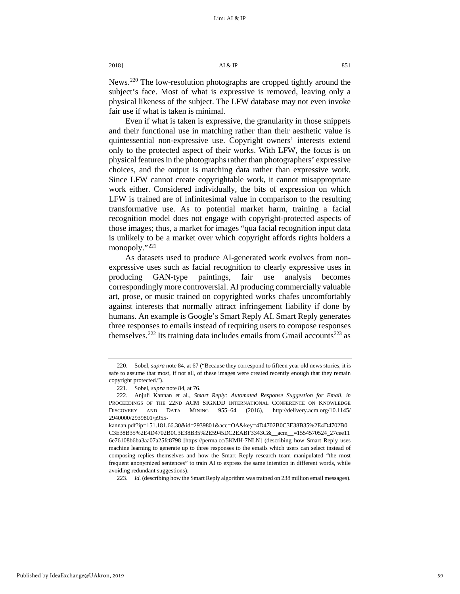News.[220](#page-39-0) The low-resolution photographs are cropped tightly around the subject's face. Most of what is expressive is removed, leaving only a physical likeness of the subject. The LFW database may not even invoke fair use if what is taken is minimal.

Even if what is taken is expressive, the granularity in those snippets and their functional use in matching rather than their aesthetic value is quintessential non-expressive use. Copyright owners' interests extend only to the protected aspect of their works. With LFW, the focus is on physical features in the photographs rather than photographers' expressive choices, and the output is matching data rather than expressive work. Since LFW cannot create copyrightable work, it cannot misappropriate work either. Considered individually, the bits of expression on which LFW is trained are of infinitesimal value in comparison to the resulting transformative use. As to potential market harm, training a facial recognition model does not engage with copyright-protected aspects of those images; thus, a market for images "qua facial recognition input data is unlikely to be a market over which copyright affords rights holders a monopoly."<sup>[221](#page-39-1)</sup>

As datasets used to produce AI-generated work evolves from nonexpressive uses such as facial recognition to clearly expressive uses in producing GAN-type paintings, fair use analysis becomes correspondingly more controversial. AI producing commercially valuable art, prose, or music trained on copyrighted works chafes uncomfortably against interests that normally attract infringement liability if done by humans. An example is Google's Smart Reply AI. Smart Reply generates three responses to emails instead of requiring users to compose responses themselves.<sup>[222](#page-39-2)</sup> Its training data includes emails from Gmail accounts<sup>[223](#page-39-3)</sup> as

<span id="page-39-3"></span>223. *Id.* (describing how the Smart Reply algorithm was trained on 238 million email messages).

<span id="page-39-0"></span><sup>220.</sup> Sobel, *supra* note 84, at 67 ("Because they correspond to fifteen year old news stories, it is safe to assume that most, if not all, of these images were created recently enough that they remain copyright protected.").

<sup>221.</sup> Sobel, *supra* note 84, at 76.

<span id="page-39-2"></span><span id="page-39-1"></span><sup>222.</sup> Anjuli Kannan et al., *Smart Reply: Automated Response Suggestion for Email*, *in* PROCEEDINGS OF THE 22ND ACM SIGKDD INTERNATIONAL CONFERENCE ON KNOWLEDGE DISCOVERY AND DATA MINING 955–64 (2016), http://delivery.acm.org/10.1145/ 2940000/2939801/p955-

kannan.pdf?ip=151.181.66.30&id=2939801&acc=OA&key=4D4702B0C3E38B35%2E4D4702B0 C3E38B35%2E4D4702B0C3E38B35%2E5945DC2EABF3343C&\_\_acm\_\_=1554570524\_27cee11 6e76108b6ba3aa07a25fc8798 [https://perma.cc/5KMH-7NLN] (describing how Smart Reply uses machine learning to generate up to three responses to the emails which users can select instead of composing replies themselves and how the Smart Reply research team manipulated "the most frequent anonymized sentences" to train AI to express the same intention in different words, while avoiding redundant suggestions).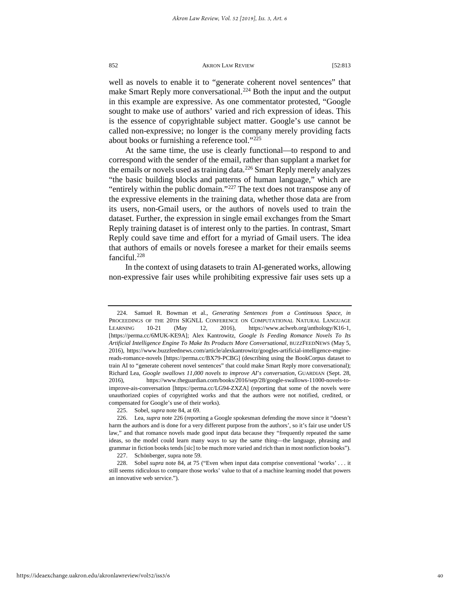well as novels to enable it to "generate coherent novel sentences" that make Smart Reply more conversational.<sup>224</sup> Both the input and the output in this example are expressive. As one commentator protested, "Google sought to make use of authors' varied and rich expression of ideas. This is the essence of copyrightable subject matter. Google's use cannot be called non-expressive; no longer is the company merely providing facts about books or furnishing a reference tool."[225](#page-40-1)

At the same time, the use is clearly functional—to respond to and correspond with the sender of the email, rather than supplant a market for the emails or novels used as training data.<sup>[226](#page-40-2)</sup> Smart Reply merely analyzes "the basic building blocks and patterns of human language," which are "entirely within the public domain."<sup>[227](#page-40-3)</sup> The text does not transpose any of the expressive elements in the training data, whether those data are from its users, non-Gmail users, or the authors of novels used to train the dataset. Further, the expression in single email exchanges from the Smart Reply training dataset is of interest only to the parties. In contrast, Smart Reply could save time and effort for a myriad of Gmail users. The idea that authors of emails or novels foresee a market for their emails seems fanciful[.228](#page-40-4)

In the context of using datasets to train AI-generated works, allowing non-expressive fair uses while prohibiting expressive fair uses sets up a

<span id="page-40-0"></span><sup>224.</sup> Samuel R. Bowman et al., *Generating Sentences from a Continuous Space*, *in* PROCEEDINGS OF THE 20TH SIGNLL CONFERENCE ON COMPUTATIONAL NATURAL LANGUAGE LEARNING 10-21 (May 12, 2016), https://www.aclweb.org/anthology/K16-1, [https://perma.cc/6MUK-KE9A]; Alex Kantrowitz, *Google Is Feeding Romance Novels To Its Artificial Intelligence Engine To Make Its Products More Conversational*, BUZZFEEDNEWS (May 5, 2016), https://www.buzzfeednews.com/article/alexkantrowitz/googles-artificial-intelligence-enginereads-romance-novels [https://perma.cc/BX79-PCBG] (describing using the BookCorpus dataset to train AI to "generate coherent novel sentences" that could make Smart Reply more conversational); Richard Lea, *Google swallows 11,000 novels to improve AI*'*s conversation*, GUARDIAN (Sept. 28, 2016), https://www.theguardian.com/books/2016/sep/28/google-swallows-11000-novels-toimprove-ais-conversation [https://perma.cc/LG94-ZXZA] (reporting that some of the novels were unauthorized copies of copyrighted works and that the authors were not notified, credited, or compensated for Google's use of their works).

<sup>225.</sup> Sobel, *supra* note 84, at 69.

<span id="page-40-2"></span><span id="page-40-1"></span><sup>226.</sup> Lea, *supra* note 226 (reporting a Google spokesman defending the move since it "doesn't harm the authors and is done for a very different purpose from the authors', so it's fair use under US law," and that romance novels made good input data because they "frequently repeated the same ideas, so the model could learn many ways to say the same thing—the language, phrasing and grammar in fiction books tends [sic] to be much more varied and rich than in most nonfiction books").

<sup>227.</sup> Schönberger, supra note 59.

<span id="page-40-4"></span><span id="page-40-3"></span><sup>228.</sup> Sobel *supra* note 84, at 75 ("Even when input data comprise conventional 'works' . . . it still seems ridiculous to compare those works' value to that of a machine learning model that powers an innovative web service.").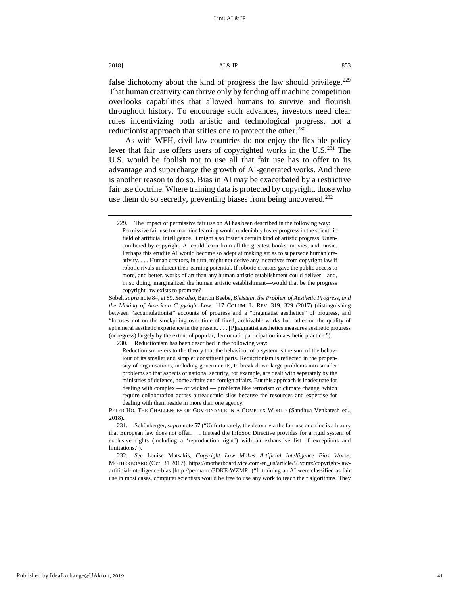false dichotomy about the kind of progress the law should privilege.<sup>229</sup> That human creativity can thrive only by fending off machine competition overlooks capabilities that allowed humans to survive and flourish throughout history. To encourage such advances, investors need clear rules incentivizing both artistic and technological progress, not a reductionist approach that stifles one to protect the other.<sup>[230](#page-41-1)</sup>

<span id="page-41-4"></span>As with WFH, civil law countries do not enjoy the flexible policy lever that fair use offers users of copyrighted works in the U.S[.231](#page-41-2) The U.S. would be foolish not to use all that fair use has to offer to its advantage and supercharge the growth of AI-generated works. And there is another reason to do so. Bias in AI may be exacerbated by a restrictive fair use doctrine. Where training data is protected by copyright, those who use them do so secretly, preventing biases from being uncovered.<sup>[232](#page-41-3)</sup>

<span id="page-41-1"></span>230. Reductionism has been described in the following way:

Reductionism refers to the theory that the behaviour of a system is the sum of the behaviour of its smaller and simpler constituent parts. Reductionism is reflected in the propensity of organisations, including governments, to break down large problems into smaller problems so that aspects of national security, for example, are dealt with separately by the ministries of defence, home affairs and foreign affairs. But this approach is inadequate for dealing with complex — or wicked — problems like terrorism or climate change, which require collaboration across bureaucratic silos because the resources and expertise for dealing with them reside in more than one agency.

<span id="page-41-0"></span><sup>229.</sup> The impact of permissive fair use on AI has been described in the following way: Permissive fair use for machine learning would undeniably foster progress in the scientific field of artificial intelligence. It might also foster a certain kind of artistic progress. Unencumbered by copyright, AI could learn from all the greatest books, movies, and music. Perhaps this erudite AI would become so adept at making art as to supersede human creativity. . . . Human creators, in turn, might not derive any incentives from copyright law if robotic rivals undercut their earning potential. If robotic creators gave the public access to more, and better, works of art than any human artistic establishment could deliver—and, in so doing, marginalized the human artistic establishment—would that be the progress copyright law exists to promote?

Sobel, *supra* note 84, at 89. *See also,* Barton Beebe, *Bleistein, the Problem of Aesthetic Progress, and the Making of American Copyright Law*, 117 COLUM. L. REV. 319, 329 (2017) (distinguishing between "accumulationist" accounts of progress and a "pragmatist aesthetics" of progress, and "focuses not on the stockpiling over time of fixed, archivable works but rather on the quality of ephemeral aesthetic experience in the present. . . . [P]ragmatist aesthetics measures aesthetic progress (or regress) largely by the extent of popular, democratic participation in aesthetic practice.").

PETER HO, THE CHALLENGES OF GOVERNANCE IN A COMPLEX WORLD (Sandhya Venkatesh ed., 2018).

<span id="page-41-2"></span><sup>231.</sup> Schönberger, *supra* not[e 57 \(](#page-13-7)"Unfortunately, the detour via the fair use doctrine is a luxury that European law does not offer. . . . Instead the InfoSoc Directive provides for a rigid system of exclusive rights (including a 'reproduction right') with an exhaustive list of exceptions and limitations.").

<span id="page-41-3"></span><sup>232.</sup> *See* Louise Matsakis, *Copyright Law Makes Artificial Intelligence Bias Worse*, MOTHERBOARD (Oct. 31 2017), https://motherboard.vice.com/en\_us/article/59ydmx/copyright-lawartificial-intelligence-bias [http://perma.cc/3DKE-WZMP] ("If training an AI were classified as fair use in most cases, computer scientists would be free to use any work to teach their algorithms. They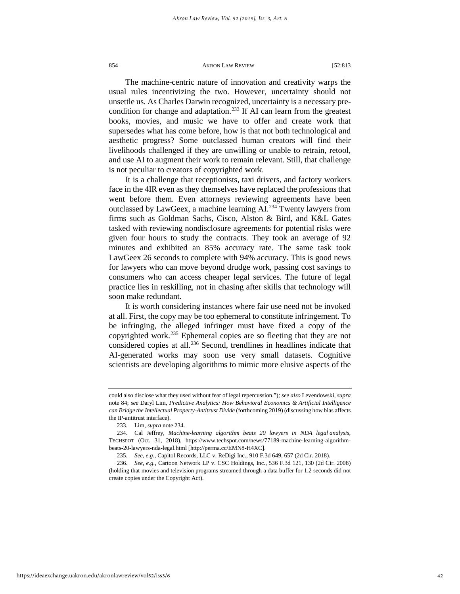The machine-centric nature of innovation and creativity warps the usual rules incentivizing the two. However, uncertainty should not unsettle us. As Charles Darwin recognized, uncertainty is a necessary precondition for change and adaptation.<sup>233</sup> If AI can learn from the greatest books, movies, and music we have to offer and create work that supersedes what has come before, how is that not both technological and aesthetic progress? Some outclassed human creators will find their livelihoods challenged if they are unwilling or unable to retrain, retool, and use AI to augment their work to remain relevant. Still, that challenge is not peculiar to creators of copyrighted work.

It is a challenge that receptionists, taxi drivers, and factory workers face in the 4IR even as they themselves have replaced the professions that went before them. Even attorneys reviewing agreements have been outclassed by LawGeex, a machine learning AI.<sup>[234](#page-42-1)</sup> Twenty lawyers from firms such as Goldman Sachs, Cisco, Alston & Bird, and K&L Gates tasked with reviewing nondisclosure agreements for potential risks were given four hours to study the contracts. They took an average of 92 minutes and exhibited an 85% accuracy rate. The same task took LawGeex 26 seconds to complete with 94% accuracy. This is good news for lawyers who can move beyond drudge work, passing cost savings to consumers who can access cheaper legal services. The future of legal practice lies in reskilling, not in chasing after skills that technology will soon make redundant.

It is worth considering instances where fair use need not be invoked at all. First, the copy may be too ephemeral to constitute infringement. To be infringing, the alleged infringer must have fixed a copy of the copyrighted work.<sup>[235](#page-42-2)</sup> Ephemeral copies are so fleeting that they are not considered copies at all.<sup>[236](#page-42-3)</sup> Second, trendlines in headlines indicate that AI-generated works may soon use very small datasets. Cognitive scientists are developing algorithms to mimic more elusive aspects of the

could also disclose what they used without fear of legal repercussion.")*; see also* Levendowski, *supra*  note 84; *see* Daryl Lim, *Predictive Analytics: How Behavioral Economics & Artificial Intelligence can Bridge the Intellectual Property-Antitrust Divide* (forthcoming 2019) (discussing how bias affects the IP-antitrust interface).

<sup>233.</sup> Lim, *supra* note 234.

<span id="page-42-1"></span><span id="page-42-0"></span><sup>234.</sup> Cal Jeffrey, *Machine-learning algorithm beats 20 lawyers in NDA legal analysis*, TECHSPOT (Oct. 31, 2018), https://www.techspot.com/news/77189-machine-learning-algorithmbeats-20-lawyers-nda-legal.html [http://perma.cc/EMN8-H4XC].

<sup>235.</sup> *See, e.g*., Capitol Records, LLC v. ReDigi Inc., 910 F.3d 649, 657 (2d Cir. 2018).

<span id="page-42-3"></span><span id="page-42-2"></span><sup>236.</sup> *See, e.g.*, Cartoon Network LP v. CSC Holdings, Inc*.*, 536 F.3d 121, 130 (2d Cir. 2008) (holding that movies and television programs streamed through a data buffer for 1.2 seconds did not create copies under the Copyright Act).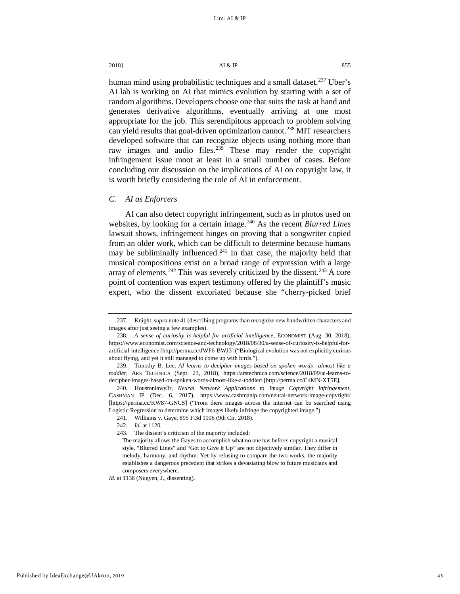human mind using probabilistic techniques and a small dataset.<sup>[237](#page-43-0)</sup> Uber's AI lab is working on AI that mimics evolution by starting with a set of random algorithms. Developers choose one that suits the task at hand and generates derivative algorithms, eventually arriving at one most appropriate for the job. This serendipitous approach to problem solving can yield results that goal-driven optimization cannot.<sup>[238](#page-43-1)</sup> MIT researchers developed software that can recognize objects using nothing more than raw images and audio files.<sup>[239](#page-43-2)</sup> These may render the copyright infringement issue moot at least in a small number of cases. Before concluding our discussion on the implications of AI on copyright law, it is worth briefly considering the role of AI in enforcement.

# *C. AI as Enforcers*

AI can also detect copyright infringement, such as in photos used on websites, by looking for a certain image.<sup>[240](#page-43-3)</sup> As the recent *Blurred Lines* lawsuit shows, infringement hinges on proving that a songwriter copied from an older work, which can be difficult to determine because humans may be subliminally influenced.<sup>[241](#page-43-4)</sup> In that case, the majority held that musical compositions exist on a broad range of expression with a large array of elements.<sup>[242](#page-43-5)</sup> This was severely criticized by the dissent.<sup>[243](#page-43-6)</sup> A core point of contention was expert testimony offered by the plaintiff's music expert, who the dissent excoriated because she "cherry-picked brief

*Id.* at 1138 (Nugyen, J., dissenting).

<span id="page-43-0"></span><sup>237.</sup> Knight, *supra* note 41 (describing programs than recognize new handwritten characters and images after just seeing a few examples).

<span id="page-43-1"></span><sup>238.</sup> *A sense of curiosity is helpful for artificial intelligence*, ECONOMIST (Aug. 30, 2018), https://www.economist.com/science-and-technology/2018/08/30/a-sense-of-curiosity-is-helpful-forartificial-intelligence [http://perma.cc/JWF6-BWJ3] ("Biological evolution was not explicitly curious about flying, and yet it still managed to come up with birds.").

<span id="page-43-2"></span><sup>239.</sup> Timothy B. Lee, *AI learns to decipher images based on spoken words—almost like a toddler*, ARS TECHNICA (Sept. 23, 2018), https://arstechnica.com/science/2018/09/ai-learns-todecipher-images-based-on-spoken-words-almost-like-a-toddler/ [http://perma.cc/C4MN-XT5E].

<span id="page-43-4"></span><span id="page-43-3"></span><sup>240.</sup> Houstonlawy3r, *Neural Network Applications to Image Copyright Infringement*, CASHMAN IP (Dec. 6, 2017), https://www.cashmanip.com/neural-network-image-copyright/ [https://perma.cc/KW87-GNCS] ("From there images across the internet can be searched using Logistic Regression to determine which images likely infringe the copyrighted image.").

<span id="page-43-6"></span><span id="page-43-5"></span><sup>241.</sup> Williams v. Gaye, 895 F.3d 1106 (9th Cir. 2018).

<sup>242.</sup> *Id.* at 1120.

<sup>243.</sup> The dissent's criticism of the majority included:

The majority allows the Gayes to accomplish what no one has before: copyright a musical style. "Blurred Lines" and "Got to Give It Up" are not objectively similar. They differ in melody, harmony, and rhythm. Yet by refusing to compare the two works, the majority establishes a dangerous precedent that strikes a devastating blow to future musicians and composers everywhere.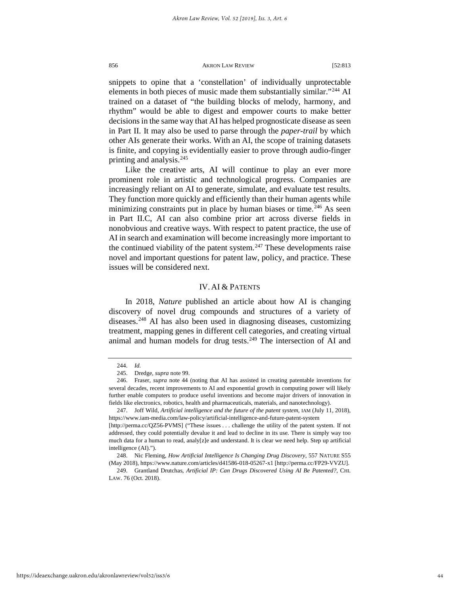snippets to opine that a 'constellation' of individually unprotectable elements in both pieces of music made them substantially similar."[244](#page-44-1) AI trained on a dataset of "the building blocks of melody, harmony, and rhythm" would be able to digest and empower courts to make better decisions in the same way that AI has helped prognosticate disease as seen in Part II. It may also be used to parse through the *paper-trail* by which other AIs generate their works. With an AI, the scope of training datasets is finite, and copying is evidentially easier to prove through audio-finger printing and analysis.<sup>[245](#page-44-2)</sup>

Like the creative arts, AI will continue to play an ever more prominent role in artistic and technological progress. Companies are increasingly reliant on AI to generate, simulate, and evaluate test results. They function more quickly and efficiently than their human agents while minimizing constraints put in place by human biases or time.<sup>[246](#page-44-3)</sup> As seen in Part II.C, AI can also combine prior art across diverse fields in nonobvious and creative ways. With respect to patent practice, the use of AI in search and examination will become increasingly more important to the continued viability of the patent system. $247$  These developments raise novel and important questions for patent law, policy, and practice. These issues will be considered next.

# <span id="page-44-7"></span>IV. AI & PATENTS

<span id="page-44-0"></span>In 2018, *Nature* published an article about how AI is changing discovery of novel drug compounds and structures of a variety of diseases.[248](#page-44-5) AI has also been used in diagnosing diseases, customizing treatment, mapping genes in different cell categories, and creating virtual animal and human models for drug tests.<sup>[249](#page-44-6)</sup> The intersection of AI and

<sup>244.</sup> *Id.*

<sup>245.</sup> Dredge, *supra* not[e 99.](#page-19-8) 

<span id="page-44-3"></span><span id="page-44-2"></span><span id="page-44-1"></span><sup>246.</sup> Fraser, *supra* note [44](#page-11-5) (noting that AI has assisted in creating patentable inventions for several decades, recent improvements to AI and exponential growth in computing power will likely further enable computers to produce useful inventions and become major drivers of innovation in fields like electronics, robotics, health and pharmaceuticals, materials, and nanotechnology).

<span id="page-44-4"></span><sup>247.</sup> Joff Wild, *Artificial intelligence and the future of the patent system,* IAM (July 11, 2018), https://www.iam-media.com/law-policy/artificial-intelligence-and-future-patent-system

<sup>[</sup>http://perma.cc/QZ56-PVMS] ("These issues . . . challenge the utility of the patent system. If not addressed, they could potentially devalue it and lead to decline in its use. There is simply way too much data for a human to read, analy[z]e and understand. It is clear we need help. Step up artificial intelligence (AD").

<span id="page-44-5"></span><sup>248.</sup> Nic Fleming, *How Artificial Intelligence Is Changing Drug Discovery*, 557 NATURE S55 (May 2018), https://www.nature.com/articles/d41586-018-05267-x1 [http://perma.cc/FP29-VVZU].

<span id="page-44-6"></span><sup>249.</sup> Grantland Drutchas, *Artificial IP: Can Drugs Discovered Using AI Be Patented?*, CHI. LAW. 76 (Oct. 2018).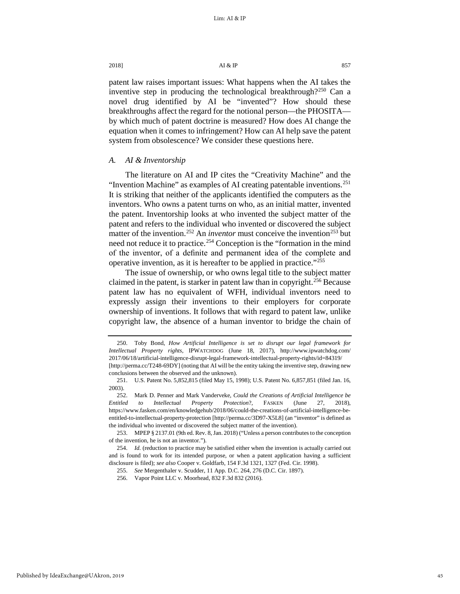patent law raises important issues: What happens when the AI takes the inventive step in producing the technological breakthrough?<sup>[250](#page-45-0)</sup> Can a novel drug identified by AI be "invented"? How should these breakthroughs affect the regard for the notional person—the PHOSITA by which much of patent doctrine is measured? How does AI change the equation when it comes to infringement? How can AI help save the patent system from obsolescence? We consider these questions here.

# *A. AI & Inventorship*

The literature on AI and IP cites the "Creativity Machine" and the "Invention Machine" as examples of AI creating patentable inventions.<sup>251</sup> It is striking that neither of the applicants identified the computers as the inventors. Who owns a patent turns on who, as an initial matter, invented the patent. Inventorship looks at who invented the subject matter of the patent and refers to the individual who invented or discovered the subject matter of the invention.<sup>[252](#page-45-2)</sup> An *inventor* must conceive the invention<sup>[253](#page-45-3)</sup> but need not reduce it to practice.<sup>[254](#page-45-4)</sup> Conception is the "formation in the mind of the inventor, of a definite and permanent idea of the complete and operative invention, as it is hereafter to be applied in practice."[255](#page-45-5)

The issue of ownership, or who owns legal title to the subject matter claimed in the patent, is starker in patent law than in copyright.<sup>[256](#page-45-6)</sup> Because patent law has no equivalent of WFH, individual inventors need to expressly assign their inventions to their employers for corporate ownership of inventions. It follows that with regard to patent law, unlike copyright law, the absence of a human inventor to bridge the chain of

<span id="page-45-6"></span><span id="page-45-5"></span>Published by IdeaExchange@UAkron, 2019

<span id="page-45-0"></span><sup>250.</sup> Toby Bond, *How Artificial Intelligence is set to disrupt our legal framework for Intellectual Property rights*, IPWATCHDOG (June 18, 2017), http://www.ipwatchdog.com/ 2017/06/18/artificial-intelligence-disrupt-legal-framework-intellectual-property-rights/id=84319/ [http://perma.cc/T248-69DY] (noting that AI will be the entity taking the inventive step, drawing new conclusions between the observed and the unknown).

<span id="page-45-1"></span><sup>251.</sup> U.S. Patent No. 5,852,815 (filed May 15, 1998); U.S. Patent No. 6,857,851 (filed Jan. 16, 2003).

<span id="page-45-2"></span><sup>252.</sup> Mark D. Penner and Mark Vanderveke, *Could the Creations of Artificial Intelligence be Entitled to Intellectual Property Protection*?, FASKEN (June 27, 2018), https://www.fasken.com/en/knowledgehub/2018/06/could-the-creations-of-artificial-intelligence-beentitled-to-intellectual-property-protection [http://perma.cc/3D97-X5L8] (an "inventor" is defined as the individual who invented or discovered the subject matter of the invention).

<span id="page-45-3"></span><sup>253.</sup> MPEP § 2137.01 (9th ed. Rev. 8, Jan. 2018) ("Unless a person contributes to the conception of the invention, he is not an inventor.").

<span id="page-45-4"></span><sup>254.</sup> *Id.* (reduction to practice may be satisfied either when the invention is actually carried out and is found to work for its intended purpose, or when a patent application having a sufficient disclosure is filed); *see also* Cooper v. Goldfarb, 154 F.3d 1321, 1327 (Fed. Cir. 1998).

<sup>255.</sup> *See* Mergenthaler v. Scudder, 11 App. D.C. 264, 276 (D.C. Cir. 1897).

<sup>256.</sup> Vapor Point LLC v. Moorhead, 832 F.3d 832 (2016).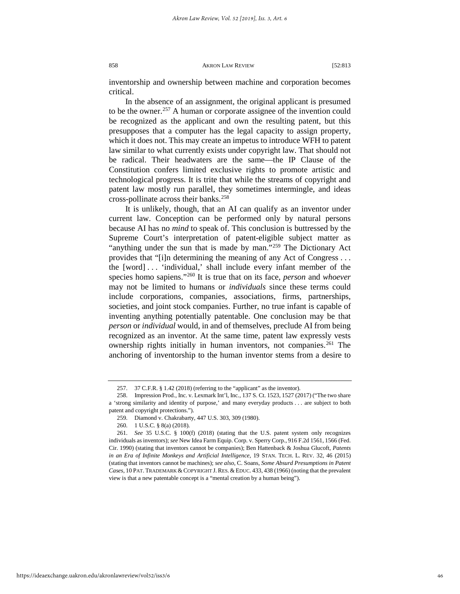inventorship and ownership between machine and corporation becomes critical.

In the absence of an assignment, the original applicant is presumed to be the owner.<sup>[257](#page-46-0)</sup> A human or corporate assignee of the invention could be recognized as the applicant and own the resulting patent, but this presupposes that a computer has the legal capacity to assign property, which it does not. This may create an impetus to introduce WFH to patent law similar to what currently exists under copyright law. That should not be radical. Their headwaters are the same—the IP Clause of the Constitution confers limited exclusive rights to promote artistic and technological progress. It is trite that while the streams of copyright and patent law mostly run parallel, they sometimes intermingle, and ideas cross-pollinate across their banks.<sup>[258](#page-46-1)</sup>

It is unlikely, though, that an AI can qualify as an inventor under current law. Conception can be performed only by natural persons because AI has no *mind* to speak of. This conclusion is buttressed by the Supreme Court's interpretation of patent-eligible subject matter as "anything under the sun that is made by man."<sup>[259](#page-46-2)</sup> The Dictionary Act provides that "[i]n determining the meaning of any Act of Congress . . . the [word] . . . 'individual,' shall include every infant member of the species homo sapiens."[260](#page-46-3) It is true that on its face, *person* and *whoever* may not be limited to humans or *individuals* since these terms could include corporations, companies, associations, firms, partnerships, societies, and joint stock companies. Further, no true infant is capable of inventing anything potentially patentable. One conclusion may be that *person* or *individual* would, in and of themselves, preclude AI from being recognized as an inventor. At the same time, patent law expressly vests ownership rights initially in human inventors, not companies.<sup>[261](#page-46-4)</sup> The anchoring of inventorship to the human inventor stems from a desire to

<sup>257. 37</sup> C.F.R. § 1.42 (2018) (referring to the "applicant" as the inventor).

<span id="page-46-1"></span><span id="page-46-0"></span><sup>258.</sup> Impression Prod., Inc. v. Lexmark Int'l, Inc*.*, 137 S. Ct. 1523, 1527 (2017) ("The two share a 'strong similarity and identity of purpose,' and many everyday products . . . are subject to both patent and copyright protections.").

<sup>259.</sup> Diamond v. Chakrabarty, 447 U.S. 303, 309 (1980).

<sup>260. 1</sup> U.S.C. § 8(a) (2018).

<span id="page-46-4"></span><span id="page-46-3"></span><span id="page-46-2"></span><sup>261.</sup> *See* 35 U.S.C. § 100(f) (2018) (stating that the U.S. patent system only recognizes individuals as inventors); *see* New Idea Farm Equip. Corp. v. Sperry Corp., 916 F.2d 1561, 1566 (Fed. Cir. 1990) (stating that inventors cannot be companies); Ben Hattenback & Joshua Glucoft, *Patents in an Era of Infinite Monkeys and Artificial Intelligence*, 19 STAN. TECH. L. REV. 32, 46 (2015) (stating that inventors cannot be machines); *see also*, C. Soans, *Some Absurd Presumptions in Patent*  Cases, 10 PAT. TRADEMARK & COPYRIGHT J. RES. & EDUC. 433, 438 (1966) (noting that the prevalent view is that a new patentable concept is a "mental creation by a human being").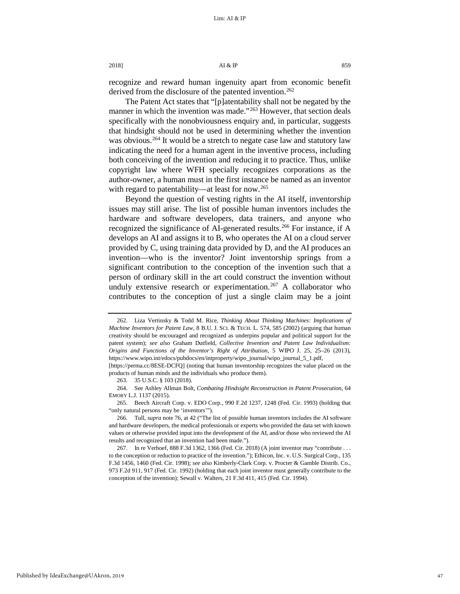# 2018]  $\overline{A1} \& \overline{IP}$  859

recognize and reward human ingenuity apart from economic benefit derived from the disclosure of the patented invention.<sup>[262](#page-47-0)</sup>

The Patent Act states that "[p]atentability shall not be negated by the manner in which the invention was made."<sup>[263](#page-47-1)</sup> However, that section deals specifically with the nonobviousness enquiry and, in particular, suggests that hindsight should not be used in determining whether the invention was obvious.<sup>[264](#page-47-2)</sup> It would be a stretch to negate case law and statutory law indicating the need for a human agent in the inventive process, including both conceiving of the invention and reducing it to practice. Thus, unlike copyright law where WFH specially recognizes corporations as the author-owner, a human must in the first instance be named as an inventor with regard to patentability—at least for now.<sup>[265](#page-47-3)</sup>

Beyond the question of vesting rights in the AI itself, inventorship issues may still arise. The list of possible human inventors includes the hardware and software developers, data trainers, and anyone who recognized the significance of AI-generated results.<sup>[266](#page-47-4)</sup> For instance, if A develops an AI and assigns it to B, who operates the AI on a cloud server provided by C, using training data provided by D, and the AI produces an invention—who is the inventor? Joint inventorship springs from a significant contribution to the conception of the invention such that a person of ordinary skill in the art could construct the invention without unduly extensive research or experimentation.<sup>[267](#page-47-5)</sup> A collaborator who contributes to the conception of just a single claim may be a joint

<span id="page-47-0"></span><sup>262.</sup> Liza Vertinsky & Todd M. Rice, *Thinking About Thinking Machines: Implications of Machine Inventors for Patent Law*, 8 B.U. J. SCI. & TECH. L. 574, 585 (2002) (arguing that human creativity should be encouraged and recognized as underpins popular and political support for the patent system); *see also* Graham Dutfield, *Collective Invention and Patent Law Individualism: Origins and Functions of the Inventor's Right of Attribution*, 5 WIPO J. 25, 25–26 (2013), https://www.wipo.int/edocs/pubdocs/en/intproperty/wipo\_journal/wipo\_journal\_5\_1.pdf,

<span id="page-47-1"></span><sup>[</sup>https://perma.cc/8ESE-DCFQ] (noting that human inventorship recognizes the value placed on the products of human minds and the individuals who produce them).

<sup>263. 35</sup> U.S.C. § 103 (2018).

<span id="page-47-2"></span><sup>264.</sup> See Ashley Allman Bolt, *Combating Hindsight Reconstruction in Patent Prosecution*, 64 EMORY L.J. 1137 (2015).

<span id="page-47-3"></span><sup>265.</sup> Beech Aircraft Corp. v. EDO Corp*.*, 990 F.2d 1237, 1248 (Fed. Cir. 1993) (holding that "only natural persons may be 'inventors'").

<span id="page-47-4"></span><sup>266.</sup> Tull, *supra* not[e 76,](#page-16-8) at 42 ("The list of possible human inventors includes the AI software and hardware developers, the medical professionals or experts who provided the data set with known values or otherwise provided input into the development of the AI, and/or those who reviewed the AI results and recognized that an invention had been made.").

<span id="page-47-5"></span><sup>267.</sup> In re Verhoef, 888 F.3d 1362, 1366 (Fed. Cir. 2018) (A joint inventor may "contribute . . . to the conception or reduction to practice of the invention."); Ethicon, Inc. v. U.S. Surgical Corp., 135 F.3d 1456, 1460 (Fed. Cir. 1998); *see also* Kimberly-Clark Corp. v. Procter & Gamble Distrib. Co., 973 F.2d 911, 917 (Fed. Cir. 1992) (holding that each joint inventor must generally contribute to the conception of the invention); Sewall v. Walters, 21 F.3d 411, 415 (Fed. Cir. 1994).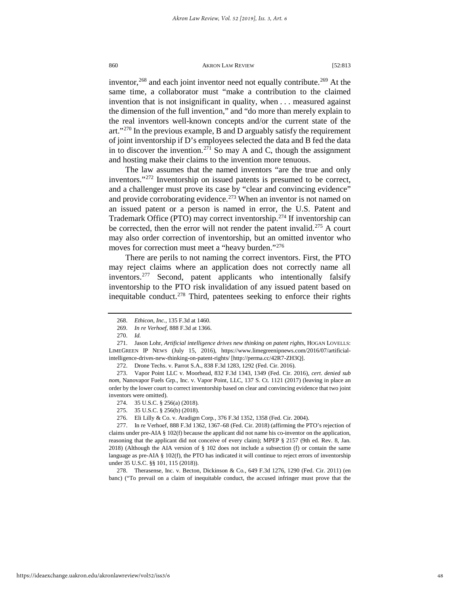inventor,<sup>[268](#page-48-0)</sup> and each joint inventor need not equally contribute.<sup>[269](#page-48-1)</sup> At the same time, a collaborator must "make a contribution to the claimed invention that is not insignificant in quality, when . . . measured against the dimension of the full invention," and "do more than merely explain to the real inventors well-known concepts and/or the current state of the art." $270$  In the previous example, B and D arguably satisfy the requirement of joint inventorship if D's employees selected the data and B fed the data in to discover the invention.<sup>[271](#page-48-3)</sup> So may A and C, though the assignment and hosting make their claims to the invention more tenuous.

The law assumes that the named inventors "are the true and only inventors."[272](#page-48-4) Inventorship on issued patents is presumed to be correct, and a challenger must prove its case by "clear and convincing evidence" and provide corroborating evidence.<sup>[273](#page-48-5)</sup> When an inventor is not named on an issued patent or a person is named in error, the U.S. Patent and Trademark Office (PTO) may correct inventorship.[274](#page-48-6) If inventorship can be corrected, then the error will not render the patent invalid.<sup>[275](#page-48-7)</sup> A court may also order correction of inventorship, but an omitted inventor who moves for correction must meet a "heavy burden."<sup>[276](#page-48-8)</sup>

There are perils to not naming the correct inventors. First, the PTO may reject claims where an application does not correctly name all inventors.[277](#page-48-9) Second, patent applicants who intentionally falsify inventorship to the PTO risk invalidation of any issued patent based on inequitable conduct.<sup>278</sup> Third, patentees seeking to enforce their rights

<sup>268.</sup> *Ethicon, Inc.*, 135 F.3d at 1460.

<sup>269.</sup> *In re Verhoef*, 888 F.3d at 1366.

<sup>270.</sup> *Id.*

<span id="page-48-3"></span><span id="page-48-2"></span><span id="page-48-1"></span><span id="page-48-0"></span><sup>271.</sup> Jason Lohr, *Artificial intelligence drives new thinking on patent rights*, HOGAN LOVELLS: LIMEGREEN IP NEWS (July 15, 2016), https://www.limegreenipnews.com/2016/07/artificialintelligence-drives-new-thinking-on-patent-rights/ [http://perma.cc/42R7-ZH3Q].

<sup>272.</sup> Drone Techs. v. Parrot S.A., 838 F.3d 1283, 1292 (Fed. Cir. 2016).

<span id="page-48-5"></span><span id="page-48-4"></span><sup>273.</sup> Vapor Point LLC v. Moorhead, 832 F.3d 1343, 1349 (Fed. Cir. 2016), *cert. denied sub nom*, Nanovapor Fuels Grp., Inc. v. Vapor Point, LLC, 137 S. Ct. 1121 (2017) (leaving in place an order by the lower court to correct inventorship based on clear and convincing evidence that two joint inventors were omitted).

<sup>274. 35</sup> U.S.C. § 256(a) (2018).

<sup>275. 35</sup> U.S.C. § 256(b) (2018).

<sup>276.</sup> Eli Lilly & Co. v. Aradigm Corp*.*, 376 F.3d 1352, 1358 (Fed. Cir. 2004).

<span id="page-48-9"></span><span id="page-48-8"></span><span id="page-48-7"></span><span id="page-48-6"></span><sup>277.</sup> In re Verhoef, 888 F.3d 1362, 1367–68 (Fed. Cir. 2018) (affirming the PTO's rejection of claims under pre-AIA § 102(f) because the applicant did not name his co-inventor on the application, reasoning that the applicant did not conceive of every claim); MPEP § 2157 (9th ed. Rev. 8, Jan. 2018) (Although the AIA version of § 102 does not include a subsection (f) or contain the same language as pre-AIA § 102(f), the PTO has indicated it will continue to reject errors of inventorship under 35 U.S.C. §§ 101, 115 (2018)).

<span id="page-48-10"></span><sup>278.</sup> Therasense, Inc. v. Becton, Dickinson & Co*.*, 649 F.3d 1276, 1290 (Fed. Cir. 2011) (en banc) ("To prevail on a claim of inequitable conduct, the accused infringer must prove that the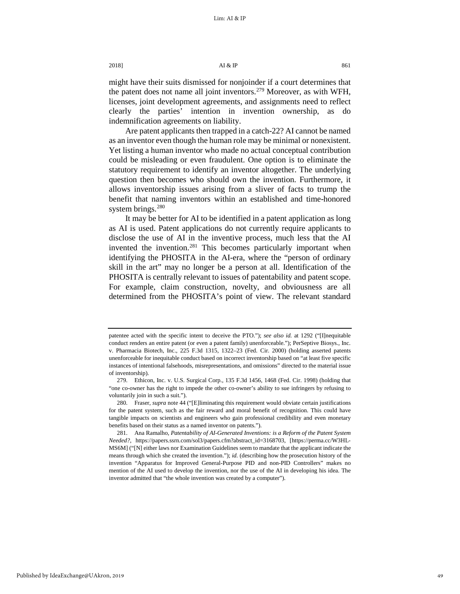# $2018$ ]  $Al & IP$  861

might have their suits dismissed for nonjoinder if a court determines that the patent does not name all joint inventors.<sup>279</sup> Moreover, as with WFH, licenses, joint development agreements, and assignments need to reflect clearly the parties' intention in invention ownership, as do indemnification agreements on liability.

Are patent applicants then trapped in a catch-22? AI cannot be named as an inventor even though the human role may be minimal or nonexistent. Yet listing a human inventor who made no actual conceptual contribution could be misleading or even fraudulent. One option is to eliminate the statutory requirement to identify an inventor altogether. The underlying question then becomes who should own the invention. Furthermore, it allows inventorship issues arising from a sliver of facts to trump the benefit that naming inventors within an established and time-honored system brings. $280$ 

<span id="page-49-3"></span>It may be better for AI to be identified in a patent application as long as AI is used. Patent applications do not currently require applicants to disclose the use of AI in the inventive process, much less that the AI invented the invention.<sup>281</sup> This becomes particularly important when identifying the PHOSITA in the AI-era, where the "person of ordinary skill in the art" may no longer be a person at all. Identification of the PHOSITA is centrally relevant to issues of patentability and patent scope. For example, claim construction, novelty, and obviousness are all determined from the PHOSITA's point of view. The relevant standard

patentee acted with the specific intent to deceive the PTO."); *see also id.* at 1292 ("[I]nequitable conduct renders an entire patent (or even a patent family) unenforceable."); PerSeptive Biosys., Inc. v. Pharmacia Biotech, Inc., 225 F.3d 1315, 1322–23 (Fed. Cir. 2000) (holding asserted patents unenforceable for inequitable conduct based on incorrect inventorship based on "at least five specific instances of intentional falsehoods, misrepresentations, and omissions" directed to the material issue of inventorship).

<span id="page-49-0"></span><sup>279.</sup> Ethicon, Inc. v. U.S. Surgical Corp., 135 F.3d 1456, 1468 (Fed. Cir. 1998) (holding that "one co-owner has the right to impede the other co-owner's ability to sue infringers by refusing to voluntarily join in such a suit.").

<span id="page-49-1"></span><sup>280.</sup> Fraser, *supra* not[e 44](#page-11-5) ("[E]liminating this requirement would obviate certain justifications for the patent system, such as the fair reward and moral benefit of recognition. This could have tangible impacts on scientists and engineers who gain professional credibility and even monetary benefits based on their status as a named inventor on patents.").

<span id="page-49-2"></span><sup>281.</sup> Ana Ramalho, *Patentability of AI-Generated Inventions: is a Reform of the Patent System Needed?*, [https://papers.ssrn.com/sol3/papers.cfm?abstract\\_id=3168703,](https://papers.ssrn.com/sol3/papers.cfm?abstract_id=3168703) [\[https://perma.cc/W3HL-](https://perma.cc/W3HL-MS6M)[MS6M\]](https://perma.cc/W3HL-MS6M) ("[N] either laws nor Examination Guidelines seem to mandate that the applicant indicate the means through which she created the invention."); *id.* (describing how the prosecution history of the invention "Apparatus for Improved General-Purpose PID and non-PID Controllers" makes no mention of the AI used to develop the invention, nor the use of the AI in developing his idea. The inventor admitted that "the whole invention was created by a computer").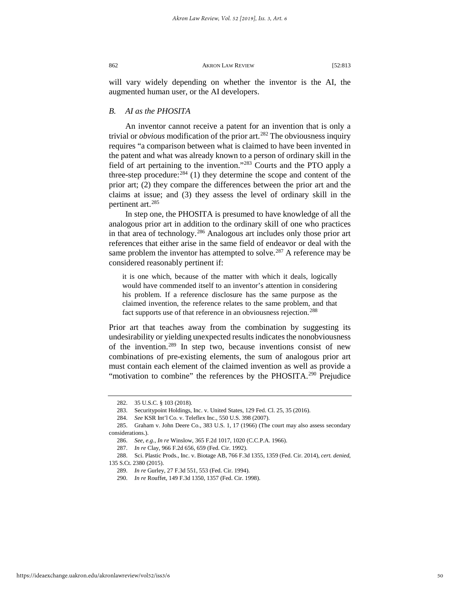will vary widely depending on whether the inventor is the AI, the augmented human user, or the AI developers.

# *B. AI as the PHOSITA*

An inventor cannot receive a patent for an invention that is only a trivial or *obvious* modification of the prior art.[282](#page-50-0) The obviousness inquiry requires "a comparison between what is claimed to have been invented in the patent and what was already known to a person of ordinary skill in the field of art pertaining to the invention."[283](#page-50-1) Courts and the PTO apply a three-step procedure: $284$  (1) they determine the scope and content of the prior art; (2) they compare the differences between the prior art and the claims at issue; and (3) they assess the level of ordinary skill in the pertinent art.[285](#page-50-3)

In step one, the PHOSITA is presumed to have knowledge of all the analogous prior art in addition to the ordinary skill of one who practices in that area of technology.[286](#page-50-4) Analogous art includes only those prior art references that either arise in the same field of endeavor or deal with the same problem the inventor has attempted to solve.<sup>[287](#page-50-5)</sup> A reference may be considered reasonably pertinent if:

it is one which, because of the matter with which it deals, logically would have commended itself to an inventor's attention in considering his problem. If a reference disclosure has the same purpose as the claimed invention, the reference relates to the same problem, and that fact supports use of that reference in an obviousness rejection.<sup>[288](#page-50-6)</sup>

Prior art that teaches away from the combination by suggesting its undesirability or yielding unexpected results indicates the nonobviousness of the invention.[289](#page-50-7) In step two, because inventions consist of new combinations of pre-existing elements, the sum of analogous prior art must contain each element of the claimed invention as well as provide a "motivation to combine" the references by the PHOSITA.<sup>[290](#page-50-8)</sup> Prejudice

<sup>282. 35</sup> U.S.C. § 103 (2018).

<sup>283.</sup> Securitypoint Holdings, Inc. v. United States, 129 Fed. Cl. 25, 35 (2016).

<sup>284.</sup> *See* KSR Int'l Co. v. Teleflex Inc., 550 U.S. 398 (2007).

<span id="page-50-4"></span><span id="page-50-3"></span><span id="page-50-2"></span><span id="page-50-1"></span><span id="page-50-0"></span><sup>285.</sup> Graham v. John Deere Co., 383 U.S. 1, 17 (1966) (The court may also assess secondary considerations.).

<sup>286.</sup> *See, e.g.*, *In re* Winslow, 365 F.2d 1017, 1020 (C.C.P.A. 1966).

<sup>287.</sup> *In re* Clay, 966 F.2d 656, 659 (Fed. Cir. 1992).

<span id="page-50-8"></span><span id="page-50-7"></span><span id="page-50-6"></span><span id="page-50-5"></span><sup>288.</sup> Sci. Plastic Prods., Inc. v. Biotage AB, 766 F.3d 1355, 1359 (Fed. Cir. 2014), *cert. denied*, 135 S.Ct. 2380 (2015).

<sup>289.</sup> *In re* Gurley, 27 F.3d 551, 553 (Fed. Cir. 1994).

<sup>290.</sup> *In re* Rouffet, 149 F.3d 1350, 1357 (Fed. Cir. 1998).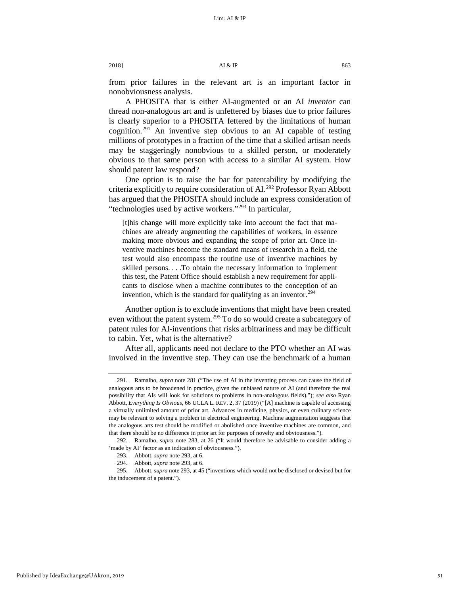2018]  $\overline{A1} \& \overline{IP}$  863

from prior failures in the relevant art is an important factor in nonobviousness analysis.

A PHOSITA that is either AI-augmented or an AI *inventor* can thread non-analogous art and is unfettered by biases due to prior failures is clearly superior to a PHOSITA fettered by the limitations of human cognition.[291](#page-51-0) An inventive step obvious to an AI capable of testing millions of prototypes in a fraction of the time that a skilled artisan needs may be staggeringly nonobvious to a skilled person, or moderately obvious to that same person with access to a similar AI system. How should patent law respond?

One option is to raise the bar for patentability by modifying the criteria explicitly to require consideration of AI.[292](#page-51-1) Professor Ryan Abbott has argued that the PHOSITA should include an express consideration of "technologies used by active workers."[293](#page-51-2) In particular,

[t]his change will more explicitly take into account the fact that machines are already augmenting the capabilities of workers, in essence making more obvious and expanding the scope of prior art. Once inventive machines become the standard means of research in a field, the test would also encompass the routine use of inventive machines by skilled persons. . . .To obtain the necessary information to implement this test, the Patent Office should establish a new requirement for applicants to disclose when a machine contributes to the conception of an invention, which is the standard for qualifying as an inventor.<sup>[294](#page-51-3)</sup>

Another option is to exclude inventions that might have been created even without the patent system.<sup>[295](#page-51-4)</sup> To do so would create a subcategory of patent rules for AI-inventions that risks arbitrariness and may be difficult to cabin. Yet, what is the alternative?

After all, applicants need not declare to the PTO whether an AI was involved in the inventive step. They can use the benchmark of a human

<span id="page-51-0"></span><sup>291.</sup> Ramalho, *supra* note [281](#page-49-3) ("The use of AI in the inventing process can cause the field of analogous arts to be broadened in practice, given the unbiased nature of AI (and therefore the real possibility that AIs will look for solutions to problems in non-analogous fields)."); *see also* Ryan Abbott, *Everything Is Obvious*, 66 UCLA L. REV. 2, 37 (2019) ("[A] machine is capable of accessing a virtually unlimited amount of prior art. Advances in medicine, physics, or even culinary science may be relevant to solving a problem in electrical engineering. Machine augmentation suggests that the analogous arts test should be modified or abolished once inventive machines are common, and that there should be no difference in prior art for purposes of novelty and obviousness.").

<span id="page-51-1"></span><sup>292.</sup> Ramalho, *supra* note 283, at 26 ("It would therefore be advisable to consider adding a 'made by AI' factor as an indication of obviousness.").

<sup>293.</sup> Abbott, *supra* note 293, at 6.

<sup>294.</sup> Abbott, *supra* note 293, at 6.

<span id="page-51-4"></span><span id="page-51-3"></span><span id="page-51-2"></span><sup>295.</sup> Abbott, *supra* note 293, at 45 ("inventions which would not be disclosed or devised but for the inducement of a patent.").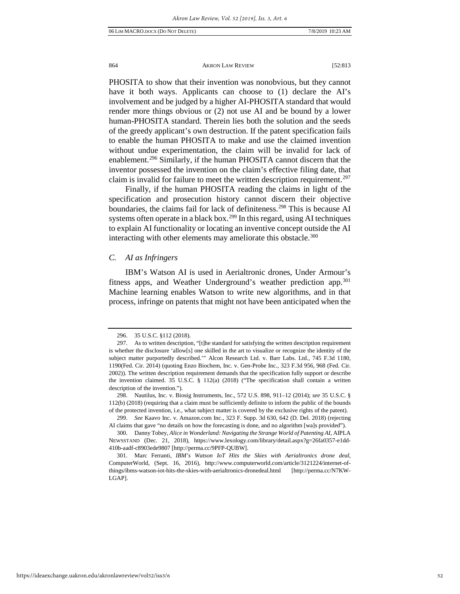PHOSITA to show that their invention was nonobvious, but they cannot have it both ways. Applicants can choose to (1) declare the AI's involvement and be judged by a higher AI-PHOSITA standard that would render more things obvious or (2) not use AI and be bound by a lower human-PHOSITA standard. Therein lies both the solution and the seeds of the greedy applicant's own destruction. If the patent specification fails to enable the human PHOSITA to make and use the claimed invention without undue experimentation, the claim will be invalid for lack of enablement.<sup>[296](#page-52-0)</sup> Similarly, if the human PHOSITA cannot discern that the inventor possessed the invention on the claim's effective filing date, that claim is invalid for failure to meet the written description requirement.<sup>[297](#page-52-1)</sup>

Finally, if the human PHOSITA reading the claims in light of the specification and prosecution history cannot discern their objective boundaries, the claims fail for lack of definiteness.<sup>[298](#page-52-2)</sup> This is because AI systems often operate in a black box.<sup>[299](#page-52-3)</sup> In this regard, using AI techniques to explain AI functionality or locating an inventive concept outside the AI interacting with other elements may ameliorate this obstacle.<sup>[300](#page-52-4)</sup>

# <span id="page-52-6"></span>*C. AI as Infringers*

IBM's Watson AI is used in Aerialtronic drones, Under Armour's fitness apps, and Weather Underground's weather prediction app[.301](#page-52-5) Machine learning enables Watson to write new algorithms, and in that process, infringe on patents that might not have been anticipated when the

<sup>296. 35</sup> U.S.C. §112 (2018).

<span id="page-52-1"></span><span id="page-52-0"></span><sup>297.</sup> As to written description, "[t]he standard for satisfying the written description requirement is whether the disclosure 'allow[s] one skilled in the art to visualize or recognize the identity of the subject matter purportedly described.'" Alcon Research Ltd. v. Barr Labs. Ltd., 745 F.3d 1180, 1190(Fed. Cir. 2014) (quoting Enzo Biochem, Inc. v. Gen-Probe Inc., 323 F.3d 956, 968 (Fed. Cir. 2002)). The written description requirement demands that the specification fully support or describe the invention claimed. 35 U.S.C. § 112(a) (2018) ("The specification shall contain a written description of the invention.").

<span id="page-52-2"></span><sup>298.</sup> Nautilus, Inc. v. Biosig Instruments, Inc., 572 U.S. 898, 911–12 (2014); *see* 35 U.S.C. § 112(b) (2018) (requiring that a claim must be sufficiently definite to inform the public of the bounds of the protected invention, i.e., what subject matter is covered by the exclusive rights of the patent).

<span id="page-52-3"></span><sup>299.</sup> *See* Kaavo Inc. v. Amazon.com Inc., 323 F. Supp. 3d 630, 642 (D. Del. 2018) (rejecting AI claims that gave "no details on how the forecasting is done, and no algorithm [wa]s provided").

<span id="page-52-4"></span><sup>300.</sup> Danny Tobey, *Alice in Wonderland: Navigating the Strange World of Patenting AI*, AIPLA NEWSSTAND (Dec. 21, 2018), https://www.lexology.com/library/detail.aspx?g=26fa0357-e1dd-410b-aadf-c8903ede9807 [http://perma.cc/9PFP-QUBW].

<span id="page-52-5"></span><sup>301.</sup> Marc Ferranti, *IBM's Watson IoT Hits the Skies with Aerialtronics drone deal*, ComputerWorld, (Sept. 16, 2016), http://www.computerworld.com/article/3121224/internet-ofthings/ibms-watson-iot-hits-the-skies-with-aerialtronics-dronedeal.html [http://perma.cc/N7KW-LGAP].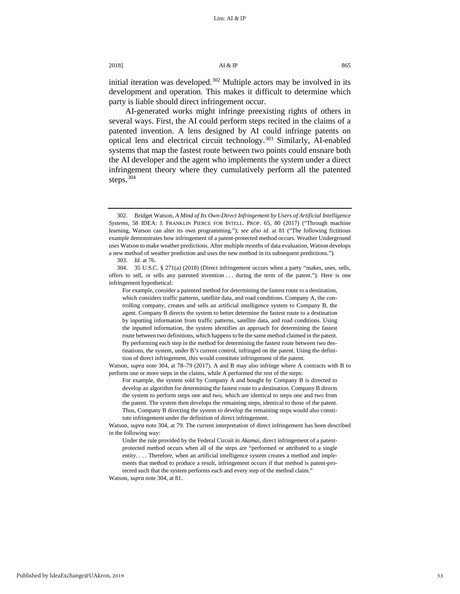# 2018]  $\overline{A1} \& \overline{IP}$  865

initial iteration was developed.<sup>[302](#page-53-0)</sup> Multiple actors may be involved in its development and operation. This makes it difficult to determine which party is liable should direct infringement occur.

AI-generated works might infringe preexisting rights of others in several ways. First, the AI could perform steps recited in the claims of a patented invention. A lens designed by AI could infringe patents on optical lens and electrical circuit technology.<sup>[303](#page-53-1)</sup> Similarly, AI-enabled systems that map the fastest route between two points could ensnare both the AI developer and the agent who implements the system under a direct infringement theory where they cumulatively perform all the patented steps.<sup>[304](#page-53-2)</sup>

Watson, *supra* note 304, at 81.

<span id="page-53-0"></span><sup>302.</sup> Bridget Watson, *A Mind of Its Own-Direct Infringement by Users of Artificial Intelligence Systems*, 58 IDEA: J. FRANKLIN PIERCE FOR INTELL. PROP. 65, 80 (2017) ("Through machine learning, Watson can alter its own programming."); *see also id.* at 81 ("The following fictitious example demonstrates how infringement of a patent-protected method occurs. Weather Underground uses Watson to make weather predictions. After multiple months of data evaluation, Watson develops a new method of weather prediction and uses the new method in its subsequent predictions.").

<sup>303.</sup> *Id.* at 76.

<span id="page-53-2"></span><span id="page-53-1"></span><sup>304. 35</sup> U.S.C. § 271(a) (2018) (Direct infringement occurs when a party "makes, uses, sells, offers to sell, or sells any patented invention . . . during the term of the patent."). Here is one infringement hypothetical:

For example, consider a patented method for determining the fastest route to a destination, which considers traffic patterns, satellite data, and road conditions. Company A, the controlling company, creates and sells an artificial intelligence system to Company B, the agent. Company B directs the system to better determine the fastest route to a destination by inputting information from traffic patterns, satellite data, and road conditions. Using the inputted information, the system identifies an approach for determining the fastest route between two definitions, which happens to be the same method claimed in the patent. By performing each step in the method for determining the fastest route between two destinations, the system, under B's current control, infringed on the patent. Using the definition of direct infringement, this would constitute infringement of the patent.

Watson, *supra* note 304, at 78–79 (2017). A and B may also infringe where A contracts with B to perform one or more steps in the claims, while A performed the rest of the steps:

For example, the system sold by Company A and bought by Company B is directed to develop an algorithm for determining the fastest route to a destination. Company B directs the system to perform steps one and two, which are identical to steps one and two from the patent. The system then develops the remaining steps, identical to those of the patent. Thus, Company B directing the system to develop the remaining steps would also constitute infringement under the definition of direct infringement.

Watson, *supra* note 304, at 79. The current interpretation of direct infringement has been described in the following way:

Under the rule provided by the Federal Circuit in *Akamai*, direct infringement of a patentprotected method occurs when all of the steps are "performed or attributed to a single entity. . . . Therefore, when an artificial intelligence system creates a method and implements that method to produce a result, infringement occurs if that method is patent-protected such that the system performs each and every step of the method claim.'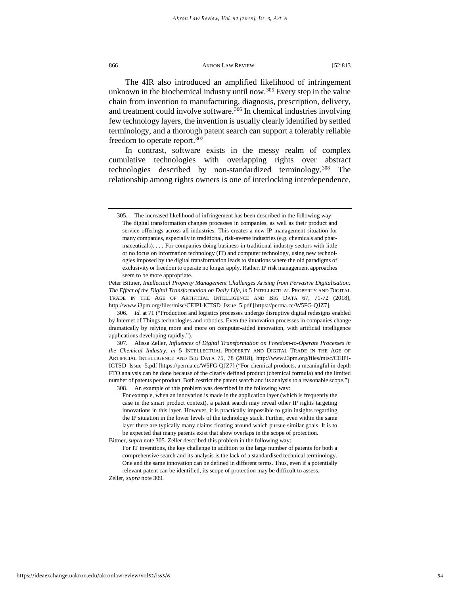<span id="page-54-0"></span>The 4IR also introduced an amplified likelihood of infringement unknown in the biochemical industry until now.<sup>[305](#page-54-1)</sup> Every step in the value chain from invention to manufacturing, diagnosis, prescription, delivery, and treatment could involve software.<sup>[306](#page-54-2)</sup> In chemical industries involving few technology layers, the invention is usually clearly identified by settled terminology, and a thorough patent search can support a tolerably reliable freedom to operate report.<sup>[307](#page-54-3)</sup>

In contrast, software exists in the messy realm of complex cumulative technologies with overlapping rights over abstract technologies described by non-standardized terminology.<sup>[308](#page-54-4)</sup> The relationship among rights owners is one of interlocking interdependence,

<span id="page-54-4"></span><span id="page-54-3"></span>307. Alissa Zeller, *Influences of Digital Transformation on Freedom-to-Operate Processes in the Chemical Industry*, *in* 5 INTELLECTUAL PROPERTY AND DIGITAL TRADE IN THE AGE OF ARTIFICIAL INTELLIGENCE AND BIG DATA 75, 78 (2018), http://www.i3pm.org/files/misc/CEIPI-ICTSD\_Issue\_5.pdf [https://perma.cc/W5FG-QJZ7] ("For chemical products, a meaningful in-depth FTO analysis can be done because of the clearly defined product (chemical formula) and the limited number of patents per product. Both restrict the patent search and its analysis to a reasonable scope."). 308. An example of this problem was described in the following way:

For example, when an innovation is made in the application layer (which is frequently the case in the smart product context), a patent search may reveal other IP rights targeting innovations in this layer. However, it is practically impossible to gain insights regarding the IP situation in the lower levels of the technology stack. Further, even within the same layer there are typically many claims floating around which pursue similar goals. It is to be expected that many patents exist that show overlaps in the scope of protection.

<span id="page-54-1"></span><sup>305.</sup> The increased likelihood of infringement has been described in the following way: The digital transformation changes processes in companies, as well as their product and service offerings across all industries. This creates a new IP management situation for many companies, especially in traditional, risk-averse industries (e.g. chemicals and pharmaceuticals). . . . For companies doing business in traditional industry sectors with little or no focus on information technology (IT) and computer technology, using new technologies imposed by the digital transformation leads to situations where the old paradigms of exclusivity or freedom to operate no longer apply. Rather, IP risk management approaches seem to be more appropriate.

Peter Bittner, *Intellectual Property Management Challenges Arising from Pervasive Digitalisation: The Effect of the Digital Transformation on Daily Life*, *in* 5 INTELLECTUAL PROPERTY AND DIGITAL TRADE IN THE AGE OF ARTIFICIAL INTELLIGENCE AND BIG DATA 67, 71-72 (2018), http://www.i3pm.org/files/misc/CEIPI-ICTSD\_Issue\_5.pdf [https://perma.cc/W5FG-QJZ7].

<span id="page-54-2"></span><sup>306.</sup> *Id.* at 71 ("Production and logistics processes undergo disruptive digital redesigns enabled by Internet of Things technologies and robotics. Even the innovation processes in companies change dramatically by relying more and more on computer-aided innovation, with artificial intelligence applications developing rapidly.").

Bittner, *supra* not[e 305.](#page-54-0) Zeller described this problem in the following way: For IT inventions, the key challenge in addition to the large number of patents for both a comprehensive search and its analysis is the lack of a standardised technical terminology. One and the same innovation can be defined in different terms. Thus, even if a potentially relevant patent can be identified, its scope of protection may be difficult to assess.

Zeller, *supra* note 309.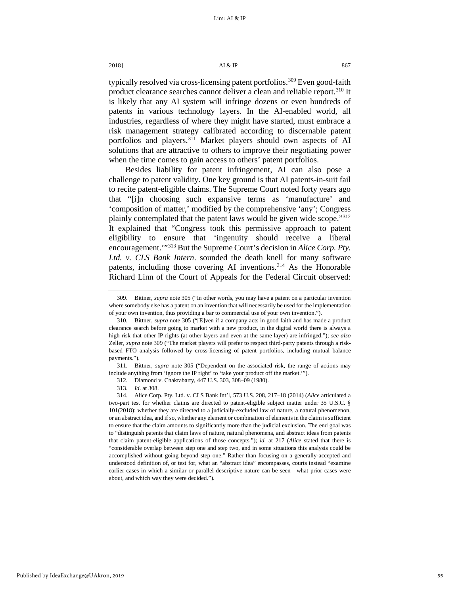# 2018]  $\overline{A1} \& \overline{IP}$  867

typically resolved via cross-licensing patent portfolios.<sup>[309](#page-55-0)</sup> Even good-faith product clearance searches cannot deliver a clean and reliable report.<sup>[310](#page-55-1)</sup> It is likely that any AI system will infringe dozens or even hundreds of patents in various technology layers. In the AI-enabled world, all industries, regardless of where they might have started, must embrace a risk management strategy calibrated according to discernable patent portfolios and players.<sup>[311](#page-55-2)</sup> Market players should own aspects of AI solutions that are attractive to others to improve their negotiating power when the time comes to gain access to others' patent portfolios.

Besides liability for patent infringement, AI can also pose a challenge to patent validity. One key ground is that AI patents-in-suit fail to recite patent-eligible claims. The Supreme Court noted forty years ago that "[i]n choosing such expansive terms as 'manufacture' and 'composition of matter,' modified by the comprehensive 'any'; Congress plainly contemplated that the patent laws would be given wide scope.["312](#page-55-3) It explained that "Congress took this permissive approach to patent eligibility to ensure that 'ingenuity should receive a liberal encouragement.<sup>"[313](#page-55-4)</sup> But the Supreme Court's decision in *Alice Corp. Pty. Ltd. v. CLS Bank Intern*. sounded the death knell for many software patents, including those covering AI inventions.<sup>[314](#page-55-5)</sup> As the Honorable Richard Linn of the Court of Appeals for the Federal Circuit observed:

<span id="page-55-3"></span><span id="page-55-2"></span>311. Bittner, *supra* note [305](#page-54-0) ("Dependent on the associated risk, the range of actions may include anything from 'ignore the IP right' to 'take your product off the market.'").

<span id="page-55-0"></span><sup>309.</sup> Bittner, *supra* not[e 305 \(](#page-54-0)"In other words, you may have a patent on a particular invention where somebody else has a patent on an invention that will necessarily be used for the implementation of your own invention, thus providing a bar to commercial use of your own invention.").

<span id="page-55-1"></span><sup>310.</sup> Bittner, *supra* note [305](#page-54-0) ("[E]ven if a company acts in good faith and has made a product clearance search before going to market with a new product, in the digital world there is always a high risk that other IP rights (at other layers and even at the same layer) are infringed."); *see also* Zeller, *supra* note 309 ("The market players will prefer to respect third-party patents through a riskbased FTO analysis followed by cross-licensing of patent portfolios, including mutual balance payments.").

<sup>312.</sup> Diamond v. Chakrabarty, 447 U.S. 303, 308–09 (1980).

<sup>313.</sup> *Id*. at 308.

<span id="page-55-5"></span><span id="page-55-4"></span><sup>314.</sup> Alice Corp. Pty. Ltd. v. CLS Bank Int'l, 573 U.S. 208, 217–18 (2014) (*Alice* articulated a two-part test for whether claims are directed to patent-eligible subject matter under 35 U.S.C. § 101(2018): whether they are directed to a judicially-excluded law of nature, a natural phenomenon, or an abstract idea, and if so, whether any element or combination of elements in the claim is sufficient to ensure that the claim amounts to significantly more than the judicial exclusion. The end goal was to "distinguish patents that claim laws of nature, natural phenomena, and abstract ideas from patents that claim patent-eligible applications of those concepts."); *id.* at 217 (*Alice* stated that there is "considerable overlap between step one and step two, and in some situations this analysis could be accomplished without going beyond step one." Rather than focusing on a generally-accepted and understood definition of, or test for, what an "abstract idea" encompasses, courts instead "examine earlier cases in which a similar or parallel descriptive nature can be seen—what prior cases were about, and which way they were decided.").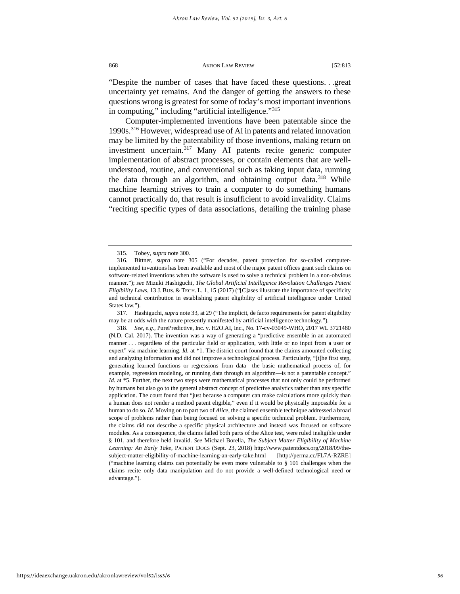"Despite the number of cases that have faced these questions. . .great uncertainty yet remains. And the danger of getting the answers to these questions wrong is greatest for some of today's most important inventions in computing," including "artificial intelligence."[315](#page-56-0)

Computer-implemented inventions have been patentable since the 1990s[.316](#page-56-1) However, widespread use of AI in patents and related innovation may be limited by the patentability of those inventions, making return on investment uncertain.<sup>[317](#page-56-2)</sup> Many AI patents recite generic computer implementation of abstract processes, or contain elements that are wellunderstood, routine, and conventional such as taking input data, running the data through an algorithm, and obtaining output data.<sup>[318](#page-56-3)</sup> While machine learning strives to train a computer to do something humans cannot practically do, that result is insufficient to avoid invalidity. Claims "reciting specific types of data associations, detailing the training phase

<span id="page-56-2"></span>317. Hashiguchi, *supra* not[e 33,](#page-8-6) at 29 ("The implicit, de facto requirements for patent eligibility may be at odds with the nature presently manifested by artificial intelligence technology.").

<span id="page-56-3"></span>318. *See, e.g.*, PurePredictive, Inc. v. H2O.AI, Inc., No. 17-cv-03049-WHO, 2017 WL 3721480 (N.D. Cal. 2017). The invention was a way of generating a "predictive ensemble in an automated manner . . . regardless of the particular field or application, with little or no input from a user or expert" via machine learning. *Id.* at \*1. The district court found that the claims amounted collecting and analyzing information and did not improve a technological process. Particularly, "[t]he first step, generating learned functions or regressions from data—the basic mathematical process of, for example, regression modeling, or running data through an algorithm—is not a patentable concept." *Id.* at \*5. Further, the next two steps were mathematical processes that not only could be performed by humans but also go to the general abstract concept of predictive analytics rather than any specific application. The court found that "just because a computer can make calculations more quickly than a human does not render a method patent eligible," even if it would be physically impossible for a human to do so. *Id.* Moving on to part two of *Alice*, the claimed ensemble technique addressed a broad scope of problems rather than being focused on solving a specific technical problem. Furthermore, the claims did not describe a specific physical architecture and instead was focused on software modules. As a consequence, the claims failed both parts of the Alice test, were ruled ineligible under § 101, and therefore held invalid. *See* Michael Borella, *The Subject Matter Eligibility of Machine Learning: An Early Take*, PATENT DOCS (Sept. 23, 2018) http://www.patentdocs.org/2018/09/thesubject-matter-eligibility-of-machine-learning-an-early-take.html [http://perma.cc/FL7A-RZRE] ("machine learning claims can potentially be even more vulnerable to § 101 challenges when the claims recite only data manipulation and do not provide a well-defined technological need or advantage.").

https://ideaexchange.uakron.edu/akronlawreview/vol52/iss3/6

<sup>315.</sup> Tobey, *supra* not[e 300.](#page-52-6) 

<span id="page-56-1"></span><span id="page-56-0"></span><sup>316.</sup> Bittner, *supra* note [305](#page-54-0) ("For decades, patent protection for so-called computerimplemented inventions has been available and most of the major patent offices grant such claims on software-related inventions when the software is used to solve a technical problem in a non-obvious manner."); *see* Mizuki Hashiguchi, *The Global Artificial Intelligence Revolution Challenges Patent Eligibility Laws*, 13 J. BUS. & TECH. L. 1, 15 (2017) ("[C]ases illustrate the importance of specificity and technical contribution in establishing patent eligibility of artificial intelligence under United States law.").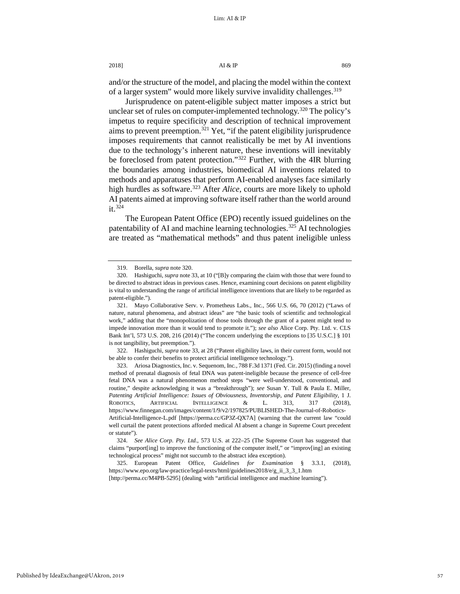$2018$ ]  $Al & IP$  869

and/or the structure of the model, and placing the model within the context of a larger system" would more likely survive invalidity challenges.<sup>[319](#page-57-0)</sup>

Jurisprudence on patent-eligible subject matter imposes a strict but unclear set of rules on computer-implemented technology.<sup>[320](#page-57-1)</sup> The policy's impetus to require specificity and description of technical improvement aims to prevent preemption.<sup>[321](#page-57-2)</sup> Yet, "if the patent eligibility jurisprudence imposes requirements that cannot realistically be met by AI inventions due to the technology's inherent nature, these inventions will inevitably be foreclosed from patent protection."<sup>[322](#page-57-3)</sup> Further, with the 4IR blurring the boundaries among industries, biomedical AI inventions related to methods and apparatuses that perform AI-enabled analyses face similarly high hurdles as software.<sup>[323](#page-57-4)</sup> After *Alice*, courts are more likely to uphold AI patents aimed at improving software itself rather than the world around  $it.$ <sup>[324](#page-57-5)</sup>

The European Patent Office (EPO) recently issued guidelines on the patentability of AI and machine learning technologies.<sup>[325](#page-57-6)</sup> AI technologies are treated as "mathematical methods" and thus patent ineligible unless

<sup>319.</sup> Borella, *supra* note 320.

<span id="page-57-1"></span><span id="page-57-0"></span><sup>320.</sup> Hashiguchi, *supra* not[e 33,](#page-8-6) at 10 ("[B]y comparing the claim with those that were found to be directed to abstract ideas in previous cases. Hence, examining court decisions on patent eligibility is vital to understanding the range of artificial intelligence inventions that are likely to be regarded as patent-eligible.").

<span id="page-57-2"></span><sup>321.</sup> Mayo Collaborative Serv. v. Prometheus Labs., Inc*.*, 566 U.S. 66, 70 (2012) ("Laws of nature, natural phenomena, and abstract ideas" are "the basic tools of scientific and technological work," adding that the "monopolization of those tools through the grant of a patent might tend to impede innovation more than it would tend to promote it."); *see also* Alice Corp. Pty. Ltd. v. CLS Bank Int'l, 573 U.S. 208, 216 (2014) ("The concern underlying the exceptions to [35 U.S.C.] § 101 is not tangibility, but preemption.").

<span id="page-57-3"></span><sup>322.</sup> Hashiguchi, *supra* not[e 33,](#page-8-6) at 28 ("Patent eligibility laws, in their current form, would not be able to confer their benefits to protect artificial intelligence technology.").

<span id="page-57-4"></span><sup>323.</sup> Ariosa Diagnostics, Inc. v. Sequenom, Inc*.*, 788 F.3d 1371 (Fed. Cir. 2015) (finding a novel method of prenatal diagnosis of fetal DNA was patent-ineligible because the presence of cell-free fetal DNA was a natural phenomenon method steps "were well-understood, conventional, and routine," despite acknowledging it was a "breakthrough"); *see* Susan Y. Tull & Paula E. Miller, *Patenting Artificial Intelligence: Issues of Obviousness, Inventorship, and Patent Eligibility*, 1 J. ROBOTICS, ARTIFICIAL INTELLIGENCE & L. 313, 317 (2018), https://www.finnegan.com/images/content/1/9/v2/197825/PUBLISHED-The-Journal-of-Robotics-Artificial-Intelligence-L.pdf [https://perma.cc/GP3Z-QX7A] (warning that the current law "could well curtail the patent protections afforded medical AI absent a change in Supreme Court precedent or statute").

<span id="page-57-5"></span><sup>324.</sup> *See Alice Corp. Pty. Ltd.*, 573 U.S. at 222–25 (The Supreme Court has suggested that claims "purport[ing] to improve the functioning of the computer itself," or "improv[ing] an existing technological process" might not succumb to the abstract idea exception).

<span id="page-57-6"></span><sup>325.</sup> European Patent Office, *Guidelines for Examination* § 3.3.1, (2018), https://www.epo.org/law-practice/legal-texts/html/guidelines2018/e/g\_ii\_3\_3\_1.htm [http://perma.cc/M4PB-5295] (dealing with "artificial intelligence and machine learning").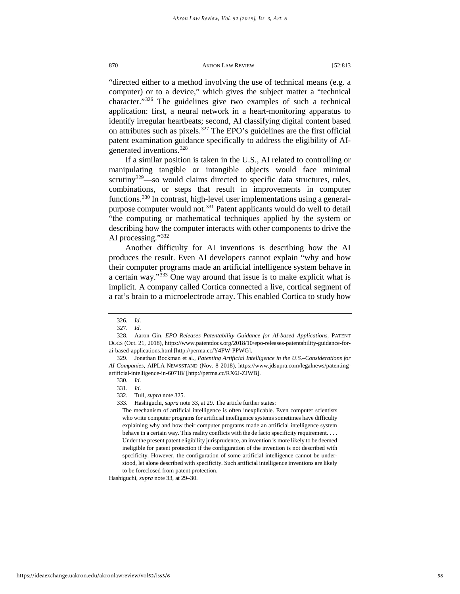"directed either to a method involving the use of technical means (e.g. a computer) or to a device," which gives the subject matter a "technical character."[326](#page-58-0) The guidelines give two examples of such a technical application: first, a neural network in a heart-monitoring apparatus to identify irregular heartbeats; second, AI classifying digital content based on attributes such as pixels.<sup>[327](#page-58-1)</sup> The EPO's guidelines are the first official patent examination guidance specifically to address the eligibility of AIgenerated inventions.[328](#page-58-2)

If a similar position is taken in the U.S., AI related to controlling or manipulating tangible or intangible objects would face minimal scrutiny<sup>[329](#page-58-3)</sup>—so would claims directed to specific data structures, rules, combinations, or steps that result in improvements in computer functions.[330](#page-58-4) In contrast, high-level user implementations using a generalpurpose computer would not.<sup>331</sup> Patent applicants would do well to detail "the computing or mathematical techniques applied by the system or describing how the computer interacts with other components to drive the AI processing."[332](#page-58-6)

Another difficulty for AI inventions is describing how the AI produces the result. Even AI developers cannot explain "why and how their computer programs made an artificial intelligence system behave in a certain way."<sup>[333](#page-58-7)</sup> One way around that issue is to make explicit what is implicit. A company called Cortica connected a live, cortical segment of a rat's brain to a microelectrode array. This enabled Cortica to study how

Hashiguchi, *supra* not[e 33,](#page-8-6) at 29–30.

<sup>326.</sup> *Id*.

<sup>327.</sup> *Id*.

<span id="page-58-2"></span><span id="page-58-1"></span><span id="page-58-0"></span><sup>328.</sup> Aaron Gin, *EPO Releases Patentability Guidance for AI-based Applications*, PATENT DOCS (Oct. 21, 2018), https://www.patentdocs.org/2018/10/epo-releases-patentability-guidance-forai-based-applications.html [http://perma.cc/Y4PW-PPWG].

<span id="page-58-6"></span><span id="page-58-5"></span><span id="page-58-4"></span><span id="page-58-3"></span><sup>329.</sup> Jonathan Bockman et al., *Patenting Artificial Intelligence in the U.S.–Considerations for AI Companies*, AIPLA NEWSSTAND (Nov. 8 2018), https://www.jdsupra.com/legalnews/patentingartificial-intelligence-in-60718/ [http://perma.cc/RX6J-ZJWB].

<sup>330.</sup> *Id*.

<sup>331.</sup> *Id*.

<sup>332.</sup> Tull, *supra* note 325.

<span id="page-58-7"></span><sup>333.</sup> Hashiguchi, *supra* not[e 33,](#page-8-6) at 29. The article further states:

The mechanism of artificial intelligence is often inexplicable. Even computer scientists who write computer programs for artificial intelligence systems sometimes have difficulty explaining why and how their computer programs made an artificial intelligence system behave in a certain way. This reality conflicts with the de facto specificity requirement. . . . Under the present patent eligibility jurisprudence, an invention is more likely to be deemed ineligible for patent protection if the configuration of the invention is not described with specificity. However, the configuration of some artificial intelligence cannot be understood, let alone described with specificity. Such artificial intelligence inventions are likely to be foreclosed from patent protection.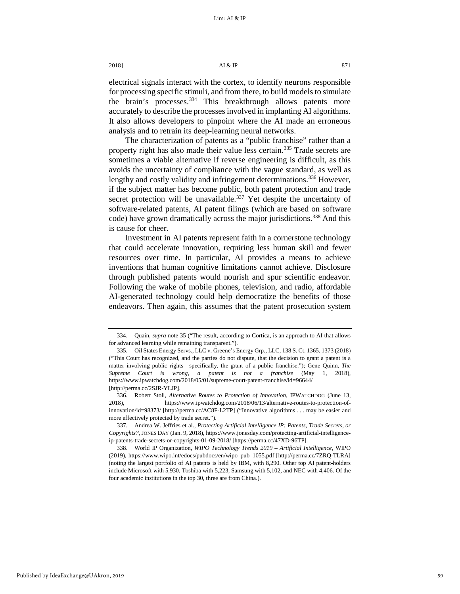electrical signals interact with the cortex, to identify neurons responsible for processing specific stimuli, and from there, to build models to simulate the brain's processes.<sup>[334](#page-59-0)</sup> This breakthrough allows patents more accurately to describe the processes involved in implanting AI algorithms. It also allows developers to pinpoint where the AI made an erroneous analysis and to retrain its deep-learning neural networks.

The characterization of patents as a "public franchise" rather than a property right has also made their value less certain.<sup>[335](#page-59-1)</sup> Trade secrets are sometimes a viable alternative if reverse engineering is difficult, as this avoids the uncertainty of compliance with the vague standard, as well as lengthy and costly validity and infringement determinations.<sup>[336](#page-59-2)</sup> However, if the subject matter has become public, both patent protection and trade secret protection will be unavailable.<sup>[337](#page-59-3)</sup> Yet despite the uncertainty of software-related patents, AI patent filings (which are based on software code) have grown dramatically across the major jurisdictions.<sup>[338](#page-59-4)</sup> And this is cause for cheer.

Investment in AI patents represent faith in a cornerstone technology that could accelerate innovation, requiring less human skill and fewer resources over time. In particular, AI provides a means to achieve inventions that human cognitive limitations cannot achieve. Disclosure through published patents would nourish and spur scientific endeavor. Following the wake of mobile phones, television, and radio, affordable AI-generated technology could help democratize the benefits of those endeavors. Then again, this assumes that the patent prosecution system

<span id="page-59-0"></span><sup>334.</sup> Quain, *supra* not[e 35 \(](#page-9-7)"The result, according to Cortica, is an approach to AI that allows for advanced learning while remaining transparent.").

<span id="page-59-1"></span><sup>335.</sup> Oil States Energy Servs., LLC v. Greene's Energy Grp., LLC, 138 S. Ct. 1365, 1373 (2018) ("This Court has recognized, and the parties do not dispute, that the decision to grant a patent is a matter involving public rights—specifically, the grant of a public franchise."); Gene Quinn, *The Supreme Court is wrong, a patent is not a franchise* (May 1, 2018), https://www.ipwatchdog.com/2018/05/01/supreme-court-patent-franchise/id=96644/ [http://perma.cc/2SJR-YLJP].

<span id="page-59-2"></span><sup>336.</sup> Robert Stoll, *Alternative Routes to Protection of Innovation*, IPWATCHDOG (June 13, 2018), https://www.ipwatchdog.com/2018/06/13/alternative-routes-to-protection-ofinnovation/id=98373/ [http://perma.cc/AC8F-L2TP] ("Innovative algorithms . . . may be easier and more effectively protected by trade secret.").

<span id="page-59-3"></span><sup>337.</sup> Andrea W. Jeffries et al., *Protecting Artificial Intelligence IP: Patents, Trade Secrets, or Copyrights?*, JONES DAY (Jan. 9, 2018), https://www.jonesday.com/protecting-artificial-intelligenceip-patents-trade-secrets-or-copyrights-01-09-2018/ [https://perma.cc/47XD-96TP].

<span id="page-59-4"></span><sup>338.</sup> World IP Organization, *WIPO Technology Trends 2019 – Artificial Intelligence*, WIPO (2019), https://www.wipo.int/edocs/pubdocs/en/wipo\_pub\_1055.pdf [http://perma.cc/7ZRQ-TLRA] (noting the largest portfolio of AI patents is held by IBM, with 8,290. Other top AI patent-holders include Microsoft with 5,930, Toshiba with 5,223, Samsung with 5,102, and NEC with 4,406. Of the four academic institutions in the top 30, three are from China.).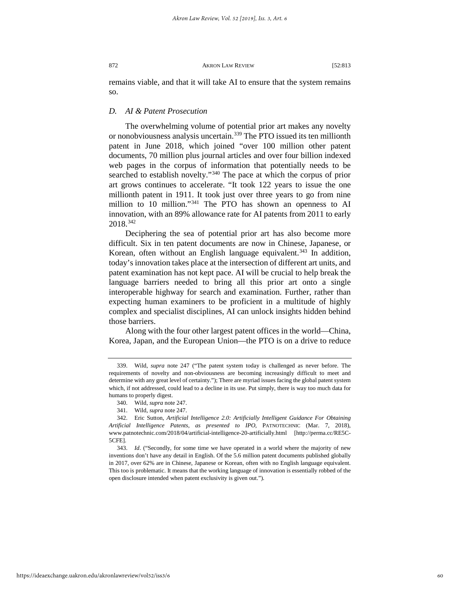remains viable, and that it will take AI to ensure that the system remains so.

# *D. AI & Patent Prosecution*

The overwhelming volume of potential prior art makes any novelty or nonobviousness analysis uncertain.[339](#page-60-0) The PTO issued its ten millionth patent in June 2018, which joined "over 100 million other patent documents, 70 million plus journal articles and over four billion indexed web pages in the corpus of information that potentially needs to be searched to establish novelty."[340](#page-60-1) The pace at which the corpus of prior art grows continues to accelerate. "It took 122 years to issue the one millionth patent in 1911. It took just over three years to go from nine million to 10 million."<sup>[341](#page-60-2)</sup> The PTO has shown an openness to AI innovation, with an 89% allowance rate for AI patents from 2011 to early 2018.[342](#page-60-3)

Deciphering the sea of potential prior art has also become more difficult. Six in ten patent documents are now in Chinese, Japanese, or Korean, often without an English language equivalent.<sup>[343](#page-60-4)</sup> In addition, today's innovation takes place at the intersection of different art units, and patent examination has not kept pace. AI will be crucial to help break the language barriers needed to bring all this prior art onto a single interoperable highway for search and examination. Further, rather than expecting human examiners to be proficient in a multitude of highly complex and specialist disciplines, AI can unlock insights hidden behind those barriers.

Along with the four other largest patent offices in the world—China, Korea, Japan, and the European Union—the PTO is on a drive to reduce

<span id="page-60-0"></span><sup>339.</sup> Wild, *supra* note [247](#page-44-7) ("The patent system today is challenged as never before. The requirements of novelty and non-obviousness are becoming increasingly difficult to meet and determine with any great level of certainty."); There are myriad issues facing the global patent system which, if not addressed, could lead to a decline in its use. Put simply, there is way too much data for humans to properly digest.

<sup>340.</sup> Wild, *supra* not[e 247.](#page-44-7) 

<sup>341.</sup> Wild, *supra* not[e 247.](#page-44-7) 

<span id="page-60-3"></span><span id="page-60-2"></span><span id="page-60-1"></span><sup>342.</sup> Eric Sutton, *Artificial Intelligence 2.0: Artificially Intelligent Guidance For Obtaining Artificial Intelligence Patents, as presented to IPO*, PATNOTECHNIC (Mar. 7, 2018), www.patnotechnic.com/2018/04/artificial-intelligence-20-artificially.html [http://perma.cc/RE5C-5CFE].

<span id="page-60-4"></span><sup>343.</sup> *Id*. ("Secondly, for some time we have operated in a world where the majority of new inventions don't have any detail in English. Of the 5.6 million patent documents published globally in 2017, over 62% are in Chinese, Japanese or Korean, often with no English language equivalent. This too is problematic. It means that the working language of innovation is essentially robbed of the open disclosure intended when patent exclusivity is given out.").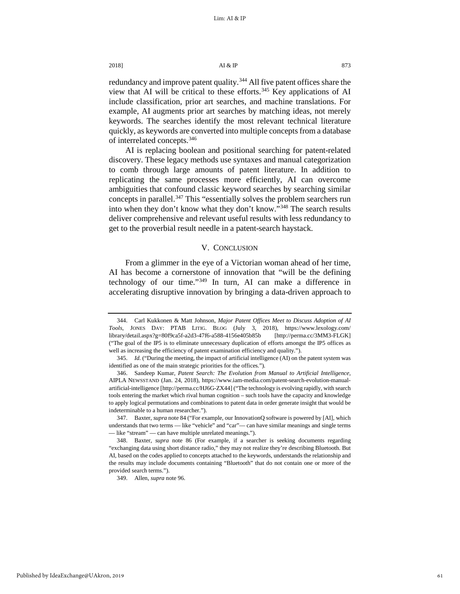redundancy and improve patent quality.<sup>[344](#page-61-0)</sup> All five patent offices share the view that AI will be critical to these efforts.<sup>[345](#page-61-1)</sup> Key applications of AI include classification, prior art searches, and machine translations. For example, AI augments prior art searches by matching ideas, not merely keywords. The searches identify the most relevant technical literature quickly, as keywords are converted into multiple concepts from a database of interrelated concepts[.346](#page-61-2)

AI is replacing boolean and positional searching for patent-related discovery. These legacy methods use syntaxes and manual categorization to comb through large amounts of patent literature. In addition to replicating the same processes more efficiently, AI can overcome ambiguities that confound classic keyword searches by searching similar concepts in parallel.<sup>[347](#page-61-3)</sup> This "essentially solves the problem searchers run into when they don't know what they don't know."[348](#page-61-4) The search results deliver comprehensive and relevant useful results with less redundancy to get to the proverbial result needle in a patent-search haystack.

# V. CONCLUSION

From a glimmer in the eye of a Victorian woman ahead of her time, AI has become a cornerstone of innovation that "will be the defining technology of our time."[349](#page-61-5) In turn, AI can make a difference in accelerating disruptive innovation by bringing a data-driven approach to

<span id="page-61-0"></span><sup>344.</sup> Carl Kukkonen & Matt Johnson, *Major Patent Offices Meet to Discuss Adoption of AI Tools*, JONES DAY: PTAB LITIG. BLOG (July 3, 2018), https://www.lexology.com/ library/detail.aspx?g=80f9ca5f-a2d3-47f6-a588-4156e405b85b [http://perma.cc/3MM3-FLGK] ("The goal of the IP5 is to eliminate unnecessary duplication of efforts amongst the IP5 offices as well as increasing the efficiency of patent examination efficiency and quality.").

<span id="page-61-1"></span><sup>345.</sup> *Id.* ("During the meeting, the impact of artificial intelligence (AI) on the patent system was identified as one of the main strategic priorities for the offices.").

<span id="page-61-2"></span><sup>346.</sup> Sandeep Kumar, *Patent Search: The Evolution from Manual to Artificial Intelligence*, AIPLA NEWSSTAND (Jan. 24, 2018), https://www.iam-media.com/patent-search-evolution-manualartificial-intelligence [http://perma.cc/HJ6G-ZX44] ("The technology is evolving rapidly, with search tools entering the market which rival human cognition – such tools have the capacity and knowledge to apply logical permutations and combinations to patent data in order generate insight that would be indeterminable to a human researcher.").

<span id="page-61-3"></span><sup>347.</sup> Baxter, *supra* not[e 84 \(](#page-17-6)"For example, our InnovationQ software is powered by [AI], which understands that two terms — like "vehicle" and "car"— can have similar meanings and single terms — like "stream" — can have multiple unrelated meanings.").

<span id="page-61-5"></span><span id="page-61-4"></span><sup>348.</sup> Baxter, *supra* note 86 (For example, if a searcher is seeking documents regarding "exchanging data using short distance radio," they may not realize they're describing Bluetooth. But AI, based on the codes applied to concepts attached to the keywords, understands the relationship and the results may include documents containing "Bluetooth" that do not contain one or more of the provided search terms.").

<sup>349.</sup> Allen, *supra* note [96.](#page-19-7)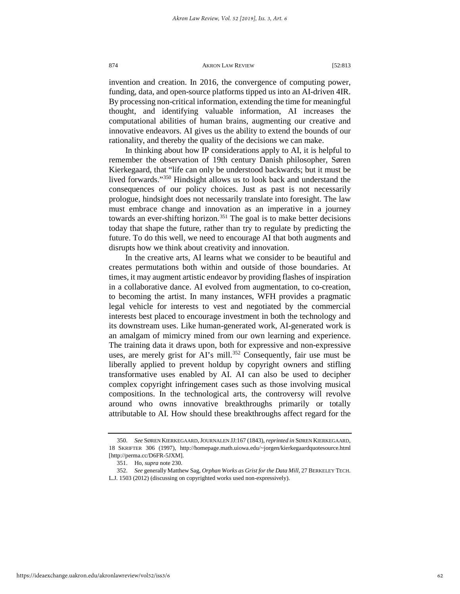invention and creation. In 2016, the convergence of computing power, funding, data, and open-source platforms tipped us into an AI-driven 4IR. By processing non-critical information, extending the time for meaningful thought, and identifying valuable information, AI increases the computational abilities of human brains, augmenting our creative and innovative endeavors. AI gives us the ability to extend the bounds of our rationality, and thereby the quality of the decisions we can make.

In thinking about how IP considerations apply to AI, it is helpful to remember the observation of 19th century Danish philosopher, Søren Kierkegaard, that "life can only be understood backwards; but it must be lived forwards."[350](#page-62-0) Hindsight allows us to look back and understand the consequences of our policy choices. Just as past is not necessarily prologue, hindsight does not necessarily translate into foresight. The law must embrace change and innovation as an imperative in a journey towards an ever-shifting horizon.<sup>[351](#page-62-1)</sup> The goal is to make better decisions today that shape the future, rather than try to regulate by predicting the future. To do this well, we need to encourage AI that both augments and disrupts how we think about creativity and innovation.

In the creative arts, AI learns what we consider to be beautiful and creates permutations both within and outside of those boundaries. At times, it may augment artistic endeavor by providing flashes of inspiration in a collaborative dance. AI evolved from augmentation, to co-creation, to becoming the artist. In many instances, WFH provides a pragmatic legal vehicle for interests to vest and negotiated by the commercial interests best placed to encourage investment in both the technology and its downstream uses. Like human-generated work, AI-generated work is an amalgam of mimicry mined from our own learning and experience. The training data it draws upon, both for expressive and non-expressive uses, are merely grist for AI's mill.<sup>[352](#page-62-2)</sup> Consequently, fair use must be liberally applied to prevent holdup by copyright owners and stifling transformative uses enabled by AI. AI can also be used to decipher complex copyright infringement cases such as those involving musical compositions. In the technological arts, the controversy will revolve around who owns innovative breakthroughs primarily or totally attributable to AI. How should these breakthroughs affect regard for the

<span id="page-62-0"></span><sup>350.</sup> *See* SØREN KIERKEGAARD,JOURNALEN JJ:167 (1843), *reprinted in* SØREN KIERKEGAARD, 18 SKRIFTER 306 (1997), http://homepage.math.uiowa.edu/~jorgen/kierkegaardquotesource.html [http://perma.cc/D6FR-5JXM].

<sup>351.</sup> Ho, *supra* note [230.](#page-41-4) 

<span id="page-62-2"></span><span id="page-62-1"></span><sup>352.</sup> *See* generally Matthew Sag, *Orphan Works as Grist for the Data Mill*, 27 BERKELEY TECH. L.J. 1503 (2012) (discussing on copyrighted works used non-expressively).